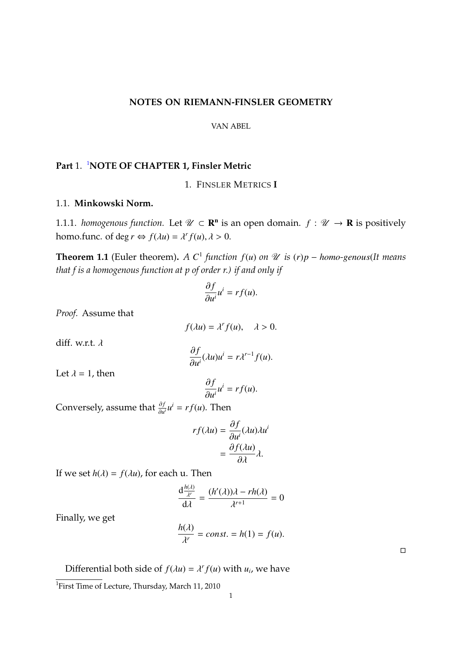#### **NOTES ON RIEMANN-FINSLER GEOMETRY**

VAN ABEL

# **Part** 1. [1](#page-0-0)**NOTE OF CHAPTER 1, Finsler Metric**

1. FINSLER METRICS **I**

# 1.1. **Minkowski Norm.**

1.1.1. *homogenous function*. Let  $\mathcal{U} \subset \mathbf{R}^n$  is an open domain.  $f : \mathcal{U} \to \mathbf{R}$  is positively homo.func. of deg  $r \Leftrightarrow f(\lambda u) = \lambda^r f(u), \lambda > 0$ .

<span id="page-0-1"></span>**Theorem 1.1** (Euler theorem). *A*  $C^1$  *function*  $f(u)$  *on*  $\mathcal{U}$  *is*  $(r)p - homo\text{-}genous(\text{It means})$ *that f is a homogenous function at p of order r.) if and only if*

$$
\frac{\partial f}{\partial u^i}u^i = rf(u).
$$

*Proof.* Assume that

 $f(\lambda u) = \lambda^r f(u), \quad \lambda > 0.$ 

diff. w.r.t. λ

$$
\frac{\partial f}{\partial u^i}(\lambda u)u^i = r\lambda^{r-1}f(u).
$$

Let  $\lambda = 1$ , then

$$
\frac{\partial f}{\partial u^i}u^i = rf(u).
$$

∂*u*<br>Conversely, assume that  $\frac{\partial f}{\partial u^i}u^i = rf(u)$ . T  $\frac{\partial f}{\partial u^i}u^i = rf(u)$ . Then

$$
rf(\lambda u) = \frac{\partial f}{\partial u^i}(\lambda u)\lambda u^i
$$

$$
= \frac{\partial f(\lambda u)}{\partial \lambda} \lambda.
$$

If we set  $h(\lambda) = f(\lambda u)$ , for each u. Then

$$
\frac{d\frac{h(\lambda)}{\lambda^{r}}}{d\lambda} = \frac{(h'(\lambda))\lambda - rh(\lambda)}{\lambda^{r+1}} = 0
$$

Finally, we get

$$
\frac{h(\lambda)}{\lambda^r} = const. = h(1) = f(u).
$$

 $\Box$ 

Differential both side of  $f(\lambda u) = \lambda^r f(u)$  with  $u_i$ , we have

<span id="page-0-0"></span><sup>&</sup>lt;sup>1</sup>First Time of Lecture, Thursday, March 11, 2010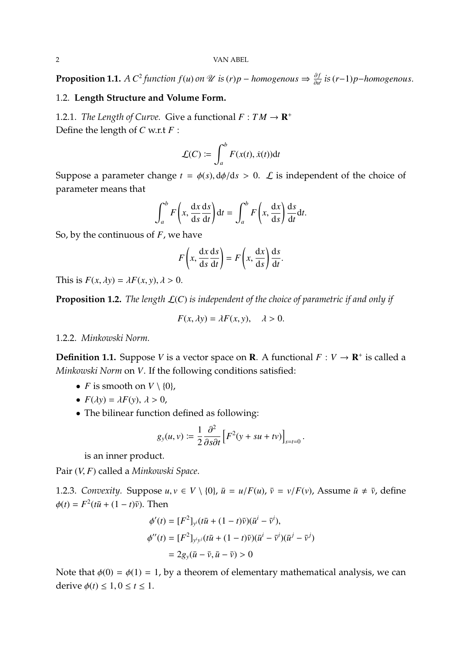<span id="page-1-0"></span>**Proposition 1.1.**  $AC^2$  function  $f(u)$  on  $\mathcal U$  is  $(r)p$  – *homogenous*  $\Rightarrow \frac{\partial f}{\partial u}$ ∂*u i is*(*r*−1)*p*−*homogenous*.

# 1.2. **Length Structure and Volume Form.**

1.2.1. *The Length of Curve.* Give a functional  $F: TM \rightarrow \mathbf{R}^+$ Define the length of *C* w.r.t *F* :

$$
\mathcal{L}(C) := \int_a^b F(x(t), \dot{x}(t)) \mathrm{d}t
$$

Suppose a parameter change  $t = \phi(s)$ ,  $d\phi/ds > 0$ . *L* is independent of the choice of parameter means that

$$
\int_{a}^{b} F\left(x, \frac{dx}{ds}\frac{ds}{dt}\right)dt = \int_{a}^{b} F\left(x, \frac{dx}{ds}\right)\frac{ds}{dt}dt.
$$

So, by the continuous of *F*, we have

$$
F\left(x, \frac{\mathrm{d}x}{\mathrm{d}s} \frac{\mathrm{d}s}{\mathrm{d}t}\right) = F\left(x, \frac{\mathrm{d}x}{\mathrm{d}s}\right) \frac{\mathrm{d}s}{\mathrm{d}t}
$$

This is  $F(x, \lambda y) = \lambda F(x, y), \lambda > 0.$ 

**Proposition 1.2.** *The length* L(*C*) *is independent of the choice of parametric if and only if*

$$
F(x, \lambda y) = \lambda F(x, y), \quad \lambda > 0.
$$

#### 1.2.2. *Minkowski Norm.*

**Definition 1.1.** Suppose *V* is a vector space on **R**. A functional  $F: V \to \mathbf{R}^+$  is called a *Minkowski Norm* on *V*. If the following conditions satisfied:

- *F* is smooth on  $V \setminus \{0\}$ ,
- $F(\lambda y) = \lambda F(y), \lambda > 0,$
- The bilinear function defined as following:

$$
g_y(u,v) := \frac{1}{2} \frac{\partial^2}{\partial s \partial t} \left[ F^2(y + su + tv) \right]_{s=t=0}.
$$

is an inner product.

Pair (*V*, *<sup>F</sup>*) called a *Minkowski Space*.

1.2.3. *Convexity.* Suppose  $u, v \in V \setminus \{0\}$ ,  $\bar{u} = u/F(u)$ ,  $\bar{v} = v/F(v)$ , Assume  $\bar{u} \neq \bar{v}$ , define  $\phi(t) = F^2(t\bar{u} + (1-t)\bar{v})$ . Then

$$
\phi'(t) = [F^2]_{y^i} (t\bar{u} + (1 - t)\bar{v})(\bar{u}^i - \bar{v}^i),
$$
  
\n
$$
\phi''(t) = [F^2]_{y^iy^j} (t\bar{u} + (1 - t)\bar{v})(\bar{u}^i - \bar{v}^i)(\bar{u}^j - \bar{v}^j)
$$
  
\n
$$
= 2g_y(\bar{u} - \bar{v}, \bar{u} - \bar{v}) > 0
$$

Note that  $\phi(0) = \phi(1) = 1$ , by a theorem of elementary mathematical analysis, we can derive  $\phi(t) \leq 1, 0 \leq t \leq 1$ .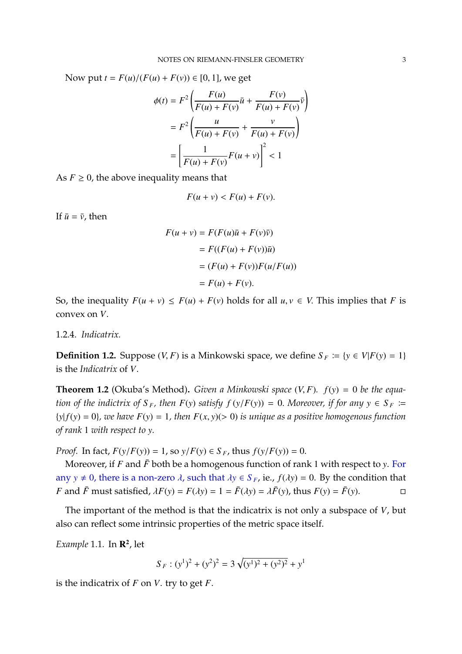Now put  $t = F(u)/(F(u) + F(v)) \in [0, 1]$ , we get

$$
\phi(t) = F^2 \left( \frac{F(u)}{F(u) + F(v)} \bar{u} + \frac{F(v)}{F(u) + F(v)} \bar{v} \right)
$$

$$
= F^2 \left( \frac{u}{F(u) + F(v)} + \frac{v}{F(u) + F(v)} \right)
$$

$$
= \left[ \frac{1}{F(u) + F(v)} F(u + v) \right]^2 < 1
$$

As  $F \geq 0$ , the above inequality means that

$$
F(u+v) < F(u) + F(v).
$$

If  $\bar{u} = \bar{v}$ , then

$$
F(u + v) = F(F(u)\overline{u} + F(v)\overline{v})
$$
  
= 
$$
F((F(u) + F(v))\overline{u})
$$
  
= 
$$
(F(u) + F(v))F(u/F(u))
$$
  
= 
$$
F(u) + F(v).
$$

So, the inequality  $F(u + v) \leq F(u) + F(v)$  holds for all  $u, v \in V$ . This implies that *F* is convex on *V*.

# 1.2.4. *Indicatrix.*

**Definition 1.2.** Suppose (*V*, *F*) is a Minkowski space, we define  $S_F := \{y \in V | F(y) = 1\}$ is the *Indicatrix* of *V*.

**Theorem 1.2** (Okuba's Method)**.** *Given a Minkowski space* (*V*, *<sup>F</sup>*)*. <sup>f</sup>*(*y*) <sup>=</sup> <sup>0</sup> *be the equation of the indictrix of*  $S_F$ , then  $F(y)$  satisfy  $f(y/F(y)) = 0$ . Moreover, if for any  $y \in S_F :=$  ${y|f(y) = 0}$ *, we have*  $F(y) = 1$ *, then*  $F(x, y)$ (> 0) *is unique as a positive homogenous function of rank* 1 *with respect to y.*

*Proof.* In fact,  $F(y/F(y)) = 1$ , so  $y/F(y) \in S_F$ , thus  $f(y/F(y)) = 0$ .

Moreover, if  $F$  and  $\bar{F}$  both be a homogenous function of rank 1 with respect to *y*. For any *y*  $\neq$  0, there is a non-zero  $\lambda$ , such that  $\lambda$ *y*  $\in$  *S*<sub>*F*</sub>, ie., *f*( $\lambda$ *y*) = 0. By the condition that *F* and *F* must satisfied,  $\lambda$ *F*(*y*) = *F*( $\lambda$ *y*) = *I* = *F*( $\lambda$ *y*) =  $\lambda$ *F*(*y*), thus *F F* and  $\bar{F}$  must satisfied,  $\lambda F(y) = F(\lambda y) = 1 = \bar{F}(\lambda y) = \lambda \bar{F}(y)$ , thus  $F(y) = \bar{F}(y)$ .

The important of the method is that the indicatrix is not only a subspace of *V*, but also can reflect some intrinsic properties of the metric space itself.

*Example* 1.1*.* In R 2 , let

$$
S_F : (y^1)^2 + (y^2)^2 = 3\sqrt{(y^1)^2 + (y^2)^2} + y^1
$$

is the indicatrix of *F* on *V*. try to get *F*.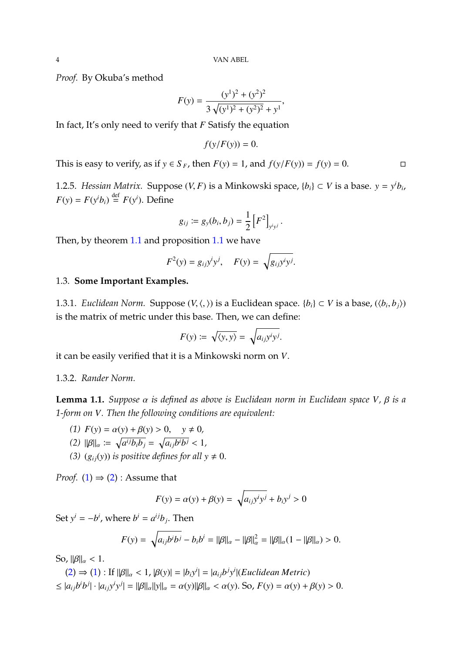*Proof.* By Okuba's method

$$
F(y) = \frac{(y^{1})^{2} + (y^{2})^{2}}{3\sqrt{(y^{1})^{2} + (y^{2})^{2}} + y^{1}},
$$

In fact, It's only need to verify that *F* Satisfy the equation

$$
f(y/F(y)) = 0.
$$

This is easy to verify, as if *y* ∈ *S*<sub>*F*</sub>, then *F*(*y*) = 1, and *f*(*y*/*F*(*y*)) = *f*(*y*) = 0. □

1.2.5. *Hessian Matrix.* Suppose  $(V, F)$  is a Minkowski space,  $\{b_i\} \subset V$  is a base.  $y = y^i b_i$ ,  $F(x) = F(x^i)$ ,  $\sum_{i=1}^{n} f(x^i)$  $F(y) = F(y^i b_i) \stackrel{\text{def}}{=} F(y^i)$ . Define

$$
g_{ij} := g_{y}(b_i, b_j) = \frac{1}{2} \left[ F^2 \right]_{y^i y^j}.
$$

Then, by theorem [1.1](#page-0-1) and proposition [1.1](#page-1-0) we have

$$
F^2(y) = g_{ij}y^iy^j, \quad F(y) = \sqrt{g_{ij}y^iy^j}.
$$

### 1.3. **Some Important Examples.**

1.3.1. *Euclidean Norm.* Suppose  $(V, \langle, \rangle)$  is a Euclidean space.  $\{b_i\} \subset V$  is a base,  $(\langle b_i, b_j \rangle)$ is the matrix of metric under this base. Then, we can define:

$$
F(y) := \sqrt{\langle y, y \rangle} = \sqrt{a_{ij}y^i y^j}.
$$

it can be easily verified that it is a Minkowski norm on *V*.

## 1.3.2. *Rander Norm.*

**Lemma 1.1.** *Suppose* α *is defined as above is Euclidean norm in Euclidean space <sup>V</sup>,* β *is a 1-form on V. Then the following conditions are equivalent:*

<span id="page-3-1"></span>

<span id="page-3-0"></span>(1) 
$$
F(y) = \alpha(y) + \beta(y) > 0, \quad y \neq 0,
$$
\n(2) 
$$
\|\beta\|_{\alpha} := \sqrt{a^{ij}b_{i}b_{j}} = \sqrt{a_{ij}b^{i}b^{j}} < 1,
$$
\n(3) 
$$
\beta \leq \alpha \leq \beta
$$
 for all

<span id="page-3-2"></span>*(3)*  $(g_{ij}(y))$  *is positive defines for all*  $y \neq 0$ .

*Proof.* [\(1\)](#page-3-0)  $\Rightarrow$  [\(2\)](#page-3-1) : Assume that

$$
F(y) = \alpha(y) + \beta(y) = \sqrt{a_{ij}y^i y^j} + b_i y^j > 0
$$

Set  $y^i = -b^i$ , where  $b^i = a^{ij}b_j$ . Then

$$
F(y) = \sqrt{a_{ij}b^ib^j} - b_ib^i = ||\beta||_{\alpha} - ||\beta||_{\alpha}^2 = ||\beta||_{\alpha}(1 - ||\beta||_{\alpha}) > 0.
$$

So,  $\|\beta\|_{\alpha} < 1$ .

$$
(2) \Rightarrow (1) : \text{If } ||\beta||_{\alpha} < 1, \, |\beta(y)| = |b_i y^i| = |a_{ij} b^j y^i| \text{ (Euclidean Metric)}
$$
\n
$$
\leq |a_{ij} b^i b^j| \cdot |a_{ij} y^i y^j| = ||\beta||_{\alpha} ||y||_{\alpha} = \alpha(y) ||\beta||_{\alpha} < \alpha(y). \text{ So, } F(y) = \alpha(y) + \beta(y) > 0.
$$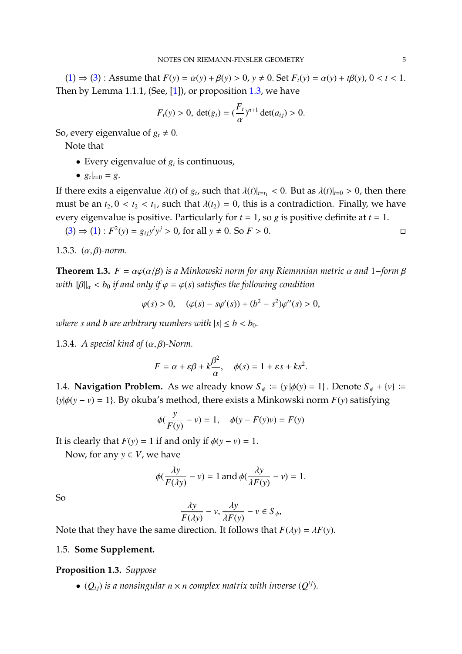[\(1\)](#page-3-0) ⇒ [\(3\)](#page-3-2) : Assume that  $F(y) = \alpha(y) + \beta(y) > 0$ ,  $y ≠ 0$ . Set  $F_t(y) = \alpha(y) + t\beta(y)$ ,  $0 < t < 1$ . Then by Lemma 1.1.1, (See,  $[1]$ ), or proposition [1.3,](#page-4-0) we have

$$
F_t(y) > 0
$$
,  $det(g_t) = \left(\frac{F_t}{\alpha}\right)^{n+1} det(a_{ij}) > 0$ .

So, every eigenvalue of  $g_t \neq 0$ .

Note that

- Every eigenvalue of  $g_i$  is continuous,
- $g_t|_{t=0} = g$ .

If there exits a eigenvalue  $\lambda(t)$  of  $g_t$ , such that  $\lambda(t)|_{t=t_1} < 0$ . But as  $\lambda(t)|_{t=0} > 0$ , then there must be an  $t_2$ ,  $0 < t_2 < t_1$ , such that  $\lambda(t_2) = 0$ , this is a contradiction. Finally, we have every eigenvalue is positive. Particularly for *t* = 1, so *g* is positive definite at *t* = 1.

$$
(3) \Rightarrow (1) : F^2(y) = g_{ij}y^i y^j > 0, \text{ for all } y \neq 0. \text{ So } F > 0.
$$

1.3.3. (α, β)*-norm.*

**Theorem 1.3.**  $F = \alpha \varphi(\alpha/\beta)$  *is a Minkowski norm for any Riemnnian metric*  $\alpha$  *and* 1−*form*  $\beta$ *with*  $\|\beta\|_{\alpha} < b_0$  *if and only if*  $\varphi = \varphi(s)$  *satisfies the following condition* 

$$
\varphi(s) > 0
$$
,  $(\varphi(s) - s\varphi'(s)) + (b^2 - s^2)\varphi''(s) > 0$ ,

*where s* and *b* are arbitrary numbers with  $|s| \le b < b_0$ .

1.3.4. *A special kind of*  $(\alpha, \beta)$ -Norm.

$$
F = \alpha + \varepsilon \beta + k \frac{\beta^2}{\alpha}, \quad \phi(s) = 1 + \varepsilon s + k s^2.
$$

1.4. **Navigation Problem.** As we already know  $S_{\phi} := \{y | \phi(y) = 1\}$ . Denote  $S_{\phi} + \{v\} := \{y | \phi(y) = 1\}$ .  ${y|\phi(y - v) = 1}$ . By okuba's method, there exists a Minkowski norm  $F(y)$  satisfying

$$
\phi(\frac{y}{F(y)} - v) = 1, \quad \phi(y - F(y)v) = F(y)
$$

It is clearly that  $F(y) = 1$  if and only if  $\phi(y - v) = 1$ .

Now, for any  $y \in V$ , we have

$$
\phi(\frac{\lambda y}{F(\lambda y)} - v) = 1 \text{ and } \phi(\frac{\lambda y}{\lambda F(y)} - v) = 1.
$$

So

$$
\frac{\lambda y}{F(\lambda y)} - v, \frac{\lambda y}{\lambda F(y)} - v \in S_{\phi},
$$
  
function. It follows that

Note that they have the same direction. It follows that  $F(\lambda y) = \lambda F(y)$ .

#### 1.5. **Some Supplement.**

<span id="page-4-0"></span>**Proposition 1.3.** *Suppose*

•  $(Q_{ij})$  *is a nonsingular n* × *n complex matrix with inverse*  $(Q^{ij})$ *.*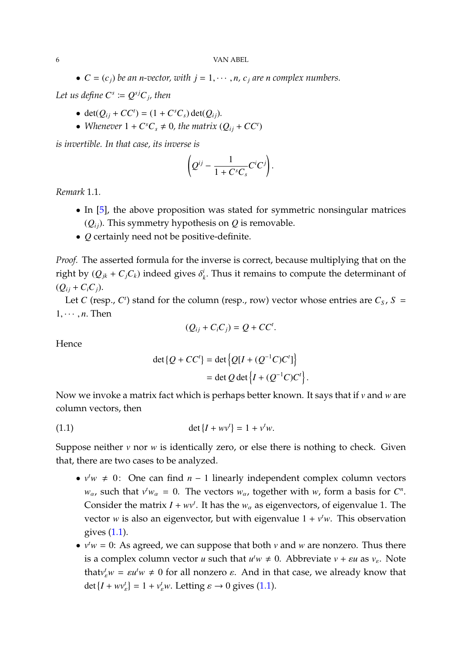•  $C = (c_i)$  *be an n-vector, with*  $j = 1, \dots, n$ ,  $c_i$  *are n complex numbers.* 

*Let us define*  $C^s \coloneqq Q^{sj}C_j$ , then

- det $(Q_{ij} + CC^t) = (1 + C^sC_s) \det(Q_{ij}).$
- *Whenever*  $1 + C^sC_s \neq 0$ , the matrix  $(Q_{ij} + CC^t)$

*is invertible. In that case, its inverse is*

$$
\left(Q^{ij}-\frac{1}{1+C^sC_s}C^iC^j\right).
$$

*Remark* 1.1*.*

- In [\[5\]](#page-79-1), the above proposition was stated for symmetric nonsingular matrices  $(Q_{ii})$ . This symmetry hypothesis on  $Q$  is removable.
- *Q* certainly need not be positive-definite.

*Proof.* The asserted formula for the inverse is correct, because multiplying that on the right by  $(Q_{jk} + C_j C_k)$  indeed gives  $\delta^i_j$ *k* . Thus it remains to compute the determinant of  $(Q_{ij} + C_i C_j)$ .

Let *C* (resp., *C*<sup> $t$ </sup>) stand for the column (resp., row) vector whose entries are  $C_s$ ,  $S =$  $1, \cdots, n$ . Then

$$
(Q_{ij}+C_iC_j)=Q+CC^t.
$$

Hence

<span id="page-5-0"></span>
$$
\det \{Q + CC^t\} = \det \left\{ Q[I + (Q^{-1}C)C^t] \right\}
$$

$$
= \det Q \det \left\{ I + (Q^{-1}C)C^t \right\}.
$$

Now we invoke a matrix fact which is perhaps better known. It says that if *v* and *w* are column vectors, then

(1.1) 
$$
\det\{I + w v^t\} = 1 + v^t w.
$$

Suppose neither *v* nor *w* is identically zero, or else there is nothing to check. Given that, there are two cases to be analyzed.

- $v^t w \neq 0$ : One can find *n* − 1 linearly independent complex column vectors *w*<sub>α</sub>, such that  $v^t w_\alpha = 0$ . The vectors  $w_\alpha$ , together with *w*, form a basis for *C<sup>n</sup>*. Consider the matrix  $I + wv^t$ . It has the  $w_\alpha$  as eigenvectors, of eigenvalue 1. The vector *w* is also an eigenvector, but with eigenvalue  $1 + v<sup>t</sup>w$ . This observation gives [\(1.1\)](#page-5-0).
- $v^t w = 0$ : As agreed, we can suppose that both *v* and *w* are nonzero. Thus there is a complex column vector *u* such that  $u^t w \neq 0$ . Abbreviate  $v + \varepsilon u$  as  $v_{\varepsilon}$ . Note that  $v_e^t w = \varepsilon u^t w \neq 0$  for all nonzero  $\varepsilon$ . And in that case, we already know that det  $\{I + w v_{\varepsilon}^t\} = 1 + v_{\varepsilon}^t w$ . Letting  $\varepsilon \to 0$  gives [\(1.1\)](#page-5-0).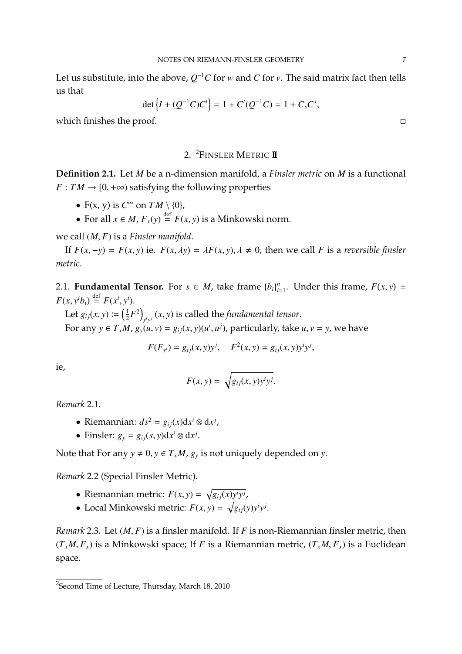Let us substitute, into the above,  $Q^{-1}C$  for *w* and *C* for *v*. The said matrix fact then tells us that

$$
\det\left\{I + (Q^{-1}C)C^t\right\} = 1 + C^t(Q^{-1}C) = 1 + C_sC^s,
$$

which finishes the proof.

# 2. [2](#page-6-0) FINSLER METRIC **II**

**Definition 2.1.** Let *M* be a n-dimension manifold, a *Finsler metric* on *M* is a functional  $F: TM \rightarrow [0, +\infty)$  satisfying the following properties

- $F(x, y)$  is  $C^{\infty}$  on  $TM \setminus \{0\}$ ,
- For all  $x \in M$ ,  $F_x(y) \stackrel{\text{def}}{=} F(x, y)$  is a Minkowski norm.

we call (*M*, *<sup>F</sup>*) is a *Finsler manifold*.

If  $F(x, -y) = F(x, y)$  ie.  $F(x, \lambda y) = \lambda F(x, y), \lambda \neq 0$ , then we call *F* is a *reversible finsler metric*.

2.1. **Fundamental Tensor.** For  $s \in M$ , take frame  ${b_i}_{i}^{n}$  $\sum_{i=1}^{n}$ . Under this frame,  $F(x, y) =$  $F(x, y^i b_i) \stackrel{\text{def}}{=} F(x^i, y^i).$ 

Let  $g_{ij}(x, y) \coloneqq \left(\frac{1}{2}\right)$  $(\frac{1}{2}F^2)$  $y_j$ <sup>*i*</sup> $y_j$ </sub> (*x*, *y*) is called the *fundamental tensor*. For any  $y \in T_xM$ ,  $g_y(u, v) = g_{ij}(x, y)(u^i, u^j)$ , particularly, take  $u, v = y$ , we have

$$
F(F_{y^{i}}) = g_{ij}(x, y)y^{j}, \quad F^{2}(x, y) = g_{ij}(x, y)y^{i}y^{j},
$$

ie,

$$
F(x, y) = \sqrt{g_{ij}(x, y)y^i y^j}.
$$

*Remark* 2.1*.*

- Riemannian:  $ds^2 = g_{ij}(x)dx^i \otimes dx^j$ ,
- Finsler:  $g_y = g_{ij}(s, y) dx^i \otimes dx^j$ .

Note that For any  $y \neq 0$ ,  $y \in T_xM$ ,  $g_y$  is not uniquely depended on *y*.

*Remark* 2.2 (Special Finsler Metric)*.*

- Riemannian metric:  $F(x, y) = \sqrt{g_{ij}(x)y^i y^j}$ ,
- Local Minkowski metric:  $F(x, y) = \sqrt{g_{ij}(y)y^i y^j}$ .

*Remark* 2.3*.* Let (*M*, *<sup>F</sup>*) is a finsler manifold. If *<sup>F</sup>* is non-Riemannian finsler metric, then  $(T_xM, F_x)$  is a Minkowski space; If *F* is a Riemannian metric,  $(T_xM, F_x)$  is a Euclidean space.

<span id="page-6-0"></span> $^{2}$ Second Time of Lecture, Thursday, March 18, 2010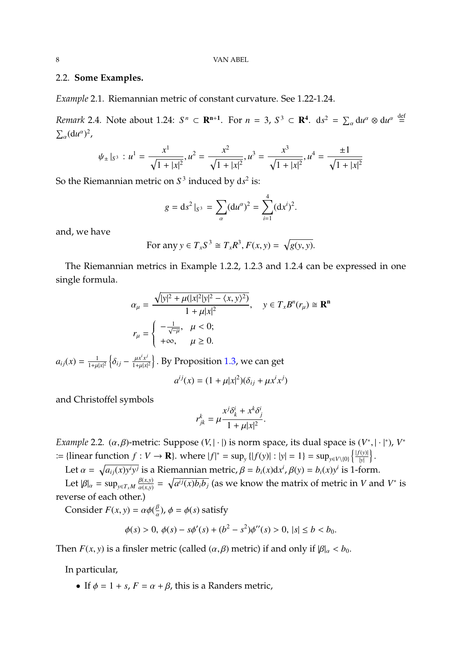#### 2.2. **Some Examples.**

*Example* 2.1*.* Riemannian metric of constant curvature. See 1.22-1.24.

*Remark* 2.4*.* Note about 1.24:  $S^n \subset \mathbb{R}^{n+1}$ . For  $n = 3$ ,  $S^3 \subset \mathbb{R}^4$ .  $ds^2 = \sum_{\alpha} du^{\alpha} \otimes du^{\alpha}$ def =  $\sum_{\alpha}$ (du<sup> $\alpha$ </sup>)<sup>2</sup>,

$$
\psi_{\pm} |_{S^3} : u^1 = \frac{x^1}{\sqrt{1+|x|^2}}, u^2 = \frac{x^2}{\sqrt{1+|x|^2}}, u^3 = \frac{x^3}{\sqrt{1+|x|^2}}, u^4 = \frac{\pm 1}{\sqrt{1+|x|^2}}
$$

So the Riemannian metric on  $S^3$  induced by  $ds^2$  is:

$$
g = ds^2|_{S^3} = \sum_{\alpha} (du^{\alpha})^2 = \sum_{i=1}^4 (dx^i)^2.
$$

and, we have

For any 
$$
y \in T_x S^3 \cong T_x R^3
$$
,  $F(x, y) = \sqrt{g(y, y)}$ .

The Riemannian metrics in Example 1.2.2, 1.2.3 and 1.2.4 can be expressed in one single formula.

$$
\alpha_{\mu} = \frac{\sqrt{|y|^2 + \mu(|x|^2|y|^2 - \langle x, y \rangle^2)}}{1 + \mu|x|^2}, \quad y \in T_x B^n(r_{\mu}) \cong \mathbf{R}^n
$$

$$
r_{\mu} = \begin{cases} -\frac{1}{\sqrt{-\mu}}, & \mu < 0; \\ +\infty, & \mu \ge 0. \end{cases}
$$

 $a_{ij}(x) = \frac{1}{1+u}$  $\frac{1}{1+\mu|x|^2} \left\{ \delta_{ij} - \frac{\mu x^i x^j}{1+\mu|x|} \right\}$  $\left\{\frac{\mu x^i x^j}{1+\mu |x|^2}\right\}$ . By Proposition [1.3,](#page-4-0) we can get

$$
a^{ij}(x) = (1 + \mu |x|^2)(\delta_{ij} + \mu x^i x^j)
$$

and Christoffel symbols

$$
r_{jk}^k = \mu \frac{x^j \delta_k^i + x^k \delta_j^i}{1 + \mu |x|^2}.
$$

*Example* 2.2*.* ( $\alpha$ , $\beta$ )-metric: Suppose ( $V$ , | · |) is norm space, its dual space is  $(V^*, | \cdot |^*)$ ,  $V^*$  $B := \{\text{linear function } f : V \to \mathbf{R}\}.$  where  $|f|^* = \sup_y \{|f(y)| : |y| = 1\} = \sup_{y \in V \setminus \{0\}} \left\{ \frac{|f(y)|}{|y|} \right\}$  $\frac{f(y)|}{|y|}$ 

Let  $\alpha = \sqrt{a_{ij}(x)y^i y^j}$  is a Riemannian metric,  $\beta = b_i(x) dx^i$ ,  $\beta(y) = b_i(x) y^i$  is 1-form.

Let  $|\beta|_{\alpha} = \sup_{y \in T_x M} \frac{\beta(x, y)}{\alpha(x, y)}$  $\frac{\beta(x,y)}{\alpha(x,y)} = \sqrt{a^{ij}(x)b_ib_j}$  (as we know the matrix of metric in *V* and *V*<sup>\*</sup> is reverse of each other.)

Consider  $F(x, y) = \alpha \phi(\frac{\beta}{a})$  $\frac{\beta}{\alpha}$ ),  $\phi = \phi(s)$  satisfy

$$
\phi(s) > 0, \ \phi(s) - s\phi'(s) + (b^2 - s^2)\phi''(s) > 0, \ |s| \le b < b_0.
$$

Then *F*(*x*, *y*) is a finsler metric (called ( $\alpha$ , $\beta$ ) metric) if and only if  $|\beta|_{\alpha} < b_0$ .

In particular,

• If  $\phi = 1 + s$ ,  $F = \alpha + \beta$ , this is a Randers metric,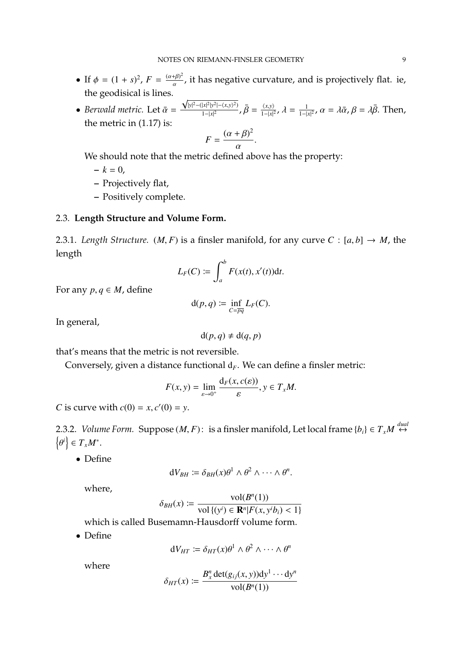- If  $\phi = (1 + s)^2$ ,  $F = \frac{(\alpha + \beta)^2}{\alpha}$ , it has negative curvature, and is projectively flat. ie, the geodisical is lines.
- *Berwald metric.* Let  $\bar{\alpha} =$  $\sqrt{|y|^2-(|x|^2|y^2|-\langle x,y\rangle^2)}$ 1−|*x*| 2 ,  $\bar{\beta} = \frac{\langle x, y \rangle}{1 - |x|^2}$ ,  $\lambda = \frac{1}{1 - |x|^2}$  $1 - |x|^2$ ,  $\alpha = \lambda \bar{\alpha}$ ,  $\beta = \lambda \bar{\beta}$ . Then, the metric in (1.17) is:

$$
F = \frac{(\alpha + \beta)^2}{\alpha}.
$$

We should note that the metric defined above has the property:

 $-k = 0$ ,

- **–** Projectively flat,
- **–** Positively complete.

#### 2.3. **Length Structure and Volume Form.**

2.3.1. *Length Structure.* (*M, F*) is a finsler manifold, for any curve  $C : [a, b] \rightarrow M$ , the length

$$
L_F(C) \coloneqq \int_a^b F(x(t), x'(t)) \mathrm{d}t.
$$

For any  $p, q \in M$ , define

$$
\mathrm{d}(p,q)\coloneqq\inf_{C=\overline{pq}}L_F(C).
$$

In general,

$$
d(p,q) \neq d(q,p)
$$

that's means that the metric is not reversible.

Conversely, given a distance functional  $d_F$ . We can define a finsler metric:

$$
F(x, y) = \lim_{\varepsilon \to 0^+} \frac{d_F(x, c(\varepsilon))}{\varepsilon}, y \in T_x M.
$$

*C* is curve with  $c(0) = x, c'(0) = y$ .

2.3.2. *Volume Form.* Suppose  $(M, F)$ : is a finsler manifold, Let local frame  $\{b_i\} \in T_x M \stackrel{dual}{\leftrightarrow}$ n  $\left| i \right\rangle$  ∈  $T_xM^*$ .

• Define

$$
dV_{BH} := \delta_{BH}(x)\theta^1 \wedge \theta^2 \wedge \cdots \wedge \theta^n.
$$

where,

$$
\delta_{BH}(x) := \frac{\text{vol}(B^n(1))}{\text{vol}\left\{(\mathbf{y}^i) \in \mathbf{R}^n | F(x, \mathbf{y}^i b_i) < 1\right\}}
$$

 $\bigcup_{B}^{B}(\mathcal{X}) \leftarrow \text{vol}\{(y^i) \in \mathbf{R}^n | F(x, y^i b_i) < 1 \}$ <br>which is called Busemamn-Hausdorff volume form.

• Define

$$
dV_{HT} := \delta_{HT}(x)\theta^1 \wedge \theta^2 \wedge \cdots \wedge \theta^n
$$

where

$$
\delta_{HT}(x) \coloneqq \frac{B_x^n \det(g_{ij}(x, y)) \mathrm{d}y^1 \cdots \mathrm{d}y^n}{\mathrm{vol}(B^n(1))}
$$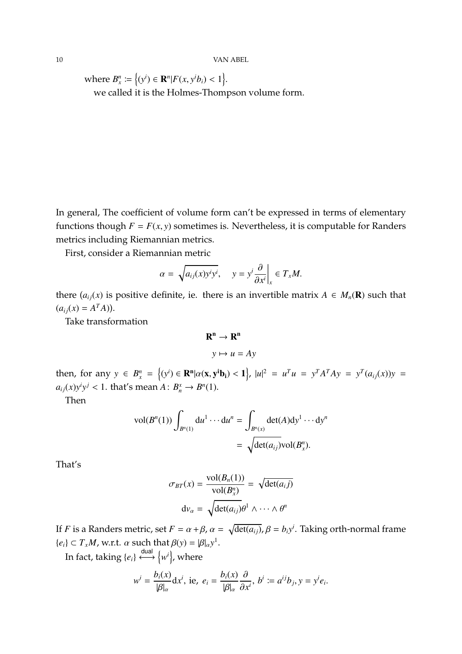where  $B_x^n := \{(y^i) \in \mathbb{R}^n | F(x, y^i b_i) < 1 \}.$ we called it is the Holmes-Thompson volume form.

In general, The coefficient of volume form can't be expressed in terms of elementary functions though  $F = F(x, y)$  sometimes is. Nevertheless, it is computable for Randers metrics including Riemannian metrics.

First, consider a Riemannian metric

$$
\alpha = \sqrt{a_{ij}(x)y^i y^i}, \quad y = y^i \frac{\partial}{\partial x^i} \bigg|_x \in T_x M.
$$

there  $(a_{ij}(x)$  is positive definite, ie. there is an invertible matrix  $A \in M_n(\mathbf{R})$  such that  $(a_{ij}(x) = A^T A)$ .

Take transformation

$$
\mathbf{R}^{\mathbf{n}} \to \mathbf{R}^{\mathbf{n}}
$$

$$
y \mapsto u = Ay
$$

then, for any  $y \in B_x^n = \{(y^i) \in \mathbb{R}^n | \alpha(x, y^i b_i) < 1\}$ ,  $|u|^2 = u^T u = y^T A^T A y = y^T (a_{ij}(x)) y =$  $a_{ij}(x)y^i y^j < 1$ . that's mean  $A: B_n^x \to B^n(1)$ .

Then

$$
\text{vol}(B^n(1)) \int_{B^n(1)} \mathrm{d}u^1 \cdots \mathrm{d}u^n = \int_{B^n(x)} \det(A) \mathrm{d}y^1 \cdots \mathrm{d}y^n
$$

$$
= \sqrt{\det(a_{ij})} \text{vol}(B^n_x).
$$

That's

$$
\sigma_{BT}(x) = \frac{\text{vol}(B_n(1))}{\text{vol}(B_x^n)} = \sqrt{\text{det}(a_{ij})}
$$

$$
\text{d}v_{\alpha} = \sqrt{\text{det}(a_{ij})} \theta^1 \wedge \dots \wedge \theta^n
$$

If *F* is a Randers metric, set  $F = \alpha + \beta$ ,  $\alpha = \sqrt{\det(a_{ij})}$ ,  $\beta = b_i y^i$ . Taking orth-normal frame  ${e_i} \subset T_xM$ , w.r.t.  $\alpha$  such that  $\beta(y) = |\beta|_{\alpha}y^1$ .

In fact, taking  $\{e_i\} \stackrel{\mathsf{dual}}{\longleftrightarrow} \{w^i\}$ , where

$$
w^{i} = \frac{b_{i}(x)}{|\beta|_{\alpha}} dx^{i}, \text{ ie, } e_{i} = \frac{b_{i}(x)}{|\beta|_{\alpha}} \frac{\partial}{\partial x^{i}}, b^{i} := a^{ij}b_{j}, y = y^{i}e_{i}.
$$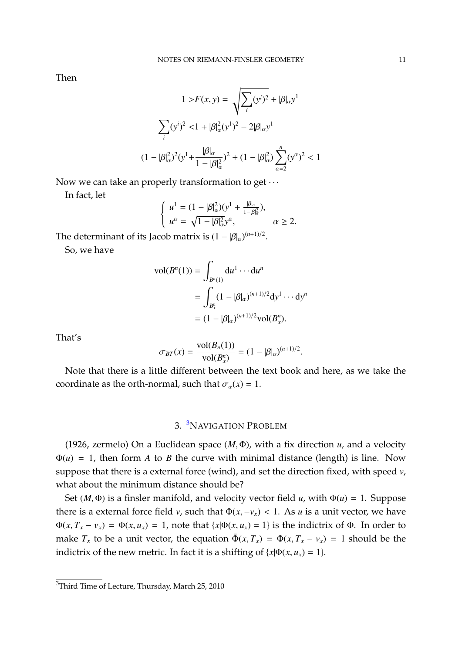Then

$$
1 > F(x, y) = \sqrt{\sum_{i} (y^{i})^{2}} + |\beta|_{\alpha} y^{1}
$$

$$
\sum_{i} (y^{i})^{2} < 1 + |\beta|_{\alpha}^{2} (y^{1})^{2} - 2|\beta|_{\alpha} y^{1}
$$

$$
(1 - |\beta|_{\alpha}^{2})^{2} (y^{1} + \frac{|\beta|_{\alpha}}{1 - |\beta|_{\alpha}^{2}})^{2} + (1 - |\beta|_{\alpha}^{2}) \sum_{\alpha=2}^{n} (y^{\alpha})^{2} < 1
$$

Now we can take an properly transformation to get  $\cdots$ 

In fact, let

$$
\begin{cases}\n u^1 = (1 - |\beta|_\alpha^2)(y^1 + \frac{|\beta|_\alpha}{1 - |\beta|_\alpha^2}), \\
 u^\alpha = \sqrt{1 - |\beta|_\alpha^2}y^\alpha, \quad \alpha \ge 2.\n\end{cases}
$$

The determinant of its Jacob matrix is  $(1 - |\beta|_{\alpha})^{(n+1)/2}$ .

So, we have

$$
\text{vol}(B^n(1)) = \int_{B^n(1)} \text{d}u^1 \cdots \text{d}u^n
$$
  
= 
$$
\int_{B^n_x} (1 - |\beta|_\alpha)^{(n+1)/2} \text{d}y^1 \cdots \text{d}y^n
$$
  
= 
$$
(1 - |\beta|_\alpha)^{(n+1)/2} \text{vol}(B^n_x).
$$

That's

$$
\sigma_{BT}(x) = \frac{\text{vol}(B_n(1))}{\text{vol}(B_x^n)} = (1 - |\beta|_\alpha)^{(n+1)/2}.
$$

Note that there is a little different between the text book and here, as we take the coordinate as the orth-normal, such that  $\sigma_{\alpha}(x) = 1$ .

# 3. [3](#page-10-0)NAVIGATION PROBLEM

(1926, zermelo) On a Euclidean space (*M*, <sup>Φ</sup>), with a fix direction *<sup>u</sup>*, and a velocity  $\Phi(u) = 1$ , then form *A* to *B* the curve with minimal distance (length) is line. Now suppose that there is a external force (wind), and set the direction fixed, with speed *v*, what about the minimum distance should be?

Set ( $M$ ,  $\Phi$ ) is a finsler manifold, and velocity vector field *u*, with  $\Phi$ (*u*) = 1. Suppose there is a external force field *v*, such that  $\Phi(x, -v_x) < 1$ . As *u* is a unit vector, we have <sup>Φ</sup>(*x*, *<sup>T</sup><sup>x</sup>* <sup>−</sup> *<sup>v</sup>x*) = Φ(*x*, *<sup>u</sup>x*) <sup>=</sup> <sup>1</sup>, note that {*x*|Φ(*x*, *<sup>u</sup>x*) <sup>=</sup> <sup>1</sup>} is the indictrix of <sup>Φ</sup>. In order to make  $T_x$  to be a unit vector, the equation  $\bar{\Phi}(x, T_x) = \Phi(x, T_x - v_x) = 1$  should be the indictrix of the new metric. In fact it is a shifting of  $\{x | \Phi(x, u_x) = 1\}$ .

<span id="page-10-0"></span><sup>&</sup>lt;sup>3</sup>Third Time of Lecture, Thursday, March 25, 2010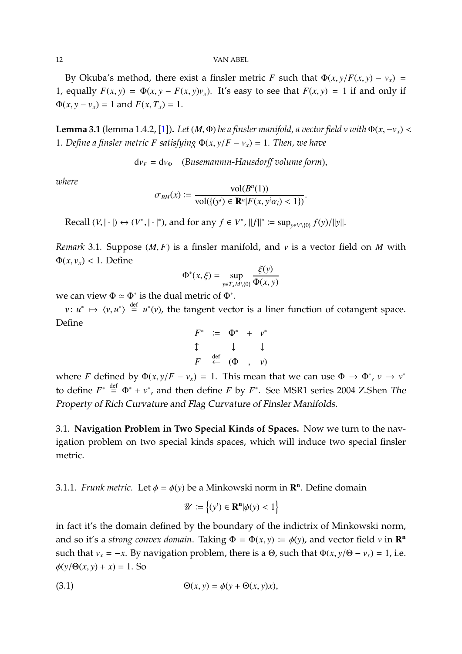#### 12 VAN ABEL

By Okuba's method, there exist a finsler metric *F* such that  $\Phi(x, y/F(x, y) - v_x) =$ 1, equally  $F(x, y) = \Phi(x, y - F(x, y)v_x)$ . It's easy to see that  $F(x, y) = 1$  if and only if  $\Phi(x, y - v_x) = 1$  and  $F(x, T_x) = 1$ .

**Lemma 3.1** (lemma 1.4.2, [\[1\]](#page-79-0)). *Let*  $(M, \Phi)$  *be a finsler manifold, a vector field*  $v$  *with*  $\Phi(x, -v_x)$  < 1*. Define a finsler metric F satisfying*  $\Phi(x, y/F - y) = 1$ *. Then, we have* 

 $dv_F = dv_{\Phi}$  (*Busemanmn-Hausdorff volume form*),

*where*

$$
\sigma_{BH}(x) \coloneqq \frac{\text{vol}(B^n(1))}{\text{vol}(\{(y^i) \in \mathbf{R}^n | F(x, y^i \alpha_i) < 1)\}}
$$

Recall  $(V, |\cdot|) \leftrightarrow (V^*, |\cdot|^*)$ , and for any  $f \in V^*$ ,  $||f||^* := \sup_{y \in V \setminus \{0\}} f(y) / ||y||$ .

*Remark* 3.1*.* Suppose (*M*, *<sup>F</sup>*) is a finsler manifold, and *<sup>v</sup>* is a vector field on *<sup>M</sup>* with  $\Phi(x, v_x)$  < 1. Define ξ(*y*)

$$
\Phi^*(x,\xi) = \sup_{y \in T_x M \setminus \{0\}} \frac{\xi(y)}{\Phi(x,y)}
$$

we can view  $\Phi \simeq \Phi^*$  is the dual metric of  $\Phi^*$ .

*v*:  $u^* \mapsto \langle v, u^* \rangle \stackrel{\text{def}}{=} u^*(v)$ , the tangent vector is a liner function of cotangent space. Define

$$
F^* := \Phi^* + v^*
$$
  
\n
$$
\updownarrow \qquad \downarrow
$$
  
\n
$$
F \stackrel{\text{def}}{\leftarrow} (\Phi , v)
$$

where *F* defined by  $\Phi(x, y/F - v_x) = 1$ . This mean that we can use  $\Phi \to \Phi^*$ ,  $v \to v^*$ to define  $F^* \stackrel{\text{def}}{=} \Phi^* + v^*$ , and then define *F* by  $F^*$ . See MSR1 series 2004 Z.Shen *The* Property of Rich Curvature and Flag Curvature of Finsler Manifolds.

3.1. **Navigation Problem in Two Special Kinds of Spaces.** Now we turn to the navigation problem on two special kinds spaces, which will induce two special finsler metric.

3.1.1. *Frunk metric*. Let  $\phi = \phi(y)$  be a Minkowski norm in  $\mathbb{R}^n$ . Define domain

<span id="page-11-0"></span>
$$
\mathscr{U} := \left\{ (y^i) \in \mathbf{R}^n | \phi(y) < 1 \right\}
$$

in fact it's the domain defined by the boundary of the indictrix of Minkowski norm, and so it's a *strong convex domain*. Taking  $\Phi = \Phi(x, y) := \phi(y)$ , and vector field *v* in  $\mathbb{R}^n$ such that  $v_x = -x$ . By navigation problem, there is a  $\Theta$ , such that  $\Phi(x, y/\Theta - v_x) = 1$ , i.e.  $\phi(y/\Theta(x, y) + x) = 1$ . So

(3.1) 
$$
\Theta(x, y) = \phi(y + \Theta(x, y)x),
$$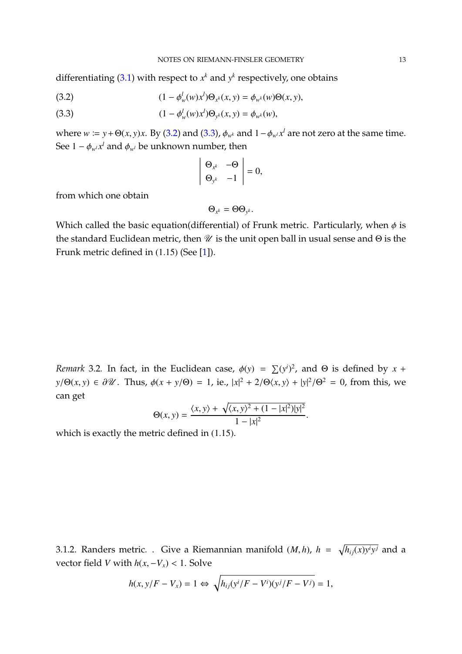differentiating [\(3.1\)](#page-11-0) with respect to  $x^k$  and  $y^k$  respectively, one obtains

<span id="page-12-1"></span><span id="page-12-0"></span>(3.2) 
$$
(1 - \phi_w^l(w)x^l) \Theta_{x^k}(x, y) = \phi_{w^k}(w) \Theta(x, y),
$$

(3.3) 
$$
(1 - \phi_w^l(w)x^l) \Theta_{y^k}(x, y) = \phi_{w^k}(w),
$$

where  $w := y + \Theta(x, y)x$ . By [\(3.2\)](#page-12-0) and [\(3.3\)](#page-12-1),  $\phi_{w^k}$  and  $1 - \phi_{w^l} x^l$  are not zero at the same time. See  $1 - \phi_{w^l} x^l$  and  $\phi_{w^l}$  be unknown number, then

$$
\left|\begin{array}{cc} \Theta_{x^k} & -\Theta \\ \Theta_{y^k} & -1 \end{array}\right|=0,
$$

from which one obtain

$$
\Theta_{x^k}=\Theta\Theta_{y^k}.
$$

Which called the basic equation(differential) of Frunk metric. Particularly, when  $\phi$  is the matrice of the matrice of the matrice of the matrice of the matrice of the matrice of the matrice of the matrice of the matrice the standard Euclidean metric, then  $\mathscr U$  is the unit open ball in usual sense and  $\Theta$  is the Frunk metric defined in (1.15) (See [\[1\]](#page-79-0)).

*Remark* 3.2*.* In fact, in the Euclidean case,  $\phi(y) = \sum (y^i)^2$ , and Θ is defined by *x* + *y*/Θ(*x*, *y*) ∈ ∂*U*. Thus,  $\phi(x + y/\Theta) = 1$ , ie.,  $|x|^2 + 2/\Theta\langle x, y \rangle + |y|^2/\Theta^2 = 0$ , from this, we can get

$$
\Theta(x, y) = \frac{\langle x, y \rangle + \sqrt{\langle x, y \rangle^2 + (1 - |x|^2)|y|^2}}{1 - |x|^2}.
$$

which is exactly the metric defined in (1.15).

3.1.2. Randers metric. . Give a Riemannian manifold  $(M, h)$ ,  $h = \sqrt{h_{ij}(x)y^i y^j}$  and a vector field *V* with  $h(x, -V_x) < 1$ . Solve

$$
h(x, y/F - V_x) = 1 \Leftrightarrow \sqrt{h_{ij}(y^i/F - V^i)(y^j/F - V^j)} = 1,
$$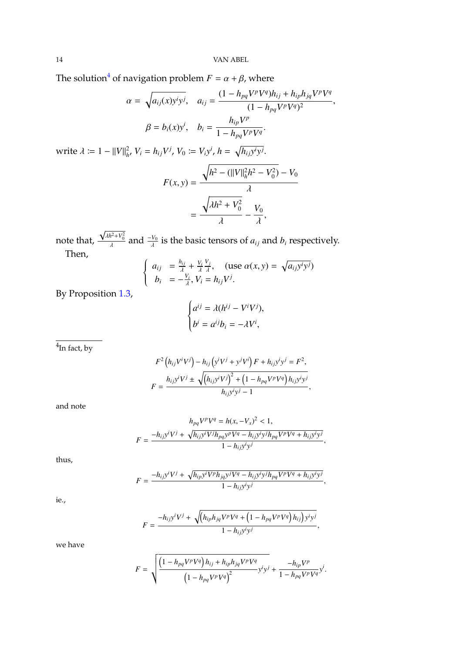The solution<sup>[4](#page-13-0)</sup> of navigation problem  $F = \alpha + \beta$ , where

$$
\alpha = \sqrt{a_{ij}(x)y^i y^j}, \quad a_{ij} = \frac{(1 - h_{pq} V^p V^q) h_{ij} + h_{ip} h_{jq} V^p V^q}{(1 - h_{pq} V^p V^q)^2},
$$

$$
\beta = b_i(x) y^i, \quad b_i = \frac{h_{ip} V^p}{1 - h_{pq} V^p V^q}.
$$

write  $\lambda := 1 - ||V||_{h'}^2$ ,  $V_i = h_{ij}V^j$ ,  $V_0 := V_i y^i$ ,  $h = \sqrt{h_{ij}y^i y^j}$ .

$$
F(x, y) = \frac{\sqrt{h^2 - (||V||_h^2 h^2 - V_0^2)} - V_0}{\lambda}
$$

$$
= \frac{\sqrt{\lambda h^2 + V_0^2}}{\lambda} - \frac{V_0}{\lambda},
$$

note that, √  $\lambda h^2 + V_0^2$ and  $\frac{-V_0}{\lambda}$ is the basic tensors of  $a_{ij}$  and  $b_i$  respectively. Then,

$$
\begin{cases}\n a_{ij} = \frac{h_{ij}}{\lambda} + \frac{V_i}{\lambda} \frac{V_j}{\lambda}, & (use \ \alpha(x, y) = \sqrt{a_{ij} y^i y^j}) \\
 b_i = -\frac{V_i}{\lambda}, V_i = h_{ij} V^j.\n\end{cases}
$$

By Proposition [1.3,](#page-4-0)

$$
\begin{cases} a^{ij} = \lambda (h^{ij} - V^i V^j), \\ b^i = a^{ij} b_i = -\lambda V^i, \end{cases}
$$

<span id="page-13-0"></span> $^4$ In fact, by

$$
F^{2} (h_{ij}V^{i}V^{j}) - h_{ij} (y^{i}V^{j} + y^{j}V^{i}) F + h_{ij}y^{i}y^{j} = F^{2},
$$
  

$$
F = \frac{h_{ij}y^{i}V^{j} \pm \sqrt{(h_{ij}y^{i}V^{j})^{2} + (1 - h_{pq}V^{p}V^{q})h_{ij}y^{i}y^{j}}}{h_{ij}y^{i}y^{j} - 1},
$$

and note

$$
h_{pq}V^{p}V^{q} = h(x, -V_{x})^{2} < 1,
$$
  

$$
F = \frac{-h_{ij}y^{i}V^{j} + \sqrt{h_{ij}y^{i}V^{j}h_{pq}y^{p}V^{q} - h_{ij}y^{i}y^{j}h_{pq}V^{p}V^{q} + h_{ij}y^{i}y^{j}}}{1 - h_{ij}y^{i}y^{j}},
$$

thus,

$$
F = \frac{-h_{ij}y^iV^j + \sqrt{h_{ip}y^iV^ph_{jq}y^jV^q - h_{ij}y^iy^jh_{pq}V^pV^q + h_{ij}y^iy^j}}{1 - h_{ij}y^iy^j},
$$

ie.,

$$
F = \frac{-h_{ij}y^{i}V^{j} + \sqrt{(h_{ip}h_{jq}V^{p}V^{q} + (1 - h_{pq}V^{p}V^{q})h_{ij})y^{i}y^{j}}}{1 - h_{ij}y^{i}y^{j}}
$$

,

we have

$$
F = \sqrt{\frac{\left(1 - h_{pq}V^{p}V^{q}\right)h_{ij} + h_{ip}h_{jq}V^{p}V^{q}}{\left(1 - h_{pq}V^{p}V^{q}\right)^{2}}y^{i}y^{j}} + \frac{-h_{ip}V^{p}}{1 - h_{pq}V^{p}V^{q}}y^{i}}.
$$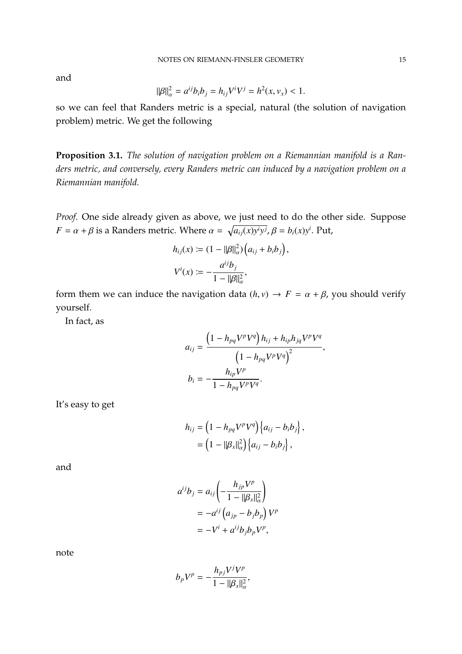and

$$
\|\beta\|_{\alpha}^2 = a^{ij}b_ib_j = h_{ij}V^iV^j = h^2(x, v_x) < 1.
$$

so we can feel that Randers metric is a special, natural (the solution of navigation problem) metric. We get the following

**Proposition 3.1.** *The solution of navigation problem on a Riemannian manifold is a Randers metric, and conversely, every Randers metric can induced by a navigation problem on a Riemannian manifold.*

*Proof.* One side already given as above, we just need to do the other side. Suppose *F* =  $\alpha + \beta$  is a Randers metric. Where  $\alpha = \sqrt{a_{ij}(x)y^i y^j}$ ,  $\beta = b_i(x)y^i$ . Put,

$$
h_{ij}(x) := (1 - ||\beta||_{\alpha}^{2}) (a_{ij} + b_{i}b_{j})
$$
  

$$
V^{i}(x) := -\frac{a^{ij}b_{j}}{1 - ||\beta||_{\alpha}^{2}},
$$

form them we can induce the navigation data  $(h, v) \rightarrow F = \alpha + \beta$ , you should verify yourself.

In fact, as

$$
a_{ij} = \frac{\left(1 - h_{pq}V^pV^q\right)h_{ij} + h_{ip}h_{jq}V^pV^q}{\left(1 - h_{pq}V^pV^q\right)^2},
$$

$$
b_i = -\frac{h_{ip}V^p}{1 - h_{pq}V^pV^q}.
$$

,

It's easy to get

$$
h_{ij} = \left(1 - h_{pq}V^pV^q\right)\left\{a_{ij} - b_ib_j\right\},\
$$

$$
= \left(1 - ||\beta_x||^2_{\alpha}\right)\left\{a_{ij} - b_ib_j\right\},\
$$

and

$$
a^{ij}b_j = a_{ij} \left( -\frac{h_{jp}V^p}{1 - ||\beta_x||^2_{\alpha}} \right)
$$
  
= 
$$
-a^{ij} \left( a_{jp} - b_j b_p \right) V^p
$$
  
= 
$$
-V^i + a^{ij} b_j b_p V^p,
$$

note

$$
b_p V^p = -\frac{h_{pj} V^j V^p}{1 - ||\beta_x||^2_\alpha},
$$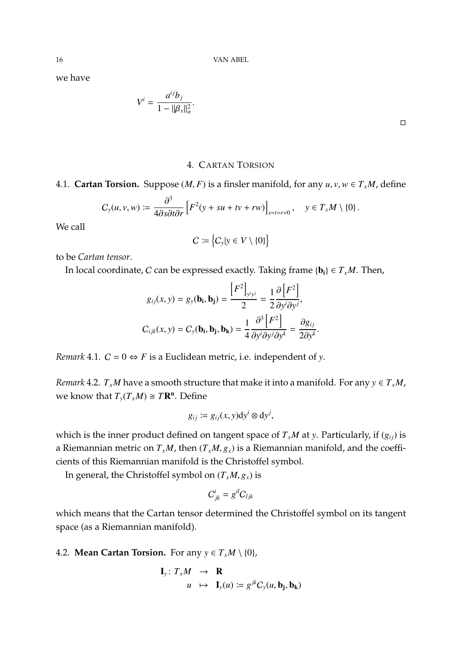16 VAN ABEL

we have

$$
V^i = \frac{a^{ij}b_j}{1 - ||\beta_x||^2_{\alpha}}.
$$

#### 4. CARTAN TORSION

# 4.1. **Cartan Torsion.** Suppose  $(M, F)$  is a finsler manifold, for any  $u, v, w \in T_xM$ , define

$$
C_{y}(u, v, w) \coloneqq \frac{\partial^{3}}{4\partial s \partial t \partial r} \left[ F^{2}(y + su + tv + rw) \right]_{s = t = r = 0}, \quad y \in T_{x}M \setminus \{0\}.
$$

We call

$$
C := \left\{C_{y}|y \in V \setminus \{0\}\right\}
$$

to be *Cartan tensor*.

In local coordinate, C can be expressed exactly. Taking frame  $\{b_i\} \in T_xM$ . Then,

$$
g_{ij}(x, y) = g_{y}(\mathbf{b}_{i}, \mathbf{b}_{j}) = \frac{[F^{2}]_{y^{i}y^{j}}}{2} = \frac{1}{2} \frac{\partial [F^{2}]}{\partial y^{i} \partial y^{j}},
$$

$$
C_{ijk}(x, y) = C_{y}(\mathbf{b}_{i}, \mathbf{b}_{j}, \mathbf{b}_{k}) = \frac{1}{4} \frac{\partial^{3} [F^{2}]}{\partial y^{i} \partial y^{j} \partial y^{k}} = \frac{\partial g_{ij}}{2\partial y^{k}}
$$

*Remark* 4.1*.*  $C = 0 \Leftrightarrow F$  is a Euclidean metric, i.e. independent of *y*.

*Remark* 4.2*.*  $T_xM$  have a smooth structure that make it into a manifold. For any  $y \in T_xM$ , we know that  $T_y(T_xM) \cong T\mathbb{R}^n$ . Define

$$
g_{ij} \coloneqq g_{ij}(x, y) \mathrm{d} y^i \otimes \mathrm{d} y^j,
$$

which is the inner product defined on tangent space of  $T_xM$  at *y*. Particularly, if  $(g_{ij})$  is a Riemannian metric on  $T_xM$ , then  $(T_xM, g_x)$  is a Riemannian manifold, and the coefficients of this Riemannian manifold is the Christoffel symbol.

In general, the Christoffel symbol on  $(T_xM, g_x)$  is

$$
C_{jk}^i = g^{il} C_{ljk}
$$

which means that the Cartan tensor determined the Christoffel symbol on its tangent space (as a Riemannian manifold).

4.2. **Mean Cartan Torsion.** For any  $y \in T_xM \setminus \{0\}$ ,

$$
\mathbf{I}_y: T_x M \rightarrow \mathbf{R}
$$
  
  $u \mapsto \mathbf{I}_y(u) := g^{jk} C_y(u, \mathbf{b}_j, \mathbf{b}_k)$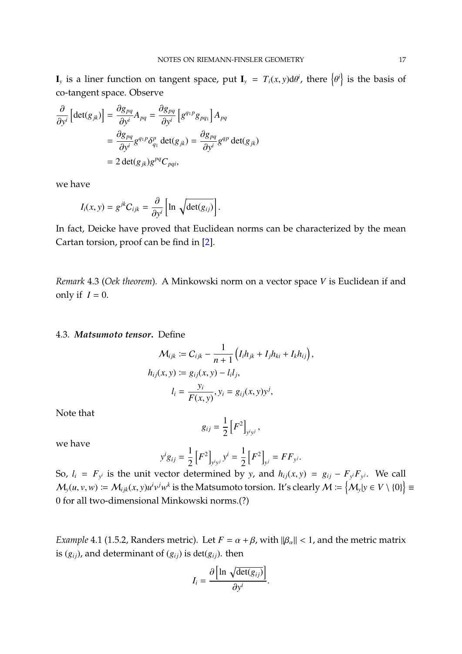**I**<sub>y</sub> is a liner function on tangent space, put  $I_y = T_i(x, y)d\theta^i$ , there  $\left\{$  $\left\{ \mu \right\}$  is the basis of co-tangent space. Observe

$$
\frac{\partial}{\partial y^{i}} \left[ \det(g_{jk}) \right] = \frac{\partial g_{pq}}{\partial y^{i}} A_{pq} = \frac{\partial g_{pq}}{\partial y^{i}} \left[ g^{q_1 p} g_{pq_1} \right] A_{pq}
$$

$$
= \frac{\partial g_{pq}}{\partial y^{i}} g^{q_1 p} \delta_{q_1}^{p} \det(g_{jk}) = \frac{\partial g_{pq}}{\partial y^{i}} g^{qp} \det(g_{jk})
$$

$$
= 2 \det(g_{jk}) g^{pq} C_{pqi},
$$

we have

$$
I_i(x, y) = g^{jk} C_{ijk} = \frac{\partial}{\partial y^i} \left[ \ln \sqrt{\det(g_{ij})} \right].
$$

In fact, Deicke have proved that Euclidean norms can be characterized by the mean Cartan torsion, proof can be find in [\[2\]](#page-79-2).

*Remark* 4.3 (*Oek theorem*)*.* A Minkowski norm on a vector space *V* is Euclidean if and only if  $I = 0$ .

#### 4.3. *Matsumoto tensor***.** Define

$$
\mathcal{M}_{ijk} := C_{ijk} - \frac{1}{n+1} \left( I_i h_{jk} + I_j h_{ki} + I_k h_{ij} \right),
$$
  

$$
h_{ij}(x, y) := g_{ij}(x, y) - l_i l_j,
$$
  

$$
l_i = \frac{y_i}{F(x, y)}, y_i = g_{ij}(x, y) y^j,
$$

Note that

$$
g_{ij}=\frac{1}{2}\left[F^2\right]_{y^i y^j},\,
$$

we have

$$
y^{i}g_{ij} = \frac{1}{2}\left[F^{2}\right]_{y^{i}y^{j}} y^{i} = \frac{1}{2}\left[F^{2}\right]_{y^{j}} = FF_{y^{j}}.
$$

So,  $l_i = F_{y^i}$  is the unit vector determined by *y*, and  $h_{ij}(x, y) = g_{ij} - F_{y^i}F_{y^j}$ . We call  $M_y(u, v, w) := M_{ijk}(x, y)u^iv^jw^k$  is the Matsumoto torsion. It's clearly  $M := \{M_y|y \in V \setminus \{0\}\}\equiv$ 0 for all two-dimensional Minkowski norms.(?)

*Example* 4.1 (1.5.2, Randers metric). Let  $F = \alpha + \beta$ , with  $\|\beta_{\alpha}\| < 1$ , and the metric matrix is  $(g_{ij})$ , and determinant of  $(g_{ij})$  is det $(g_{ij})$ . then

$$
I_i = \frac{\partial \left[\ln \sqrt{\det(g_{ij})}\right]}{\partial y^i}
$$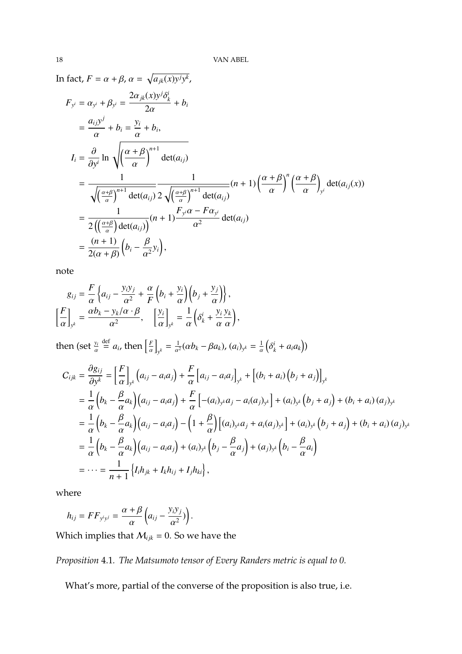In fact,  $F = \alpha + \beta$ ,  $\alpha = \sqrt{a_{jk}(x)y^j y^k}$ ,  $F_{y^i} = \alpha_{y^i} + \beta_{y^i} = \frac{2\alpha_{jk}(x)y^j}{2\alpha}$ δ *i k*  $2\alpha$  $+ b_i$ =  $a_{ij}y^j$ α α  $+ b_i =$ *yi*  $+ b_i$ ,  $I_i = \frac{\partial}{\partial y^i} \ln \sqrt{\left(\frac{\alpha + \beta}{\alpha}\right)^{n+1} \det(a_{ij})}$ = 1  $\sqrt{\left(\frac{\alpha+\beta}{\alpha}\right)^{n+1} \det(a_{ij})}$ α από το κατά το κατά το κατά το κατά το κατά το κατά το κατά το κατά το κατά το κατά το κατά το κατά το κατά<br>Από το κατά το κατά το κατά το κατά το κατά το κατά το κατά το κατά το κατά το κατά το κατά το κατά το κατά το 1  $2\sqrt{\left(\frac{\alpha+\beta}{\alpha}\right)^{n+1}\det(a_{ij})}$  $(n+1)\left(\frac{\alpha+\beta}{n}\right)$  $\int_{0}^{n} \left( \frac{\alpha + \beta}{\alpha} \right)$  $\lambda$  $\det(a_{ij}(x))$ = 1  $2\left(\left(\frac{\alpha+\beta}{\alpha}\right)\det(a_{ij})\right)^{n+1}$  $\frac{F_{y}i\alpha - F\alpha_{y}i}{2}$  $\frac{a^2}{\alpha^2}$  det(*a*<sub>*ij*</sub>) =  $(n + 1)$  $2(\alpha + \beta)$  $\left(b_i - \frac{\beta}{\alpha^2} y_i\right)$  $\overline{a}$ 

note

$$
g_{ij} = \frac{F}{\alpha} \left\{ a_{ij} - \frac{y_i y_j}{\alpha^2} + \frac{\alpha}{F} \left( b_i + \frac{y_i}{\alpha} \right) \left( b_j + \frac{y_j}{\alpha} \right) \right\},\newline
$$

$$
\left[ \frac{F}{\alpha} \right]_{y^k} = \frac{\alpha b_k - y_k/\alpha \cdot \beta}{\alpha^2}, \quad \left[ \frac{y_i}{\alpha} \right]_{y^k} = \frac{1}{\alpha} \left( \delta_k^i + \frac{y_i}{\alpha} \frac{y_k}{\alpha} \right),\newline
$$

then (set  $\frac{y_i}{\alpha}$  $\stackrel{\text{def}}{=} a_i$ , then  $\left[\frac{F}{a}\right]$ i  $y^k = \frac{1}{\alpha^2} (\alpha b_k - \beta a_k)$ ,  $(a_i)_{y^k} = \frac{1}{\alpha}$  $\overline{(\ }$  $a_k^i + a_i a_k$ )

$$
C_{ijk} = \frac{\partial g_{ij}}{\partial y^k} = \left[\frac{F}{\alpha}\right]_{y^k} (a_{ij} - a_i a_j) + \frac{F}{\alpha} \left[a_{ij} - a_i a_j\right]_{y^k} + \left[(b_i + a_i)(b_j + a_j)\right]_{y^k}
$$
  
\n
$$
= \frac{1}{\alpha} \left(b_k - \frac{\beta}{\alpha} a_k\right) (a_{ij} - a_i a_j) + \frac{F}{\alpha} \left[ -(a_i)_{y^k} a_j - a_i (a_j)_{y^k} \right] + (a_i)_{y^k} (b_j + a_j) + (b_i + a_i) (a_j)_{y^k}
$$
  
\n
$$
= \frac{1}{\alpha} \left(b_k - \frac{\beta}{\alpha} a_k\right) (a_{ij} - a_i a_j) - \left(1 + \frac{\beta}{\alpha}\right) \left[ (a_i)_{y^k} a_j + a_i (a_j)_{y^k} \right] + (a_i)_{y^k} (b_j + a_j) + (b_i + a_i) (a_j)_{y^k}
$$
  
\n
$$
= \frac{1}{\alpha} \left(b_k - \frac{\beta}{\alpha} a_k\right) (a_{ij} - a_i a_j) + (a_i)_{y^k} \left(b_j - \frac{\beta}{\alpha} a_j\right) + (a_j)_{y^k} \left(b_i - \frac{\beta}{\alpha} a_i\right)
$$
  
\n
$$
= \dots = \frac{1}{n+1} \left\{ I_i h_{jk} + I_k h_{ij} + I_j h_{ki} \right\},
$$

where

$$
h_{ij} = FF_{y^i y^j} = \frac{\alpha + \beta}{\alpha} \left( a_{ij} - \frac{y_i y_j}{\alpha^2} \right).
$$

Which implies that  $M_{ijk} = 0$ . So we have the

#### *Proposition* 4.1*. The Matsumoto tensor of Every Randers metric is equal to 0.*

What's more, partial of the converse of the proposition is also true, i.e.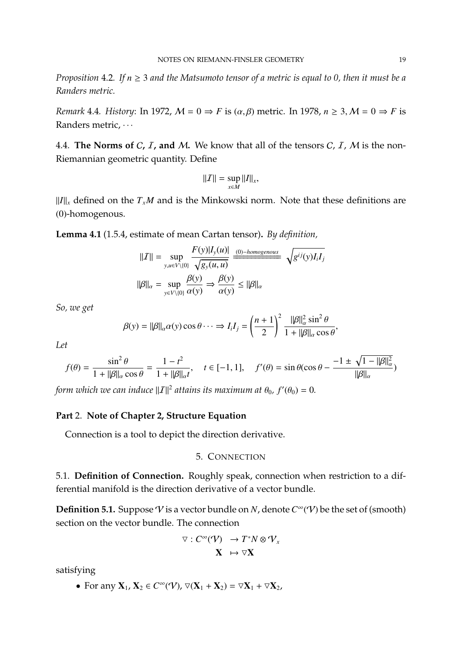*Proposition* 4.2*. If n* ≥ 3 *and the Matsumoto tensor of a metric is equal to 0, then it must be a Randers metric.*

*Remark* 4.4*. History*: In 1972,  $M = 0 \Rightarrow F$  is  $(\alpha, \beta)$  metric. In 1978,  $n \geq 3$ ,  $M = 0 \Rightarrow F$  is Randers metric,  $\cdots$ 

4.4. **The Norms of C, I, and M.** We know that all of the tensors  $C$ , I, M is the non-Riemannian geometric quantity. Define

$$
||\mathcal{I}|| = \sup_{x \in M} ||I||_x,
$$

 $\|I\|_x$  defined on the  $T_xM$  and is the Minkowski norm. Note that these definitions are (0)-homogenous.

**Lemma 4.1** (1.5.4, estimate of mean Cartan tensor)**.** *By definition,*

$$
||\mathcal{I}|| = \sup_{y, u \in V \setminus \{0\}} \frac{F(y)|I_y(u)|}{\sqrt{g_y(u, u)}}
$$

$$
||\beta||_{\alpha} = \sup_{y \in V \setminus \{0\}} \frac{\beta(y)}{\alpha(y)} \Rightarrow \frac{\beta(y)}{\alpha(y)} \le ||\beta||_{\alpha}
$$

*So, we get*

$$
\beta(y) = ||\beta||_{\alpha}\alpha(y)\cos\theta \cdots \Rightarrow I_i I_j = \left(\frac{n+1}{2}\right)^2 \frac{||\beta||_{\alpha}^2 \sin^2\theta}{1 + ||\beta||_{\alpha} \cos\theta},
$$

*Let*

$$
f(\theta) = \frac{\sin^2 \theta}{1 + ||\beta||_{\alpha} \cos \theta} = \frac{1 - t^2}{1 + ||\beta||_{\alpha} t}, \quad t \in [-1, 1], \quad f'(\theta) = \sin \theta (\cos \theta - \frac{-1 \pm \sqrt{1 - ||\beta||_{\alpha}^2}}{||\beta||_{\alpha}})
$$

*form which we can induce*  $||I||^2$  *attains its maximum at*  $\theta_0$ *, f'* $(\theta_0) = 0$ *.* 

#### **Part** 2. **Note of Chapter 2, Structure Equation**

Connection is a tool to depict the direction derivative.

#### 5. CONNECTION

5.1. **Definition of Connection.** Roughly speak, connection when restriction to a differential manifold is the direction derivative of a vector bundle.

**Definition 5.1.** Suppose  $V$  is a vector bundle on  $N$ , denote  $C^{\infty}(V)$  be the set of (smooth) section on the vector bundle. The connection

$$
\nabla : C^{\infty}(\mathcal{V}) \longrightarrow T^*N \otimes \mathcal{V}_x
$$

$$
\mathbf{X} \mapsto \nabla \mathbf{X}
$$

satisfying

• For any  $X_1$ ,  $X_2 \in C^{\infty}(\mathcal{V})$ ,  $\nabla(X_1 + X_2) = \nabla X_1 + \nabla X_2$ ,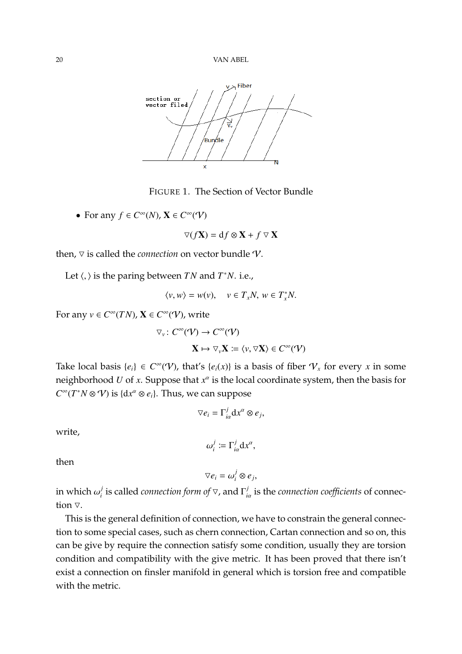

FIGURE 1. The Section of Vector Bundle

• For any  $f \in C^{\infty}(N)$ ,  $\mathbf{X} \in C^{\infty}(V)$ 

 $\nabla(f\mathbf{X}) = df \otimes \mathbf{X} + f \nabla \mathbf{X}$ 

then,  $\nabla$  is called the *connection* on vector bundle  $\nabla$ .

Let  $\langle, \rangle$  is the paring between *TN* and *T*<sup>\*</sup>*N*. i.e.,

$$
\langle v, w \rangle = w(v), \quad v \in T_x N, \ w \in T_x^* N.
$$

For any  $v \in C^{\infty}(TN)$ ,  $X \in C^{\infty}(V)$ , write

$$
\nabla_{\nu} \colon C^{\infty}(\mathcal{V}) \to C^{\infty}(\mathcal{V})
$$

$$
\mathbf{X} \mapsto \nabla_{\nu} \mathbf{X} \coloneqq \langle \nu, \nabla \mathbf{X} \rangle \in C^{\infty}(\mathcal{V})
$$

Take local basis  $\{e_i\} \in C^{\infty}(\mathcal{V})$ , that's  $\{e_i(x)\}$  is a basis of fiber  $\mathcal{V}_x$  for every *x* in some neighborhood  $U$  of  $x$ . Suppose that  $x^\alpha$  is the local coordinate system, then the basis for  $C^{\infty}(T^*N \otimes V)$  is  $\{dx^{\alpha} \otimes e_i\}$ . Thus, we can suppose

$$
\nabla e_i = \Gamma_{i\alpha}^j \mathrm{d} x^{\alpha} \otimes e_j,
$$

write,

$$
\omega_i^j \coloneqq \Gamma_{i\alpha}^j \mathrm{d} x^{\alpha},
$$

then

$$
\nabla e_i = \omega_i^j \otimes e_j,
$$

in which  $\omega_i^j$  $j$  is called *connection form of*  $\nabla$ , and  $\Gamma_{i}^{j}$ *i*α is the *connection coefficients* of connection  $\nabla$ .

This is the general definition of connection, we have to constrain the general connection to some special cases, such as chern connection, Cartan connection and so on, this can be give by require the connection satisfy some condition, usually they are torsion condition and compatibility with the give metric. It has been proved that there isn't exist a connection on finsler manifold in general which is torsion free and compatible with the metric.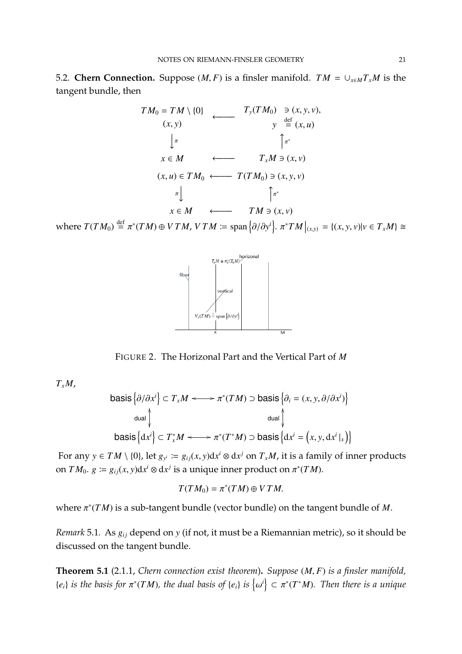5.2. **Chern Connection.** Suppose  $(M, F)$  is a finsler manifold.  $TM = \cup_{x \in M} T_x M$  is the tangent bundle, then

$$
TM_{0} = TM \setminus \{0\} \qquad T_{y}(TM_{0}) \ni (x, y, v),
$$
  
\n
$$
(x, y) \qquad y \stackrel{\text{def}}{=} (x, u)
$$
  
\n
$$
\downarrow \pi \qquad \qquad \uparrow \pi^{*}
$$
  
\n
$$
x \in M \qquad \longleftarrow \qquad T_{x}M \ni (x, v)
$$
  
\n
$$
(x, u) \in TM_{0} \longleftarrow T(TM_{0}) \ni (x, y, v)
$$
  
\n
$$
\uparrow \qquad \qquad \uparrow \pi^{*}
$$
  
\n
$$
x \in M \qquad \longleftarrow \qquad TM \ni (x, v)
$$

where  $T(TM_0) \stackrel{\text{def}}{=} \pi^*(TM) \oplus VTM$ ,  $VTM \coloneqq \text{span}\left\{\partial/\partial y^i\right\}$ .  $\pi^*TM|_{(x,y)} = \{(x, y, v) | v \in T_xM\} \cong$ 



FIGURE 2. The Horizonal Part and the Vertical Part of *M*

 $T_xM$ ,

$$
\begin{aligned}\n\text{basis}\left\{\partial/\partial x^i\right\} &\subset T_x M \longleftrightarrow \pi^*(TM) \supset \text{basis}\left\{\partial_i = (x, y, \partial/\partial x^i)\right\} \\
\text{dual}\n\downarrow \qquad \text{dual}\n\downarrow \qquad \text{dual}\n\downarrow \qquad \text{basis}\left\{\mathrm{d}x^i\right\} &\subset T_x^*M \longleftrightarrow \pi^*(T^*M) \supset \text{basis}\left\{\mathrm{d}x^i = (x, y, \mathrm{d}x^i\vert_x)\right\}\n\end{aligned}
$$

For any  $y \in TM \setminus \{0\}$ , let  $g_{y^i} := g_{ij}(x, y)dx^i \otimes dx^j$  on  $T_xM$ , it is a family of inner products on *TM*<sup>0</sup>.  $g \coloneqq g_{ij}(x, y)dx^i \otimes dx^j$  is a unique inner product on  $\pi^*(TM)$ .

$$
T(TM_0) = \pi^*(TM) \oplus VTM.
$$

where π ∗ (*T M*) is a sub-tangent bundle (vector bundle) on the tangent bundle of *M*.

*Remark* 5.1. As  $g_{ii}$  depend on *y* (if not, it must be a Riemannian metric), so it should be discussed on the tangent bundle.

**Theorem 5.1** (2.1.1, *Chern connection exist theorem*)**.** *Suppose* (*M*, *<sup>F</sup>*) *is a finsler manifold,*  ${e_i}$  *is the basis for*  $\pi^*(TM)$ *, the dual basis of*  ${e_i}$  *is*  $\{e_i\}$  $\left\{ \mathcal{F} \right\} \subset \pi^*(T^*M)$ *. Then there is a unique*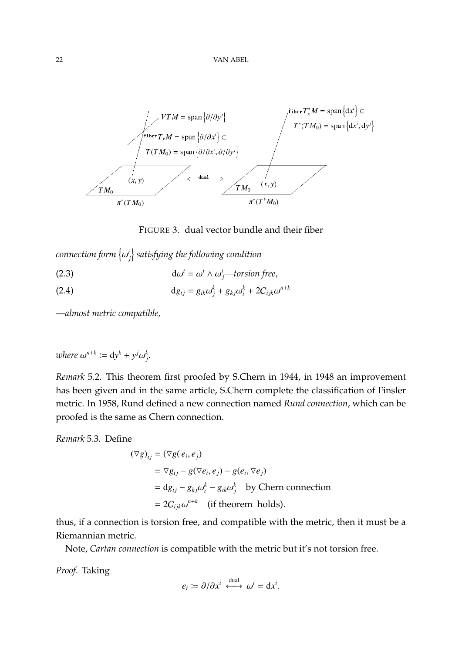

FIGURE 3. dual vector bundle and their fiber

*connection form* {  $\left( \frac{i}{j} \right)$  satisfying the following condition

<span id="page-21-1"></span><span id="page-21-0"></span>(2.3)  $d\omega^i = \omega^i \wedge \omega^i_j$ —torsion free,

(2.4) 
$$
dg_{ij} = g_{ik}\omega_j^k + g_{kj}\omega_i^k + 2C_{ijk}\omega^{n+k}
$$

*—almost metric compatible,*

where 
$$
\omega^{n+k} := dy^k + y^j \omega_j^k
$$
.

*Remark* 5.2*.* This theorem first proofed by S.Chern in 1944, in 1948 an improvement has been given and in the same article, S.Chern complete the classification of Finsler metric. In 1958, Rund defined a new connection named *Rund connection*, which can be proofed is the same as Chern connection.

*Remark* 5.3*.* Define

$$
(\nabla g)_{ij} = (\nabla g(e_i, e_j)
$$
  
=  $\nabla g_{ij} - g(\nabla e_i, e_j) - g(e_i, \nabla e_j)$   
=  $dg_{ij} - g_{kj}\omega_i^k - g_{ik}\omega_j^k$  by Chern connection  
=  $2C_{ijk}\omega^{n+k}$  (if theorem holds).

thus, if a connection is torsion free, and compatible with the metric, then it must be a Riemannian metric.

Note, *Cartan connection* is compatible with the metric but it's not torsion free.

*Proof.* Taking

$$
e_i \coloneqq \partial/\partial x^i \stackrel{\text{dual}}{\longleftrightarrow} \omega^i = \mathrm{d} x^i.
$$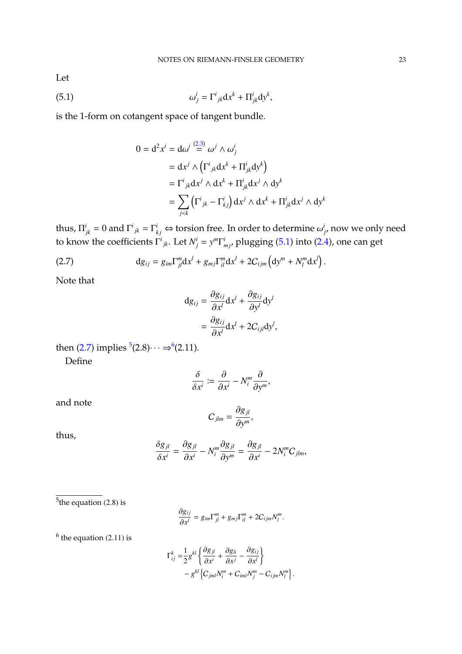Let

(5.1) 
$$
\omega_j^i = \Gamma^i_{jk} dx^k + \Pi^i_{jk} dy^k,
$$

is the 1-form on cotangent space of tangent bundle.

<span id="page-22-0"></span>
$$
0 = d^2 x^i = d\omega^i \stackrel{(2,3)}{=} \omega^j \wedge \omega^i_j
$$
  
=  $dx^j \wedge (\Gamma^i{}_{jk} dx^k + \Pi^i{}_{jk} dy^k)$   
=  $\Gamma^i{}_{jk} dx^j \wedge dx^k + \Pi^i{}_{jk} dx^j \wedge dy^k$   
=  $\sum_{j < k} (\Gamma^i{}_{jk} - \Gamma^i{}_{kj}) dx^j \wedge dx^k + \Pi^i{}_{jk} dx^j \wedge dy^k$ 

thus,  $\Pi_{jk}^i = 0$  and  $\Gamma^i_{jk} = \Gamma^i_{kj} \Leftrightarrow$  torsion free. In order to determine  $\omega^i_{j'}$  now we only need to know the coefficients  $\Gamma^i_{jk}$ . Let  $N^i_j = y^m \Gamma^i_{mj}$ , plugging [\(5.1\)](#page-22-0) into [\(2.4\)](#page-21-1), one can get

<span id="page-22-1"></span>(2.7) 
$$
\mathrm{d}g_{ij} = g_{im}\Gamma_{jl}^m \mathrm{d}x^l + g_{mj}\Gamma_{il}^m \mathrm{d}x^l + 2C_{ijm}\left(\mathrm{d}y^m + N_l^m \mathrm{d}x^l\right).
$$

Note that

$$
dg_{ij} = \frac{\partial g_{ij}}{\partial x^l} dx^l + \frac{\partial g_{ij}}{\partial y^l} dy^l
$$

$$
= \frac{\partial g_{ij}}{\partial x^l} dx^l + 2C_{ijl} dy^l,
$$

then [\(2.7\)](#page-22-1) implies  ${}^5$  ${}^5$ (2.8) $\cdots \Rightarrow {}^6$  $\cdots \Rightarrow {}^6$ (2.11).

Define

$$
\frac{\delta}{\delta x^i} \coloneqq \frac{\partial}{\partial x^i} - N_i^m \frac{\partial}{\partial y^m},
$$

and note

$$
C_{jlm}=\frac{\partial g_{jl}}{\partial y^m},
$$

thus,

$$
\frac{\delta g_{jl}}{\delta x^i}=\frac{\partial g_{jl}}{\partial x^i}-N_i^m\frac{\partial g_{jl}}{\partial y^m}=\frac{\partial g_{jl}}{\partial x^i}-2N_i^mC_{jlm},
$$

<span id="page-22-2"></span><sup>5</sup>the equation  $(2.8)$  is

$$
\frac{\partial g_{ij}}{\partial x^l} = g_{im} \Gamma_{jl}^m + g_{mj} \Gamma_{il}^m + 2C_{ijm} N_l^m
$$

<span id="page-22-3"></span> $<sup>6</sup>$  the equation (2.11) is</sup>

$$
\Gamma_{ij}^k = \frac{1}{2} g^{kl} \left\{ \frac{\partial g_{jl}}{\partial x^i} + \frac{\partial g_{li}}{\partial x^j} - \frac{\partial g_{ij}}{\partial x^l} \right\} - g^{kl} \left\{ C_{jml} N_l^m + C_{iml} N_j^m - C_{ijm} N_l^m \right\}.
$$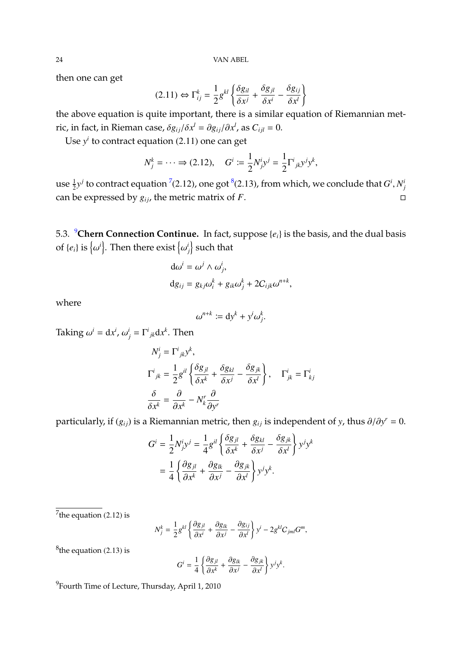24 VAN ABEL

then one can get

$$
(2.11) \Leftrightarrow \Gamma_{ij}^k = \frac{1}{2} g^{kl} \left\{ \frac{\delta g_{il}}{\delta x^j} + \frac{\delta g_{jl}}{\delta x^i} - \frac{\delta g_{ij}}{\delta x^l} \right\}
$$

the above equation is quite important, there is a similar equation of Riemannian metric, in fact, in Rieman case,  $\delta g_{ij}/\delta x^l = \partial g_{ij}/\partial x^l$ , as  $C_{ijl} = 0$ .

Use *y<sup>i</sup>* to contract equation (2.11) one can get

$$
N_j^k = \cdots \Rightarrow (2.12), \quad G^i := \frac{1}{2} N_j^i y^j = \frac{1}{2} \Gamma^i_{\ jk} y^j y^k,
$$

use  $\frac{1}{2}y^j$  to contract equation <sup>[7](#page-23-0)</sup>(2.12), one got <sup>[8](#page-23-1)</sup>(2.13), from which, we conclude that *G*<sup>*i*</sup>, *N*<sup>*j*</sup></sup> can be expressed by  $g_{ij}$ , the metric matrix of *F*.

5.3.  ${}^{9}$  ${}^{9}$  ${}^{9}$ **Chern Connection Continue.** In fact, suppose { $e_i$ } is the basis, and the dual basis of  $\{e_i\}$  is  $\{$  $\{i\}$ . Then there exist  $\{$  $\binom{i}{j}$  such that

$$
d\omega^{i} = \omega^{j} \wedge \omega_{j}^{i},
$$
  
\n
$$
dg_{ij} = g_{kj}\omega_{i}^{k} + g_{ik}\omega_{j}^{k} + 2C_{ijk}\omega^{n+k},
$$

where

$$
\omega^{n+k} := \mathrm{d} y^k + y^i \omega_j^k.
$$

Taking  $\omega^i = dx^i$ ,  $\omega^i_j = \Gamma^i{}_{jk}dx^k$ . Then

$$
N_j^i = \Gamma^i{}_{jk} y^k,
$$
  
\n
$$
\Gamma^i{}_{jk} = \frac{1}{2} g^{il} \left\{ \frac{\delta g_{jl}}{\delta x^k} + \frac{\delta g_{kl}}{\delta x^j} - \frac{\delta g_{jk}}{\delta x^l} \right\}, \quad \Gamma^i{}_{jk} = \Gamma^i{}_{kj}
$$
  
\n
$$
\frac{\delta}{\delta x^k} = \frac{\partial}{\partial x^k} - N_k^r \frac{\partial}{\partial y^r}
$$

particularly, if  $(g_{ij})$  is a Riemannian metric, then  $g_{ij}$  is independent of *y*, thus  $\partial/\partial y^r = 0$ .

$$
G^{i} = \frac{1}{2}N^{i}_{j}y^{j} = \frac{1}{4}g^{il}\left\{\frac{\delta g_{jl}}{\delta x^{k}} + \frac{\delta g_{kl}}{\delta x^{j}} - \frac{\delta g_{jk}}{\delta x^{l}}\right\}y^{j}y^{k}
$$

$$
= \frac{1}{4}\left\{\frac{\partial g_{jl}}{\partial x^{k}} + \frac{\partial g_{lk}}{\partial x^{j}} - \frac{\partial g_{jk}}{\partial x^{l}}\right\}y^{j}y^{k}.
$$

<span id="page-23-0"></span><sup>7</sup>the equation  $(2.12)$  is

$$
N_j^k = \frac{1}{2} g^{kl} \left\{ \frac{\partial g_{jl}}{\partial x^i} + \frac{\partial g_{lk}}{\partial x^j} - \frac{\partial g_{ij}}{\partial x^l} \right\} y^i - 2 g^{kl} C_{jml} G^m,
$$

<span id="page-23-1"></span> ${}^{8}$ the equation (2.13) is

$$
G^{i} = \frac{1}{4} \left\{ \frac{\partial g_{jl}}{\partial x^{k}} + \frac{\partial g_{lk}}{\partial x^{j}} - \frac{\partial g_{jk}}{\partial x^{l}} \right\} y^{j} y^{k}.
$$

<span id="page-23-2"></span> $^{9}$ Fourth Time of Lecture, Thursday, April 1, 2010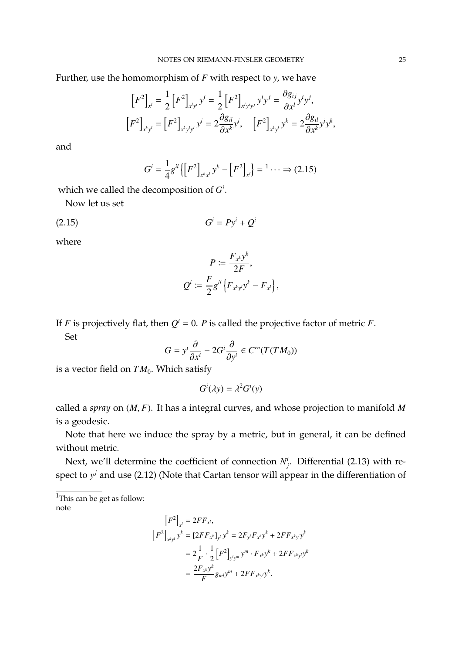Further, use the homomorphism of *F* with respect to *y*, we have

$$
\[F^{2}\]_{x^{l}} = \frac{1}{2} \left[F^{2}\right]_{x^{l}y^{i}} y^{i} = \frac{1}{2} \left[F^{2}\right]_{x^{l}y^{i}y^{j}} y^{i} y^{j} = \frac{\partial g_{ij}}{\partial x^{l}} y^{i} y^{j},
$$

$$
\[F^{2}\]_{x^{k}y^{l}} = \left[F^{2}\right]_{x^{k}y^{l}y^{i}} y^{i} = 2 \frac{\partial g_{il}}{\partial x^{k}} y^{i}, \quad \[F^{2}\right]_{x^{k}y^{l}} y^{k} = 2 \frac{\partial g_{il}}{\partial x^{k}} y^{i} y^{k},
$$

and

$$
G^{i} = \frac{1}{4} g^{il} \left\{ \left[ F^{2} \right]_{x^{k} x^{l}} y^{k} - \left[ F^{2} \right]_{x^{l}} \right\} = \begin{bmatrix} 1 & \cdots \end{bmatrix} \implies (2.15)
$$

which we called the decomposition of *G i* .

Now let us set

$$
(2.15) \tGi = Pyi + Qi
$$

where

$$
P := \frac{F_{x^k} y^k}{2F},
$$
  

$$
Q^i := \frac{F}{2} g^{il} \{ F_{x^k y^l} y^k - F_{x^l} \},
$$

If *F* is projectively flat, then  $Q^i = 0$ . *P* is called the projective factor of metric *F*. Set

$$
G = y^i \frac{\partial}{\partial x^i} - 2G^i \frac{\partial}{\partial y^i} \in C^\infty(T(TM_0))
$$

is a vector field on  $TM_0$ . Which satisfy

$$
G^i(\lambda y) = \lambda^2 G^i(y)
$$

called a *spray* on (*M*, *<sup>F</sup>*). It has a integral curves, and whose projection to manifold *<sup>M</sup>* is a geodesic.

Note that here we induce the spray by a metric, but in general, it can be defined without metric.

Next, we'll determine the coefficient of connection  $N^i_j$ . Differential (2.13) with respect to  $y^j$  and use (2.12) (Note that Cartan tensor will appear in the differentiation of

<sup>1</sup>This can be get as follow: note

$$
[F^{2}]_{x^{l}} = 2FF_{x^{l}},
$$
  
\n
$$
[F^{2}]_{x^{k}y^{l}} y^{k} = [2FF_{x^{k}}]_{y^{l}} y^{k} = 2F_{y^{l}}F_{x^{k}} y^{k} + 2FF_{x^{k}y^{l}} y^{k}
$$
  
\n
$$
= 2\frac{1}{F} \cdot \frac{1}{2} [F^{2}]_{y^{l}y^{m}} y^{m} \cdot F_{x^{k}} y^{k} + 2FF_{x^{k}y^{l}} y^{k}
$$
  
\n
$$
= \frac{2F_{x^{k}} y^{k}}{F} g_{ml} y^{m} + 2FF_{x^{k}y^{l}} y^{k}.
$$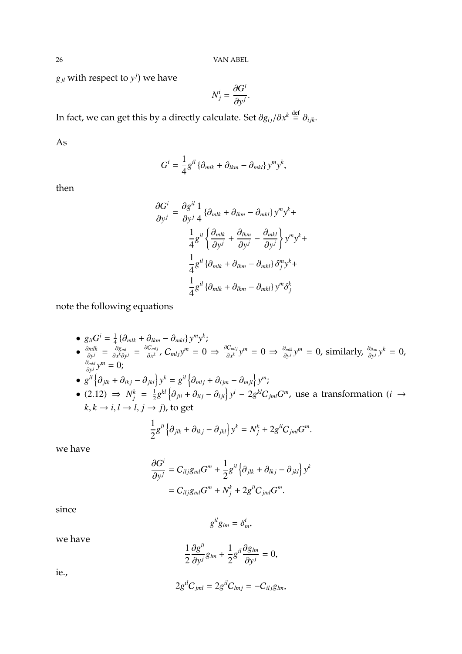26 VAN ABEL

 $g_{jl}$  with respect to  $y^j$ ) we have

$$
N_j^i = \frac{\partial G^i}{\partial y^j}.
$$

In fact, we can get this by a directly calculate. Set  $\partial g_{ij}/\partial x^k \stackrel{\text{def}}{=} \partial_{ijk}$ .

As

$$
G^{i} = \frac{1}{4}g^{il} \left\{\partial_{mlk} + \partial_{lkm} - \partial_{mkl}\right\} y^{m} y^{k},
$$

then

$$
\frac{\partial G^i}{\partial y^j} = \frac{\partial g^{il}}{\partial y^j} \frac{1}{4} \left\{ \partial_{mlk} + \partial_{lkm} - \partial_{mkl} \right\} y^m y^k +
$$

$$
\frac{1}{4} g^{il} \left\{ \frac{\partial_{mlk}}{\partial y^j} + \frac{\partial_{lkm}}{\partial y^j} - \frac{\partial_{mkl}}{\partial y^j} \right\} y^m y^k +
$$

$$
\frac{1}{4} g^{il} \left\{ \partial_{mlk} + \partial_{lkm} - \partial_{mkl} \right\} \delta_j^m y^k +
$$

$$
\frac{1}{4} g^{il} \left\{ \partial_{mlk} + \partial_{lkm} - \partial_{mkl} \right\} y^m \delta_j^k
$$

note the following equations

• 
$$
g_{il}G^i = \frac{1}{4} \{\partial_{mlk} + \partial_{lkm} - \partial_{mkl}\} y^m y^k;
$$
  
\n•  $\frac{\partial mlk}{\partial y^j} = \frac{\partial g_{ml}}{\partial x^k \partial y^j} = \frac{\partial C_{mlj}}{\partial x^k}$ ,  $C_{mlj}y^m = 0 \Rightarrow \frac{\partial C_{mlj}}{\partial x^k} y^m = 0 \Rightarrow \frac{\partial mlk}{\partial y^j} y^m = 0$ , similarly,  $\frac{\partial lkm}{\partial y^j} y^k = 0$ ,  
\n $\frac{\partial mkl}{\partial y^j} y^m = 0$ ;

• 
$$
g^{il} \left\{ \partial_{jlk} + \partial_{lkj} - \partial_{jkl} \right\} y^k = g^{il} \left\{ \partial_{mlj} + \partial_{ljm} - \partial_{mjl} \right\} y^m;
$$

•  $(2.12) \Rightarrow N_j^k = \frac{1}{2}$  $\frac{1}{2}g^{kl}\left\{\partial_{jli} + \partial_{lij} - \partial_{ijl}\right\}y^i - 2g^{kl}C_{jml}G^m$ , use a transformation (*i* →  $k, k \rightarrow i, l \rightarrow l, j \rightarrow j$ ), to get

$$
\frac{1}{2}g^{il}\left\{\partial_{jlk}+\partial_{lkj}-\partial_{jkl}\right\}y^k=N_j^k+2g^{il}C_{jml}G^m.
$$

we have

$$
\frac{\partial G^i}{\partial y^j} = C_{ilj}g_{ml}G^m + \frac{1}{2}g^{il}\left\{\partial_{jlk} + \partial_{lkj} - \partial_{jkl}\right\}y^k
$$
  
=  $C_{ilj}g_{ml}G^m + N_j^k + 2g^{il}C_{jml}G^m$ .

since

$$
g^{il}g_{lm}=\delta^i_m,
$$

we have

$$
\frac{1}{2}\frac{\partial g^{il}}{\partial y^j}g_{lm}+\frac{1}{2}g^{il}\frac{\partial g_{lm}}{\partial y^j}=0,
$$

ie.,

$$
2g^{il}C_{jml}=2g^{il}C_{lmj}=-C_{ilj}g_{lm},
$$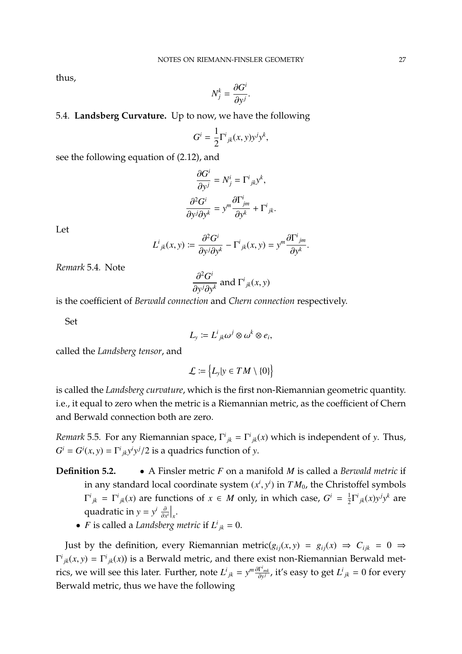thus,

$$
N_j^k = \frac{\partial G^i}{\partial y^j}
$$

#### 5.4. **Landsberg Curvature.** Up to now, we have the following

$$
G^i = \frac{1}{2} \Gamma^i_{\ jk}(x, y) y^j y^k,
$$

see the following equation of 
$$
(2.12)
$$
, and

$$
\frac{\partial G^i}{\partial y^j} = N^i_j = \Gamma^i{}_{jk} y^k,
$$

$$
\frac{\partial^2 G^i}{\partial y^j \partial y^k} = y^m \frac{\partial \Gamma^i_{jm}}{\partial y^k} + \Gamma^i{}_{jk}.
$$

Let

$$
L^{i}_{jk}(x, y) \coloneqq \frac{\partial^{2} G^{i}}{\partial y^{j} \partial y^{k}} - \Gamma^{i}_{jk}(x, y) = y^{m} \frac{\partial \Gamma^{i}_{jm}}{\partial y^{k}}.
$$

*Remark* 5.4*.* Note

$$
\frac{\partial^2 G^i}{\partial y^j \partial y^k}
$$
 and  $\Gamma^i_{jk}(x, y)$ 

 $\partial y^j \partial y^k$  and *1* <sub>*jk*</sub>(*α*, *y*)<br>is the coefficient of *Berwald connection* and *Chern connection* respectively.

Set

$$
L_y := L^i{}_{jk}\omega^j \otimes \omega^k \otimes e_i,
$$

called the *Landsberg tensor*, and

$$
\mathcal{L} \coloneqq \big\{ L_{\mathrm{y}} | \mathrm{y} \in TM \setminus \{0\} \big\}
$$

is called the *Landsberg curvature*, which is the first non-Riemannian geometric quantity. i.e., it equal to zero when the metric is a Riemannian metric, as the coefficient of Chern and Berwald connection both are zero.

*Remark* 5.5. For any Riemannian space,  $\Gamma^{i}_{jk} = \Gamma^{i}_{jk}(x)$  which is independent of *y*. Thus,  $G^i = G^i(x, y) = \Gamma^i{}_{jk} y^i y^j / 2$  is a quadrics function of *y*.

- **Definition 5.2.** A Finsler metric *F* on a manifold *M* is called a *Berwald metric* if in any standard local coordinate system  $(x^i, y^i)$  in  $TM_0$ , the Christoffel symbols  $\Gamma^{i}{}_{jk} = \Gamma^{i}{}_{jk}(x)$  are functions of  $x \in M$  only, in which case,  $G^{i} = \frac{1}{2}$  $\frac{1}{2}\Gamma^{i}{}_{jk}(x)y^{j}y^{k}$  are quadratic in *y* =  $y^i \frac{\partial}{\partial x^j}$  $\frac{\partial}{\partial x^i}\Big|_x$ .
	- *F* is called a *Landsberg metric* if  $L^i_{jk} = 0$ .

Just by the definition, every Riemannian metric( $g_{ij}(x, y) = g_{ij}(x) \Rightarrow C_{ijk} = 0 \Rightarrow$  $\Gamma^{i}{}_{jk}(x, y) = \Gamma^{i}{}_{jk}(x)$ ) is a Berwald metric, and there exist non-Riemannian Berwald metrics, we will see this later. Further, note  $L^i{}_{jk} = y^m \frac{\partial \Gamma^i{}_{mk}}{\partial y^j}$ , it's easy to get  $L^i{}_{jk} = 0$  for every Berwald metric, thus we have the following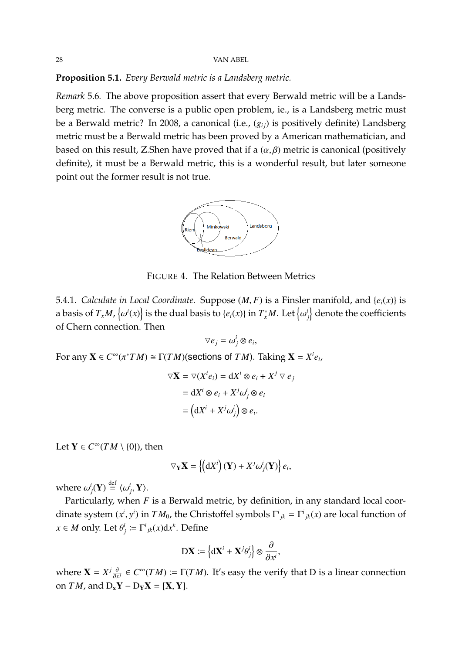### **Proposition 5.1.** *Every Berwald metric is a Landsberg metric.*

*Remark* 5.6*.* The above proposition assert that every Berwald metric will be a Landsberg metric. The converse is a public open problem, ie., is a Landsberg metric must be a Berwald metric? In 2008, a canonical (i.e., ( $g_{ii}$ ) is positively definite) Landsberg metric must be a Berwald metric has been proved by a American mathematician, and based on this result, Z.Shen have proved that if a  $(\alpha, \beta)$  metric is canonical (positively definite), it must be a Berwald metric, this is a wonderful result, but later someone point out the former result is not true.



FIGURE 4. The Relation Between Metrics

5.4.1. *Calculate in Local Coordinate.* Suppose  $(M, F)$  is a Finsler manifold, and  $\{e_i(x)\}$  is a basis of  $T_xM$ ,  $\{\omega^i(x)\}$  is the dual basis to  $\{e_i(x)\}$  in  $T_x^*M$ . Let  $\{\omega\}$ ί.<br>Σκ  $\left\{ \mu _{j}\right\}$  denote the coefficients of Chern connection. Then

$$
\nabla e_j = \omega_j^i \otimes e_i
$$

 $\overline{\phantom{a}}$ For any  $\mathbf{X} \in C^{\infty}(\pi^*TM) \cong \Gamma(TM)$  (sections of *TM*). Taking  $\mathbf{X} = X^i e_i$ ,

$$
\nabla \mathbf{X} = \nabla (X^i e_i) = dX^i \otimes e_i + X^j \nabla e_j
$$

$$
= dX^i \otimes e_i + X^j \omega^i_j \otimes e_i
$$

$$
= (dX^i + X^j \omega^i_j) \otimes e_i.
$$

Let  $Y \in C^{\infty}(TM \setminus \{0\})$ , then

$$
\nabla_{\mathbf{Y}}\mathbf{X} = \left\{ \left(\mathbf{d}X^{i}\right)(\mathbf{Y}) + X^{j}\omega_{j}^{i}(\mathbf{Y})\right\} e_{i},
$$

where  $\omega_j^i(\mathbf{Y}) \stackrel{\text{def}}{=} \langle \omega_j^i, \mathbf{Y} \rangle$ .

Particularly, when *F* is a Berwald metric, by definition, in any standard local coordinate system  $(x^i, y^i)$  in  $TM_0$ , the Christoffel symbols  $\Gamma^i{}_{jk} = \Gamma^i{}_{jk}(x)$  are local function of  $x \in M$  only. Let  $\theta_j^i := \Gamma^i{}_{jk}(x)dx^k$ . Define

$$
\mathbf{DX} \coloneqq \left\{ \mathbf{dX}^i + \mathbf{X}^j \theta_j^i \right\} \otimes \frac{\partial}{\partial x^i},
$$

where  $\mathbf{X} = X^j \frac{\partial}{\partial x^j}$  $\frac{\partial}{\partial x^j}$  ∈ *C*<sup>∞</sup>(*TM*) :=  $\Gamma$ (*TM*). It's easy the verify that D is a linear connection on *TM*, and  $D_xY - D_yX = [X, Y]$ .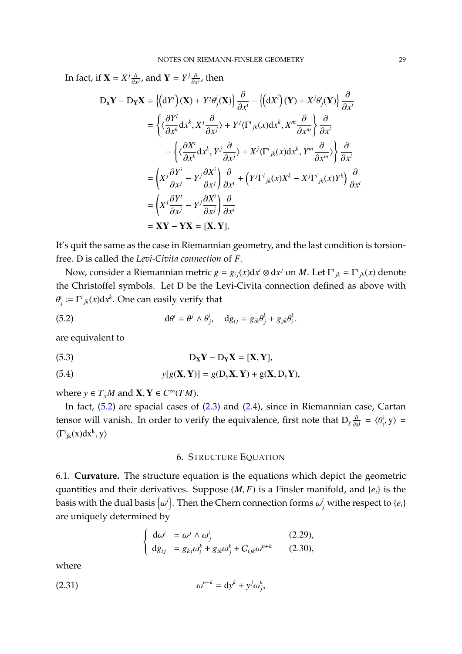In fact, if  $\mathbf{X} = X^j \frac{\partial}{\partial x^j}$  $\frac{\partial}{\partial x^j}$ , and **Y** =  $Y^j \frac{\partial}{\partial x^j}$  $\frac{\partial}{\partial x^j}$ , then

$$
D_{x}Y - D_{Y}X = \{(dY^{i})(X) + Y^{j}\theta_{j}^{i}(X)\} \frac{\partial}{\partial x^{i}} - \{(dX^{i})(Y) + X^{j}\theta_{j}^{i}(Y)\} \frac{\partial}{\partial x^{i}}
$$
  
\n
$$
= \left\{\langle \frac{\partial Y^{i}}{\partial x^{k}} dx^{k}, X^{j} \frac{\partial}{\partial x^{j}} \rangle + Y^{j} \langle \Gamma^{i}{}_{jk}(x) dx^{k}, X^{m} \frac{\partial}{\partial x^{m}} \right\} \frac{\partial}{\partial x^{i}}
$$
  
\n
$$
- \left\{\langle \frac{\partial X^{i}}{\partial x^{k}} dx^{k}, Y^{j} \frac{\partial}{\partial x^{j}} \rangle + X^{j} \langle \Gamma^{i}{}_{jk}(x) dx^{k}, Y^{m} \frac{\partial}{\partial x^{m}} \rangle \right\} \frac{\partial}{\partial x^{i}}
$$
  
\n
$$
= \left(X^{j} \frac{\partial Y^{i}}{\partial x^{j}} - Y^{j} \frac{\partial X^{i}}{\partial x^{j}}\right) \frac{\partial}{\partial x^{i}} + \left(Y^{j} \Gamma^{i}{}_{jk}(x) X^{k} - X^{j} \Gamma^{i}{}_{jk}(x) Y^{k}\right) \frac{\partial}{\partial x^{i}}
$$
  
\n
$$
= \left(X^{j} \frac{\partial Y^{i}}{\partial x^{j}} - Y^{j} \frac{\partial X^{i}}{\partial x^{j}}\right) \frac{\partial}{\partial x^{i}}
$$
  
\n
$$
= XY - YX = [X, Y].
$$

It's quit the same as the case in Riemannian geometry, and the last condition is torsionfree. D is called the *Levi-Civita connection* of *F*.

Now, consider a Riemannian metric  $g = g_{ij}(x)dx^i \otimes dx^j$  on  $M$ . Let  $\Gamma^i_{jk} = \Gamma^i_{jk}(x)$  denote the Christoffel symbols. Let D be the Levi-Civita connection defined as above with  $\sum_{j}^{i} := \Gamma^{i}{}_{jk}(x)dx^{k}$ . One can easily verify that

<span id="page-28-0"></span>(5.2) 
$$
d\theta^{i} = \theta^{j} \wedge \theta_{j}^{i}, \quad dg_{ij} = g_{ik}\theta_{j}^{k} + g_{jk}\theta_{i}^{k}
$$

are equivalent to

(5.3) 
$$
D_X Y - D_Y X = [X, Y],
$$

(5.4) 
$$
y[g(\mathbf{X}, \mathbf{Y})] = g(D_{y}\mathbf{X}, \mathbf{Y}) + g(\mathbf{X}, D_{y}\mathbf{Y}),
$$

where *y*  $\in T_xM$  and **X**, **Y**  $\in C^\infty(TM)$ .

In fact, [\(5.2\)](#page-28-0) are spacial cases of [\(2.3\)](#page-21-0) and [\(2.4\)](#page-21-1), since in Riemannian case, Cartan tensor will vanish. In order to verify the equivalence, first note that  $D_y \frac{\partial}{\partial x^j} = \langle \theta_j^i \rangle$  $\langle j, y \rangle =$  $\langle \Gamma^i_{jk}(x)dx^k, y \rangle$ 

# 6. STRUCTURE EQUATION

6.1. **Curvature.** The structure equation is the equations which depict the geometric quantities and their derivatives. Suppose (*M*, *<sup>F</sup>*) is a Finsler manifold, and {*ei*} is the basis with the dual basis  $\{\omega^i\}$ . Then the Chern connection forms  $\omega^i_j$  withe respect to  $\{e_i\}$ ί.<br>1. are uniquely determined by

$$
\begin{cases}\nd\omega^i = \omega^j \wedge \omega^i_j & (2.29), \\
dg_{ij} = g_{kj}\omega^k_i + g_{ik}\omega^k_j + C_{ijk}\omega^{n+k} & (2.30),\n\end{cases}
$$

where

$$
\omega^{n+k} = \mathrm{d} y^k + y^j \omega_j^k,
$$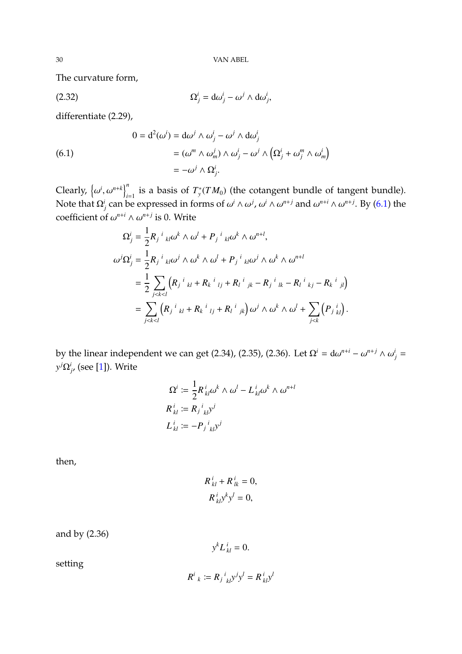The curvature form,

$$
\Omega_j^i = d\omega_j^i - \omega^j \wedge d\omega_j^i,
$$

differentiate (2.29),

<span id="page-29-0"></span>(6.1)  
\n
$$
0 = d^{2}(\omega^{i}) = d\omega^{j} \wedge \omega_{j}^{i} - \omega^{j} \wedge d\omega_{j}^{i}
$$
\n
$$
= (\omega^{m} \wedge \omega_{m}^{j}) \wedge \omega_{j}^{i} - \omega^{j} \wedge (\Omega_{j}^{i} + \omega_{j}^{m} \wedge \omega_{m}^{i})
$$
\n
$$
= -\omega^{j} \wedge \Omega_{j}^{i}.
$$

*Clearly,*  $\{\omega^i, \omega^{n+k}\}_{i=1}^n$  is a basis of  $T^*_{\mathcal{Y}}(TM_0)$  (the cotangent bundle of tangent bundle). Note that  $Ω<sup>j</sup>$ <sub>*j*</sub> can be expressed in forms of ω<sup>*i*</sup> ∧ω<sup>*j*</sup>, ω<sup>*i*</sup> ∧ω<sup>*n+j*</sup> and ω<sup>*n+i*</sup> ∧ω<sup>*n+j*</sup>. By [\(6.1\)](#page-29-0) the coefficient of  $\omega^{n+i} \wedge \omega^{n+j}$  is 0. Write

$$
\Omega_{j}^{i} = \frac{1}{2} R_{j}{}^{i}{}_{kl} \omega^{k} \wedge \omega^{l} + P_{j}{}^{i}{}_{kl} \omega^{k} \wedge \omega^{n+l},
$$
  
\n
$$
\omega^{j} \Omega_{j}^{i} = \frac{1}{2} R_{j}{}^{i}{}_{kl} \omega^{j} \wedge \omega^{k} \wedge \omega^{l} + P_{j}{}^{i}{}_{kl} \omega^{j} \wedge \omega^{k} \wedge \omega^{n+l}
$$
  
\n
$$
= \frac{1}{2} \sum_{j < k < l} \left( R_{j}{}^{i}{}_{kl} + R_{k}{}^{i}{}_{lj} + R_{l}{}^{i}{}_{jk} - R_{j}{}^{i}{}_{lk} - R_{l}{}^{i}{}_{kj} - R_{k}{}^{i}{}_{jl} \right)
$$
  
\n
$$
= \sum_{j < k < l} \left( R_{j}{}^{i}{}_{kl} + R_{k}{}^{i}{}_{lj} + R_{l}{}^{i}{}_{jk} \right) \omega^{j} \wedge \omega^{k} \wedge \omega^{l} + \sum_{j < k} \left( P_{j}{}^{i}{}_{kl} \right).
$$

by the linear independent we can get (2.34), (2.35), (2.36). Let  $\Omega^i = d\omega^{n+i} - \omega^{n+j} \wedge \omega^i_j =$ <br>*i*O*i* (11) Milton *y <sup>j</sup>*Ω*<sup>i</sup> j* , (see [\[1\]](#page-79-0)). Write

$$
\Omega^i := \frac{1}{2} R^i_{kl} \omega^k \wedge \omega^l - L^i_{kl} \omega^k \wedge \omega^{n+l}
$$
  

$$
R^i_{kl} := R^i_{j}{}^i_{kl} y^j
$$
  

$$
L^i_{kl} := -P^i_{j}{}^i_{kl} y^j
$$

then,

$$
R^i_{kl} + R^i_{lk} = 0,
$$
  

$$
R^i_{kl} y^k y^l = 0,
$$

and by 
$$
(2.36)
$$

$$
y^k L_{kl}^i = 0.
$$

setting

$$
R^i_{\ k} := R_j{}^i_{\ k l} y^j y^l = R^i_{\ k l} y^l
$$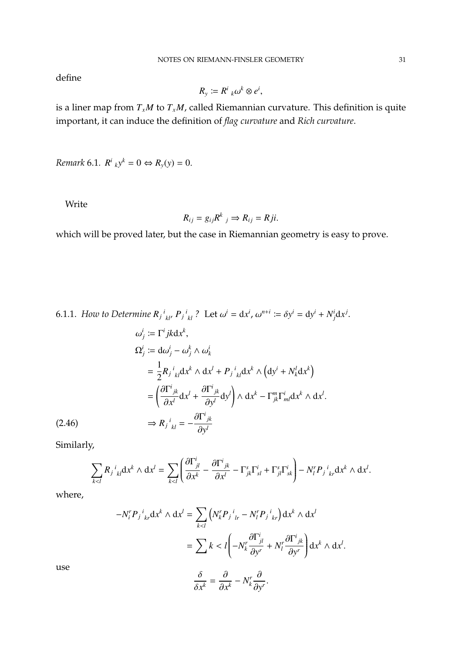define

$$
R_{y} \coloneqq R_{k}^{i} \omega^{k} \otimes e^{i},
$$

is a liner map from *TxM* to *TxM*, called Riemannian curvature. This definition is quite important, it can induce the definition of *flag curvature* and *Rich curvature*.

*Remark* 6.1*.*  $R^{i}{}_{k}y^{k} = 0 \Leftrightarrow R_{y}(y) = 0.$ 

Write

$$
R_{ij}=g_{ij}R^k\,j\Rightarrow R_{ij}=Rji.
$$

which will be proved later, but the case in Riemannian geometry is easy to prove.

6.1.1. How to Determine  $R_{j}{}^{i}{}_{kl}$ ,  $P_{j}{}^{i}{}_{kl}$ ? Let  $\omega^{i} = dx^{i}$ ,  $\omega^{n+i} := \delta y^{i} = dy^{i} + N^{i}_{j} dx^{j}$ .

$$
\omega_j^i := \Gamma^i j k \, dx^k,
$$
  
\n
$$
\Omega_j^i := d\omega_j^i - \omega_j^k \wedge \omega_k^i
$$
  
\n
$$
= \frac{1}{2} R_j{}^i{}_{kl} dx^k \wedge dx^l + P_j{}^i{}_{kl} dx^k \wedge (dy^i + N_k^l dx^k)
$$
  
\n
$$
= \left(\frac{\partial \Gamma^i{}_{jk}}{\partial x^l} dx^l + \frac{\partial \Gamma^i{}_{jk}}{\partial y^l} dy^l\right) \wedge dx^k - \Gamma^m_{jk} \Gamma^i_{ml} dx^k \wedge dx^l.
$$
  
\n
$$
\Rightarrow R_j{}^i{}_{kl} = -\frac{\partial \Gamma^i{}_{jk}}{\partial y^l}
$$

Similarly,

(2.46)

$$
\sum_{k
$$

where,

$$
-N_i^r P_j{}^i{}_{kr} dx^k \wedge dx^l = \sum_{k < l} \left( N_k^r P_j{}^i{}_{lr} - N_l^r P_j{}^i{}_{kr} \right) dx^k \wedge dx^l
$$
\n
$$
= \sum_k k < l \left( -N_k^r \frac{\partial \Gamma^i{}_{jl}}{\partial y^r} + N_l^r \frac{\partial \Gamma^i{}_{jk}}{\partial y^r} \right) dx^k \wedge dx^l
$$

use

$$
\frac{\delta}{\delta x^k} = \frac{\partial}{\partial x^k} - N_k^r \frac{\partial}{\partial y^r}.
$$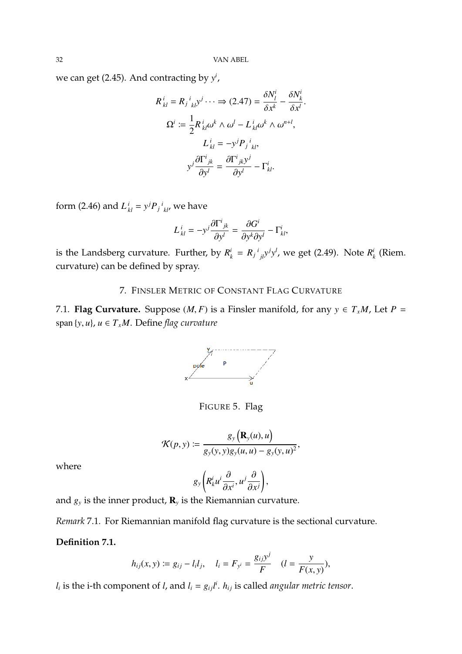32 VAN ABEL

we can get (2.45). And contracting by *y i* ,

$$
R_{kl}^{i} = R_{j}^{i}{}_{kl}y^{j} \cdots \Rightarrow (2.47) = \frac{\delta N_{l}^{i}}{\delta x^{k}} - \frac{\delta N_{k}^{i}}{\delta x^{l}}.
$$

$$
\Omega^{i} := \frac{1}{2} R_{kl}^{i} \omega^{k} \wedge \omega^{l} - L_{kl}^{i} \omega^{k} \wedge \omega^{n+l},
$$

$$
L_{kl}^{i} = -y^{j} P_{j}^{i}{}_{kl},
$$

$$
y^{j} \frac{\partial \Gamma^{i}{}_{jk}}{\partial y^{l}} = \frac{\partial \Gamma^{i}{}_{jk} y^{j}}{\partial y^{l}} - \Gamma_{kl}^{i}.
$$

form (2.46) and  $L^i_{kl} = y^j P_j{}^i_{kl'}$ , we have

$$
L_{kl}^{i} = -y^{j} \frac{\partial \Gamma^{i}{}_{jk}}{\partial y^{l}} = \frac{\partial G^{i}}{\partial y^{k} \partial y^{l}} - \Gamma_{kl}^{i},
$$

is the Landsberg curvature. Further, by  $R_k^i = R_j{}^i{}_{jl}y^jy^l$ , we get (2.49). Note  $R_k^i$ *k* (Riem. curvature) can be defined by spray.

# 7. FINSLER METRIC OF CONSTANT FLAG CURVATURE

7.1. **Flag Curvature.** Suppose  $(M, F)$  is a Finsler manifold, for any  $y \in T_xM$ , Let  $P =$ span  $\{y, u\}$ ,  $u \in T_xM$ . Define *flag curvature* 



FIGURE 5. Flag

$$
\mathcal{K}(p, y) := \frac{g_y\left(\mathbf{R}_y(u), u\right)}{g_y(y, y)g_y(u, u) - g_y(y, u)^2},
$$

where

$$
g_y\left(R_k^i u^i \frac{\partial}{\partial x^i}, u^j \frac{\partial}{\partial x^j}\right),\,
$$

and  $g_y$  is the inner product,  $\mathbf{R}_y$  is the Riemannian curvature.

*Remark* 7.1*.* For Riemannian manifold flag curvature is the sectional curvature.

# **Definition 7.1.**

$$
h_{ij}(x, y) := g_{ij} - l_i l_j, \quad l_i = F_{y^i} = \frac{g_{ij} y^j}{F} \quad (l = \frac{y}{F(x, y)}),
$$

*l*<sub>*i*</sub> is the i-th component of *l*, and  $l_i = g_{ij}l^i$ .  $h_{ij}$  is called *angular metric tensor*.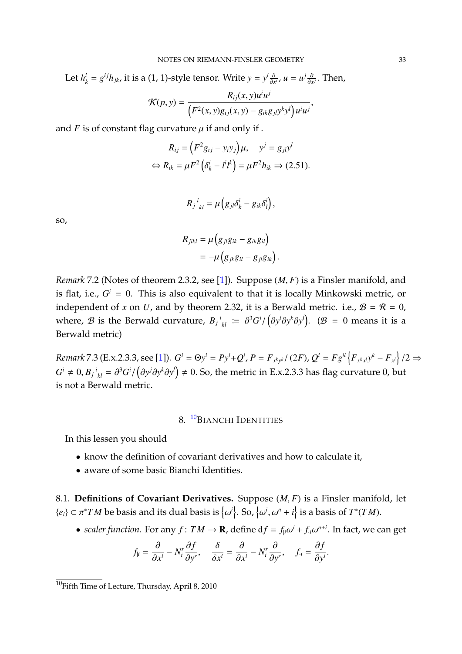Let  $h_k^i = g^{ij}h_{jk}$ , it is a (1, 1)-style tensor. Write  $y = y^i \frac{\partial}{\partial x^j}$  $\frac{\partial}{\partial x^i}$ ,  $u = u^j \frac{\partial}{\partial x^j}$  $\frac{\partial}{\partial x^j}$ . Then,

$$
\mathcal{K}(p, y) = \frac{R_{ij}(x, y)u^i u^j}{\left(F^2(x, y)g_{ij}(x, y) - g_{ik}g_{jl}y^k y^l\right)u^i u^j},
$$

and  $F$  is of constant flag curvature  $\mu$  if and only if .

$$
R_{ij} = (F^2 g_{ij} - y_i y_j) \mu, \quad y^j = g_{jl} y^l
$$
  

$$
\Leftrightarrow R_{ik} = \mu F^2 (\delta^i_k - l^i l^k) = \mu F^2 h_{ik} \Rightarrow (2.51).
$$

$$
R_j{}^i{}_{kl} = \mu \left( g_{jl} \delta^i_k - g_{ik} \delta^i_l \right),
$$

so,

$$
R_{jikl} = \mu (g_{jl}g_{ik} - g_{ik}g_{il})
$$
  
= 
$$
-\mu (g_{jk}g_{il} - g_{jl}g_{ik}).
$$

*Remark* 7.2 (Notes of theorem 2.3.2, see [\[1\]](#page-79-0))*.* Suppose (*M*, *<sup>F</sup>*) is a Finsler manifold, and is flat, i.e.,  $G^i = 0$ . This is also equivalent to that it is locally Minkowski metric, or independent of *x* on *U*, and by theorem 2.32, it is a Berwald metric. i.e.,  $B = \mathcal{R} = 0$ , where, *B* is the Berwald curvature,  $B_j{}^i{}_{kl}$   $:= \partial^3 G^i$ / ∂*y i*∂*y k*∂*y l* . (B = 0 means it is a Berwald metric)

Remark 7.3 (E.x.2.3.3, see [\[1\]](#page-79-0)).  $G^i = \Theta y^i = Py^i + Q^i$ ,  $P = F_{x^k y^k}/(2F)$ ,  $Q^i = F g^{il} \{F_{x^k x^l} y^k - F_{x^l}\}/2 \Rightarrow$  $G^i \neq 0, B_j{}^i{}_{kl} = \partial^3 G^i$ / *(∂y<sup>j</sup>∂y<sup>k</sup>∂y<sup>l</sup>)* ≠ 0. So, the metric in E.x.2.3.3 has flag curvature 0, but is not a Berwald metric.

# 8. <sup>[10](#page-32-0)</sup>BIANCHI IDENTITIES

In this lessen you should

- know the definition of covariant derivatives and how to calculate it,
- aware of some basic Bianchi Identities.

8.1. **Definitions of Covariant Derivatives.** Suppose (*M*, *<sup>F</sup>*) is a Finsler manifold, let  ${e_i} \subset \pi^*TM$  be basis and its dual basis is  $\left\{ \right.$  $\{i\}$ . So,  $\{$  $\left\{ \int_{0}^{i}$ ,  $\omega^{n} + i \right\}$  is a basis of  $T^{*}(TM)$ .

• *scaler function.* For any  $f: TM \to \mathbf{R}$ , define  $df = f_{\vert i} \omega^{i} + f_{\vert i} \omega^{n+i}$ . In fact, we can get

$$
f_{\mid i} = \frac{\partial}{\partial x^i} - N_i^r \frac{\partial f}{\partial y^r}, \quad \frac{\delta}{\delta x^i} = \frac{\partial}{\partial x^i} - N_i^r \frac{\partial}{\partial y^r}, \quad f_{\cdot i} = \frac{\partial f}{\partial y^i}.
$$

<span id="page-32-0"></span><sup>10</sup>Fifth Time of Lecture, Thursday, April 8, 2010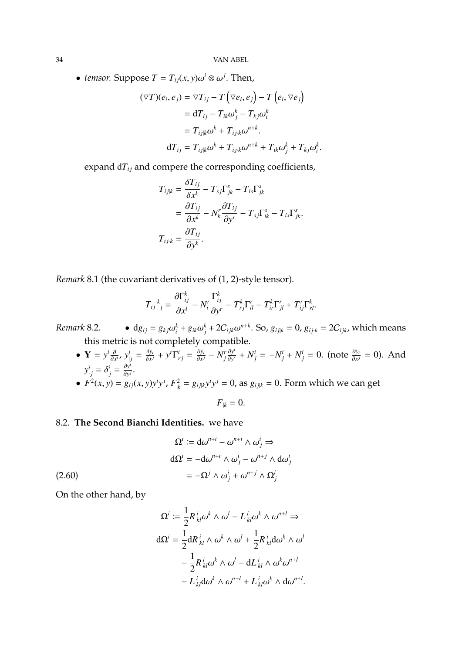34 VAN ABEL

• *temsor.* Suppose  $T = T_{ij}(x, y) \omega^i \otimes \omega^j$ . Then,

$$
(\nabla T)(e_i, e_j) = \nabla T_{ij} - T(\nabla e_i, e_j) - T(e_i, \nabla e_j)
$$
  
\n
$$
= dT_{ij} - T_{ik}\omega_j^k - T_{kj}\omega_i^k
$$
  
\n
$$
= T_{ijk}\omega^k + T_{ijk}\omega^{n+k}.
$$
  
\n
$$
dT_{ij} = T_{ijk}\omega^k + T_{ijk}\omega^{n+k} + T_{ik}\omega_j^k + T_{kj}\omega_i^k
$$

expand  $dT_{ij}$  and compere the corresponding coefficients,

$$
T_{ij|k} = \frac{\delta T_{ij}}{\delta x^k} - T_{sj} \Gamma_{jk}^s - T_{is} \Gamma_{jk}^s
$$
  
= 
$$
\frac{\partial T_{ij}}{\partial x^k} - N_k^r \frac{\partial T_{ij}}{\partial y^r} - T_{sj} \Gamma_{ik}^s - T_{is} \Gamma_{jk}^s.
$$
  

$$
T_{ijk} = \frac{\partial T_{ij}}{\partial y^k}.
$$

*Remark* 8.1 (the covariant derivatives of (1, 2)-style tensor)*.*

$$
T_{ij}^{\ \ k}_{\ l} = \frac{\partial \Gamma_{ij}^k}{\partial x^l} - N_i^r \frac{\Gamma_{ij}^k}{\partial y^r} - T_{rj}^k \Gamma_{il}^r - T_{ir}^k \Gamma_{jl}^r + T_{ij}^r \Gamma_{rl}^k.
$$

 $\frac{\partial x^l}{i} + g_{ik}\omega_j^k + 2C_{ijk}\omega^{n+k}$ . So,  $g_{ijk} = 0$ ,  $g_{ijk} = 2C_{ijk}$ , which means *Remark* 8.2. •  $dg_{ij} = g_{kj}\omega$ this metric is not completely compatible.

•  $Y = y^i \frac{\partial}{\partial x^i}$  $\frac{\partial}{\partial x^i}$ ,  $y^i_{\vert j} = \frac{\delta y_i}{\delta x^j}$  $\frac{\delta y_i}{\delta x^j} + y^r \Gamma^i_{rj} = \frac{\partial y_i}{\partial x^j}$  $\frac{\partial y_i}{\partial x^j} - N_j^r \frac{\partial y^i}{\partial y^j}$  $\frac{\partial y^i}{\partial y^r} + N^i_j = -N^i_j + N^i_j = 0$ . (note  $\frac{\partial y_i}{\partial x^j} = 0$ ). And  $y^i_{\cdot j} = \delta^i_j = \frac{\partial y}{\partial y}$ *i*  $\frac{\partial y}{\partial y^j}$ . •  $F^2(x, y) = g_{ij}(x, y)y^i y^j$ ,  $F_{jk}^2 = g_{ij|k}y^i y^j = 0$ , as  $g_{ij|k} = 0$ . Form which we can get

$$
F_{|k}=0.
$$

# 8.2. **The Second Bianchi Identities.** we have

$$
\Omega^{i} := d\omega^{n+i} - \omega^{n+i} \wedge \omega^{i}_{j} \Rightarrow
$$

$$
d\Omega^{i} = -d\omega^{n+i} \wedge \omega^{i}_{j} - \omega^{n+j} \wedge d\omega^{i}_{j}
$$

$$
= -\Omega^{j} \wedge \omega^{i}_{j} + \omega^{n+j} \wedge \Omega^{i}_{j}
$$
(2.60)

On the other hand, by

$$
\Omega^i := \frac{1}{2} R^i_{kl} \omega^k \wedge \omega^l - L^i_{kl} \omega^k \wedge \omega^{n+l} \Rightarrow
$$
  

$$
d\Omega^i = \frac{1}{2} dR^i_{kl} \wedge \omega^k \wedge \omega^l + \frac{1}{2} R^i_{kl} d\omega^k \wedge \omega^l
$$
  

$$
- \frac{1}{2} R^i_{kl} \omega^k \wedge \omega^l - dL^i_{kl} \wedge \omega^k \omega^{n+l}
$$
  

$$
- L^i_{kl} d\omega^k \wedge \omega^{n+l} + L^i_{kl} \omega^k \wedge d\omega^{n+l}.
$$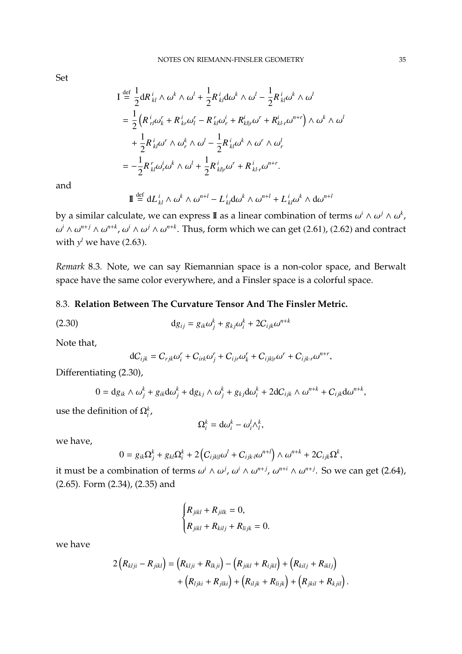Set

$$
I \stackrel{\text{def}}{=} \frac{1}{2} dR_{kl}^i \wedge \omega^k \wedge \omega^l + \frac{1}{2} R_{kl}^i d\omega^k \wedge \omega^l - \frac{1}{2} R_{kl}^i \omega^k \wedge \omega^l
$$
  

$$
= \frac{1}{2} \left( R_{rl}^i \omega_k^r + R_{kr}^i \omega_l^r - R_{kl}^r \omega_r^i + R_{kl}^i \omega^r + R_{kl}^i \omega^{n+r} \right) \wedge \omega^k \wedge \omega^l
$$
  

$$
+ \frac{1}{2} R_{kl}^i \omega^r \wedge \omega_r^k \wedge \omega^l - \frac{1}{2} R_{kl}^i \omega^k \wedge \omega^r \wedge \omega_r^l
$$
  

$$
= -\frac{1}{2} R_{kl}^r \omega_r^i \omega^k \wedge \omega^l + \frac{1}{2} R_{klr}^i \omega^r + R_{klr}^i \omega^{n+r}.
$$

and

$$
\mathbf{I} \stackrel{\text{def}}{=} \mathrm{d}L_{kl}^i \wedge \omega^k \wedge \omega^{n+l} - L_{kl}^i \mathrm{d}\omega^k \wedge \omega^{n+l} + L_{kl}^i \omega^k \wedge \mathrm{d}\omega^{n+l}
$$

by a similar calculate, we can express **I** as a linear combination of terms  $\omega^i \wedge \omega^j \wedge \omega^k$ , ω *<sup><i>i*</sup> ∧ ω<sup>n+*j*</sup> ∧ ω<sup>*n*+*k*</sup>, ω<sup>*i*</sup> ∧ ω<sup>*j*</sup> ∧ ω<sup>*n*+*k*</sup>. Thus, form which we can get (2.61), (2.62) and contract with  $y^l$  we have (2.63).

*Remark* 8.3*.* Note, we can say Riemannian space is a non-color space, and Berwalt space have the same color everywhere, and a Finsler space is a colorful space.

# 8.3. **Relation Between The Curvature Tensor And The Finsler Metric.**

(2.30) 
$$
dg_{ij} = g_{ik}\omega_j^k + g_{kj}\omega_i^k + 2C_{ijk}\omega^{n+k}
$$

Note that,

$$
dC_{ijk} = C_{rjk}\omega_i^r + C_{irk}\omega_j^r + C_{ijr}\omega_k^r + C_{ijk|r}\omega^r + C_{ijk.r}\omega^{n+r},
$$

Differentiating (2.30),

$$
0 = dg_{ik} \wedge \omega_j^k + g_{ik} d\omega_j^k + dg_{kj} \wedge \omega_j^k + g_{kj} d\omega_i^k + 2dC_{ijk} \wedge \omega^{n+k} + C_{ijk} d\omega^{n+k},
$$

use the definition of  $\Omega_i^k$ ,

$$
\Omega_i^k = \mathrm{d}\omega_i^k - \omega_i^l \wedge_i^k,
$$

we have,

$$
0 = g_{ik}\Omega_j^k + g_{kl}\Omega_i^k + 2\left(C_{ijkl}\omega^l + C_{ijkl}\omega^{n+l}\right) \wedge \omega^{n+k} + 2C_{ijk}\Omega^k,
$$

it must be a combination of terms  $\omega^i \wedge \omega^j$ ,  $\omega^i \wedge \omega^{n+j}$ ,  $\omega^{n+i} \wedge \omega^{n+j}$ . So we can get (2.64),  $(2.64)$ ,  $(2.65)$ ,  $E_{\text{max}}$   $(2.24)$ ,  $(2.25)$ , and (2.65). Form (2.34), (2.35) and

$$
\begin{cases} R_{jikl} + R_{jilk} = 0, \\ R_{jikl} + R_{kilj} + R_{lijk} = 0. \end{cases}
$$

we have

$$
2(R_{klji} - R_{jikl}) = (R_{klji} + R_{lkji}) - (R_{jikl} + R_{ijkl}) + (R_{kilj} + R_{iklj}) + (R_{ljki} + R_{jlki}) + (R_{ljki} + R_{jlki}) + (R_{iljk} + R_{lijk}) + (R_{jkil} + R_{kjil}).
$$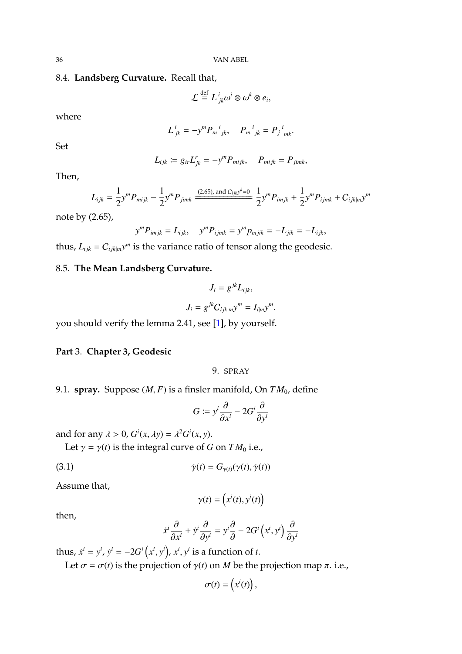36 VAN ABEL

## 8.4. **Landsberg Curvature.** Recall that,

$$
\mathcal{L} \stackrel{\text{def}}{=} L^i_{jk} \omega^i \otimes \omega^k \otimes e_i,
$$

where

$$
L_{jk}^i = -y^m P_m{}_{jk}^i, \quad P_m{}_{jk}^i = P_j{}_{mk}^i.
$$

Set

$$
L_{ijk} := g_{ir}L_{jk}^r = -y^m P_{mijk}, \quad P_{mijk} = P_{jimk},
$$

Then,

$$
L_{ijk} = \frac{1}{2} y^m P_{mijk} - \frac{1}{2} y^m P_{jimk} \frac{(2.65), \text{ and } C_{ijk} y^k = 0}{2} y^m P_{imjk} + \frac{1}{2} y^m P_{ijmk} + C_{ijk|m} y^m
$$

note by (2.65),

$$
y^{m}P_{imjk} = L_{ijk}, \quad y^{m}P_{ijmk} = y^{m}p_{mjik} = -L_{jik} = -L_{ijk},
$$

thus,  $L_{ijk} = C_{ijk|m} y^m$  is the variance ratio of tensor along the geodesic.

# 8.5. **The Mean Landsberg Curvature.**

$$
J_i = g^{jk} L_{ijk},
$$
  

$$
J_i = g^{jk} C_{ijk|m} y^m = I_{ilm} y^m.
$$

you should verify the lemma 2.41, see [\[1\]](#page-79-0), by yourself.

#### **Part** 3. **Chapter 3, Geodesic**

# 9. SPRAY

9.1. **spray.** Suppose (*M*, *<sup>F</sup>*) is a finsler manifold, On *T M*0, define

$$
G \coloneqq y^i \frac{\partial}{\partial x^i} - 2G^i \frac{\partial}{\partial y^i}
$$

and for any  $\lambda > 0$ ,  $G^{i}(x, \lambda y) = \lambda^{2} G^{i}(x, y)$ .

Let  $\gamma = \gamma(t)$  is the integral curve of *G* on *TM*<sup>0</sup> i.e.,

(3.1) 
$$
\dot{\gamma}(t) = G_{\gamma(t)}(\gamma(t), \dot{\gamma}(t))
$$

Assume that,

$$
\gamma(t) = \left(x^i(t), y^i(t)\right)
$$

then,

$$
\dot{x}^i \frac{\partial}{\partial x^i} + \dot{y}^i \frac{\partial}{\partial y^i} = y^i \frac{\partial}{\partial x^i} - 2G^i (x^i, y^i) \frac{\partial}{\partial y^i}
$$

thus,  $\dot{x}^i = y^i$ ,  $\dot{y}^i = -2G^i(x^i, y^i)$ ,  $x^i, y^i$  is a function of *t*.

Let  $\sigma = \sigma(t)$  is the projection of  $\gamma(t)$  on *M* be the projection map  $\pi$ . i.e.,

$$
\sigma(t) = \left(x^i(t)\right),\,
$$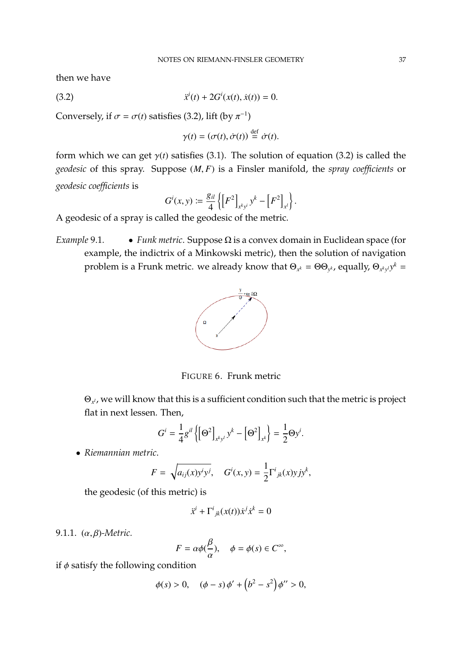then we have

(3.2) 
$$
\ddot{x}^{i}(t) + 2G^{i}(x(t), \dot{x}(t)) = 0.
$$

Conversely, if  $\sigma = \sigma(t)$  satisfies (3.2), lift (by  $\pi^{-1}$ )

$$
\gamma(t) = (\sigma(t), \dot{\sigma}(t)) \stackrel{\text{def}}{=} \dot{\sigma}(t).
$$

form which we can get  $\gamma(t)$  satisfies (3.1). The solution of equation (3.2) is called the *geodesic* of this spray. Suppose (*M*, *<sup>F</sup>*) is a Finsler manifold, the *spray coefficients* or *geodesic coefficients* is

$$
G^{i}(x, y) := \frac{g_{il}}{4} \left\{ \left[ F^{2} \right]_{x^{k} y^{i}} y^{k} - \left[ F^{2} \right]_{x^{l}} \right\}
$$

A geodesic of a spray is called the geodesic of the metric.

*Example* 9.1*.* • *Funk metric*. Suppose Ω is a convex domain in Euclidean space (for example, the indictrix of a Minkowski metric), then the solution of navigation problem is a Frunk metric. we already know that  $\Theta_{x^k} = \Theta \Theta_{y^k}$ , equally,  $\Theta_{x^ky^l} y^k =$ 



FIGURE 6. Frunk metric

Θ*x <sup>l</sup>* , we will know that this is a sufficient condition such that the metric is project flat in next lessen. Then,

$$
G^{i} = \frac{1}{4}g^{il} \left\{ \left[\Theta^{2}\right]_{x^{k}y^{l}} y^{k} - \left[\Theta^{2}\right]_{x^{k}} \right\} = \frac{1}{2} \Theta y^{i}.
$$

• *Riemannian metric*.

$$
F = \sqrt{a_{ij}(x)y^i y^j}, \quad G^i(x, y) = \frac{1}{2} \Gamma^i_{jk}(x) y j y^k,
$$

the geodesic (of this metric) is

$$
\ddot{x}^i + \Gamma^i_{jk}(x(t))\dot{x}^j \dot{x}^k = 0
$$

9.1.1. (α, β)*-Metric.*

$$
F = \alpha \phi(\frac{\beta}{\alpha}), \quad \phi = \phi(s) \in C^{\infty},
$$

if  $\phi$  satisfy the following condition

$$
\phi(s) > 0
$$
,  $(\phi - s) \phi' + (b^2 - s^2) \phi'' > 0$ ,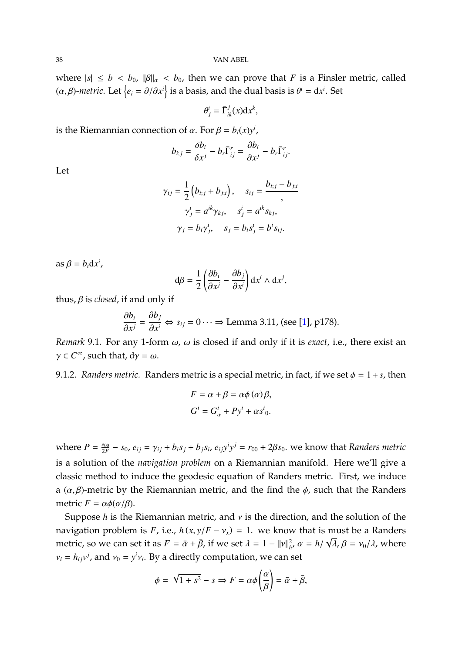where  $|s| \le b < b_0$ ,  $\|\beta\|_{\alpha} < b_0$ , then we can prove that *F* is a Finsler metric, called  $(\alpha, \beta)$ -*metric*. Let  $\{e_i = \partial/\partial x^i\}$  is a basis, and the dual basis is  $\theta^i = dx^i$ . Set

$$
\theta_j^i = \bar{\Gamma}_{ik}^j(x) \mathrm{d} x^k,
$$

is the Riemannian connection of  $\alpha$ . For  $\beta = b_i(x)y^i$ ,

$$
b_{i;j} = \frac{\delta b_i}{\delta x^j} - b_r \bar{\Gamma}^r_{ij} = \frac{\partial b_i}{\partial x^j} - b_r \bar{\Gamma}^r_{ij}.
$$

Let

$$
\gamma_{ij} = \frac{1}{2} \left( b_{i;j} + b_{j;i} \right), \quad s_{ij} = \frac{b_{i;j} - b_{j;i}}{2},
$$

$$
\gamma_j^i = a^{ik} \gamma_{kj}, \quad s_j^i = a^{ik} s_{kj},
$$

$$
\gamma_j = b_i \gamma_j^i, \quad s_j = b_i s_j^i = b^i s_{ij}.
$$

 $\text{as } \beta = b_i \text{d} x^i,$ 

$$
d\beta = \frac{1}{2} \left( \frac{\partial b_i}{\partial x^j} - \frac{\partial b_j}{\partial x^i} \right) dx^i \wedge dx^j,
$$

thus, β is *closed*, if and only if

$$
\frac{\partial b_i}{\partial x^j} = \frac{\partial b_j}{\partial x^i} \Leftrightarrow s_{ij} = 0 \cdots \Rightarrow \text{Lemma 3.11, (see [1], p178).}
$$

*Remark* 9.1. For any 1-form  $\omega$ ,  $\omega$  is closed if and only if it is *exact*, i.e., there exist an  $\gamma \in C^{\infty}$ , such that, d $\gamma = \omega$ .

9.1.2. *Randers metric.* Randers metric is a special metric, in fact, if we set  $\phi = 1 + s$ , then

$$
F = \alpha + \beta = \alpha \phi(\alpha) \beta,
$$
  
\n
$$
G^i = G^i_{\alpha} + Py^i + \alpha s^i_0.
$$

where  $P = \frac{e_{00}}{2F}$  $\frac{e_{00}}{2F}$  –  $s_0$ ,  $e_{ij} = \gamma_{ij} + b_i s_j + b_j s_i$ ,  $e_{ij}y^i y^j = r_{00} + 2\beta s_0$ . we know that Randers metric is a solution of the *navigation problem* on a Riemannian manifold. Here we'll give a classic method to induce the geodesic equation of Randers metric. First, we induce a  $(\alpha, \beta)$ -metric by the Riemannian metric, and the find the  $\phi$ , such that the Randers metric  $F = \alpha \phi(\alpha/\beta)$ .

Suppose *<sup>h</sup>* is the Riemannian metric, and ν is the direction, and the solution of the navigation problem is *F*, i.e.,  $h(x, y/F - v_x) = 1$ . we know that is must be a Randers<br>*matrice as we see that it as*  $F = \frac{1}{2} \frac{\partial}{\partial x}$  if  $y = z + 1$ ,  $v = 1 + v^2$ ,  $v = 1 + \sqrt{2} \cdot 2$ ,  $v = 1 + v^2$ metric, so we can set it as  $F = \bar{\alpha} + \bar{\beta}$ , if we set  $\lambda = 1 - ||v||_{h}^{2}$ ,  $\alpha = h/\sqrt{\lambda}$ ,  $\beta = v_{0}/\lambda$ , where  $v_i = h_{ij}v^j$ , and  $v_0 = y^i v_i$ . By a directly computation, we can set

$$
\phi = \sqrt{1 + s^2} - s \Rightarrow F = \alpha \phi \left(\frac{\alpha}{\beta}\right) = \bar{\alpha} + \bar{\beta},
$$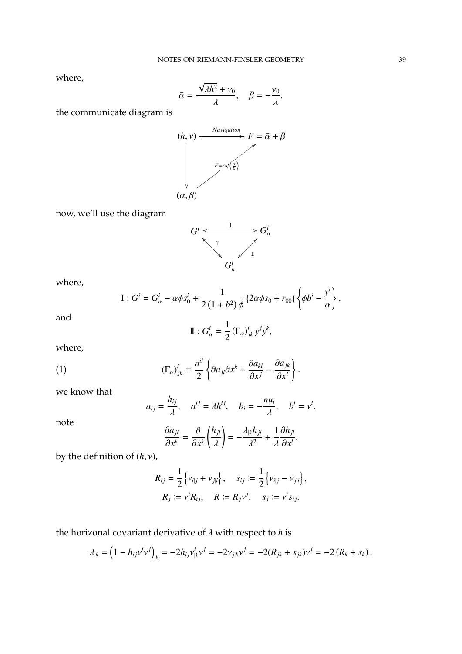where,

$$
\bar{\alpha} = \frac{\sqrt{\lambda h^2} + \nu_0}{\lambda}, \quad \bar{\beta} = -\frac{\nu_0}{\lambda}.
$$

the communicate diagram is



now, we'll use the diagram



where,

I: 
$$
G^i = G^i_{\alpha} - \alpha \phi s^i_0 + \frac{1}{2(1+b^2)\phi} \left\{ 2\alpha \phi s_0 + r_{00} \right\} \left\{ \phi b^i - \frac{y^i}{\alpha} \right\},
$$

and

$$
\mathbf{I} \cdot G_{\alpha}^{i} = \frac{1}{2} \left( \Gamma_{\alpha} \right)_{jk}^{i} y^{j} y^{k},
$$

where,

note

(1) 
$$
(\Gamma_{\alpha})_{jk}^{i} = \frac{a^{il}}{2} \left\{ \partial a_{jl} \partial x^{k} + \frac{\partial a_{kl}}{\partial x^{j}} - \frac{\partial a_{jk}}{\partial x^{l}} \right\}.
$$

we know that

$$
a_{ij} = \frac{h_{ij}}{\lambda}, \quad a^{ij} = \lambda h^{ij}, \quad b_i = -\frac{n u_i}{\lambda}, \quad b^i = v^i
$$

$$
\frac{\partial a_{jl}}{\partial k} = \frac{\partial}{\partial k} \left( \frac{h_{jl}}{\partial k} \right) = -\frac{\lambda_{jk} h_{jl}}{v^2} + \frac{1}{v^2} \frac{\partial h_{jl}}{\partial k}.
$$

 $\partial x^l$ 

$$
\frac{\partial a_{jl}}{\partial x^k} = \frac{\partial}{\partial x^k} \left( \frac{h_{jl}}{\lambda} \right) = -\frac{\lambda_{jk} h_{jl}}{\lambda^2} + \frac{1}{\lambda}
$$

by the definition of (*h*, ν),

$$
R_{ij} = \frac{1}{2} \left\{ v_{i|j} + v_{j|i} \right\}, \quad s_{ij} := \frac{1}{2} \left\{ v_{i|j} - v_{j|i} \right\},
$$
  

$$
R_j := v^j R_{ij}, \quad R := R_j v^j, \quad s_j := v^j s_{ij}.
$$

the horizonal covariant derivative of  $\lambda$  with respect to  $h$  is

$$
\lambda_{|k} = (1 - h_{ij}v^i v^j)_{|k} = -2h_{ij}v^i_{|k}v^j = -2v_{j|k}v^j = -2(R_{jk} + s_{jk})v^j = -2(R_k + s_k).
$$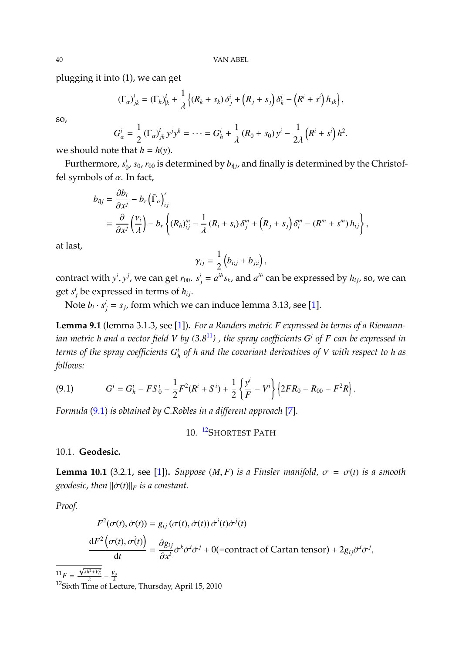plugging it into (1), we can get

$$
(\Gamma_{\alpha})_{jk}^i = (\Gamma_h)_{jk}^i + \frac{1}{\lambda} \left\{ (R_k + s_k) \delta_j^i + (R_j + s_j) \delta_k^i - (R^i + s^i) h_{jk} \right\},\
$$

so,

$$
G_{\alpha}^{i} = \frac{1}{2} \left( \Gamma_{\alpha} \right)_{jk}^{i} y^{j} y^{k} = \dots = G_{h}^{i} + \frac{1}{\lambda} \left( R_{0} + s_{0} \right) y^{i} - \frac{1}{2\lambda} \left( R^{i} + s^{i} \right) h^{2}.
$$
  
Let that  $h = h(y)$ 

we should note that  $h = h(y)$ .

Furthermore, *s i*  $_{0}^{i}$ ,  $s_{0}$ ,  $r_{00}$  is determined by  $b_{i|j}$ , and finally is determined by the Christoffel symbols of  $\alpha$ . In fact,

$$
b_{i|j} = \frac{\partial b_i}{\partial x^j} - b_r \left(\overline{\Gamma}_{\alpha}\right)_{ij}^r
$$
  
=  $\frac{\partial}{\partial x^j} \left(\frac{v_i}{\lambda}\right) - b_r \left\{ (R_h)_{ij}^m - \frac{1}{\lambda} (R_i + s_i) \delta_j^m + (R_j + s_j) \delta_i^m - (R^m + s^m) h_{ij} \right\},$ 

at last,

$$
\gamma_{ij}=\frac{1}{2}\left(b_{i;j}+b_{j;i}\right),\,
$$

contract with  $y^i$ ,  $y^j$ , we can get  $r_{00}$ .  $s^i_j = a^{ih} s_k$ , and  $a^{ih}$  can be expressed by  $h_{ij}$ , so, we can get  $s_j^i$  be expressed in terms of  $h_{ij}$ .

Note  $b_i \cdot s_j^i = s_j$ , form which we can induce lemma 3.13, see [\[1\]](#page-79-0).

<span id="page-39-3"></span>**Lemma 9.1** (lemma 3.1.3, see [\[1\]](#page-79-0))**.** *For a Randers metric F expressed in terms of a Riemann* $i$ *an metric h and a vector field V by (3.8* $^{11}$  $^{11}$  $^{11}$ *) , the spray coefficients*  $G^i$  *of F can be expressed in terms of the spray coefficients G i h of h and the covariant derivatives of V with respect to h as follows:*

<span id="page-39-1"></span>(9.1) 
$$
G^i = G_h^i - FS_0^i - \frac{1}{2}F^2(R^i + S^i) + \frac{1}{2}\left{\frac{y^i}{F} - V^i\right}\left{2FR_0 - R_{00} - F^2R\right}.
$$

*Formula* [\(9.1\)](#page-39-1) *is obtained by C.Robles in a different approach* [\[7\]](#page-79-1)*.*

## 10. <sup>[12](#page-39-2)</sup>SHORTEST PATH

#### 10.1. **Geodesic.**

**Lemma 10.1** (3.2.1, see [\[1\]](#page-79-0)). *Suppose* (*M, F*) *is a Finsler manifold,*  $\sigma = \sigma(t)$  *is a smooth geodesic, then*  $\|\dot{\sigma}(t)\|_F$  *is a constant.* 

*Proof.*

<span id="page-39-0"></span> $^{11}F =$ 

$$
F^{2}(\sigma(t), \dot{\sigma}(t)) = g_{ij}(\sigma(t), \dot{\sigma}(t)) \dot{\sigma}^{i}(t) \dot{\sigma}^{j}(t)
$$

$$
\frac{dF^{2}(\sigma(t), \dot{\sigma}(t))}{dt} = \frac{\partial g_{ij}}{\partial x^{k}} \dot{\sigma}^{k} \dot{\sigma}^{i} \dot{\sigma}^{j} + 0 \text{(=contract of Cartan tensor)} + 2g_{ij} \ddot{\sigma}^{i} \dot{\sigma}^{j},
$$

$$
\frac{\sqrt{\lambda h^{2} + V_{0}^{2}}}{2} - \frac{V_{0}}{2}
$$

<span id="page-39-2"></span>λ <sup>12</sup>Sixth Time of Lecture, Thursday, April 15, 2010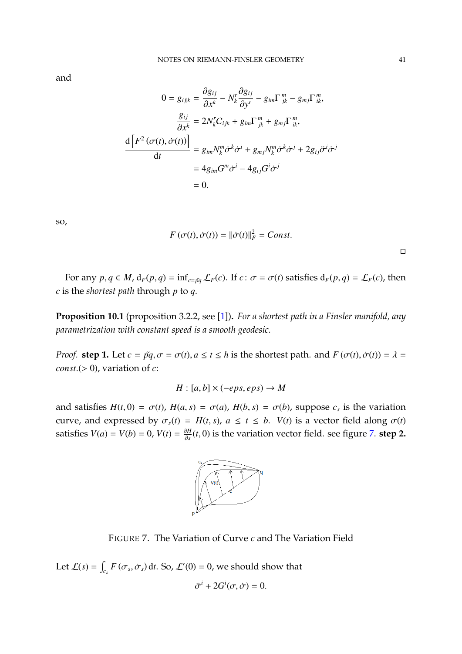and

$$
0 = g_{ijk} = \frac{\partial g_{ij}}{\partial x^k} - N_k^r \frac{\partial g_{ij}}{\partial y^r} - g_{im} \Gamma_{jk}^m - g_{mj} \Gamma_{ik}^m,
$$
  

$$
\frac{g_{ij}}{\partial x^k} = 2N_k^r C_{ijk} + g_{im} \Gamma_{jk}^m + g_{mj} \Gamma_{ik}^m,
$$
  

$$
\frac{d \left[F^2(\sigma(t), \dot{\sigma}(t))\right]}{dt} = g_{im} N_k^m \dot{\sigma}^k \dot{\sigma}^i + g_{mj} N_k^m \dot{\sigma}^k \dot{\sigma}^j + 2g_{ij} \ddot{\sigma}^i \dot{\sigma}^j
$$
  

$$
= 4g_{im} G^m \dot{\sigma}^i - 4g_{ij} G^i \dot{\sigma}^j
$$
  
= 0.

so,

$$
F(\sigma(t), \dot{\sigma}(t)) = ||\dot{\sigma}(t)||_F^2 = Const.
$$

For any  $p, q \in M$ ,  $d_F(p, q) = \inf_{c = \tilde{pq}} \mathcal{L}_F(c)$ . If  $c : \sigma = \sigma(t)$  satisfies  $d_F(p, q) = \mathcal{L}_F(c)$ , then *c* is the *shortest path* through *p* to *q*.

**Proposition 10.1** (proposition 3.2.2, see [\[1\]](#page-79-0))**.** *For a shortest path in a Finsler manifold, any parametrization with constant speed is a smooth geodesic.*

*Proof.* **step 1.** Let  $c = \tilde{pq}, \sigma = \sigma(t), a \le t \le h$  is the shortest path. and  $F(\sigma(t), \dot{\sigma}(t)) = \lambda =$ *const*.( $> 0$ ), variation of *c*:

 $H: [a, b] \times (-eps, eps) \rightarrow M$ 

and satisfies  $H(t, 0) = \sigma(t)$ ,  $H(a, s) = \sigma(a)$ ,  $H(b, s) = \sigma(b)$ , suppose  $c_s$  is the variation curve, and expressed by  $\sigma_s(t) = H(t, s)$ ,  $a \le t \le b$ .  $V(t)$  is a vector field along  $\sigma(t)$ satisfies  $V(a) = V(b) = 0$ ,  $V(t) = \frac{\partial H}{\partial s}$ ∂*s* (*t*, 0) is the variation vector field. see figure [7.](#page-40-0) **step 2.**



<span id="page-40-0"></span>FIGURE 7. The Variation of Curve *c* and The Variation Field

Let  $\mathcal{L}(s) = \int_{c_s} F(\sigma_s, \dot{\sigma}_s) dt$ . So,  $\mathcal{L}'(0) = 0$ , we should show that

$$
\ddot{\sigma}^i + 2G^i(\sigma, \dot{\sigma}) = 0.
$$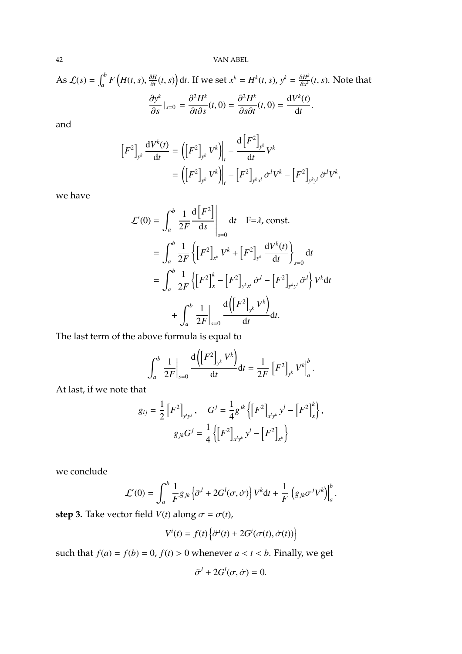42 VAN ABEL

As 
$$
\mathcal{L}(s) = \int_{a}^{b} F\left(H(t, s), \frac{\partial H}{\partial t}(t, s)\right) dt
$$
. If we set  $x^{k} = H^{k}(t, s), y^{k} = \frac{\partial H^{k}}{\partial x^{k}}(t, s)$ . Note that  

$$
\frac{\partial y^{k}}{\partial s}\Big|_{s=0} = \frac{\partial^{2} H^{k}}{\partial t \partial s}(t, 0) = \frac{\partial^{2} H^{k}}{\partial s \partial t}(t, 0) = \frac{\mathrm{d}V^{k}(t)}{\mathrm{d}t}.
$$

and

$$
\[F^2\]_{y^k} \frac{\mathrm{d}V^k(t)}{\mathrm{d}t} = \left( \left[ F^2 \right]_{y^k} V^k \right) \Big|_t - \frac{\mathrm{d} \left[ F^2 \right]_{y^k}}{\mathrm{d}t} V^k
$$

$$
= \left( \left[ F^2 \right]_{y^k} V^k \right) \Big|_t - \left[ F^2 \right]_{y^k x^l} \dot{\sigma}^l V^k - \left[ F^2 \right]_{y^k y^l} \ddot{\sigma}^l V^k,
$$

we have

$$
\mathcal{L}'(0) = \int_{a}^{b} \frac{1}{2F} \frac{d[F^{2}]}{ds} \Big|_{s=0} dt \quad F=\lambda, \text{ const.}
$$

$$
= \int_{a}^{b} \frac{1}{2F} \left\{ \left[ F^{2} \right]_{x^{k}} V^{k} + \left[ F^{2} \right]_{y^{k}} \frac{dV^{k}(t)}{dt} \right\}_{s=0} dt
$$

$$
= \int_{a}^{b} \frac{1}{2F} \left\{ \left[ F^{2} \right]_{x}^{k} - \left[ F^{2} \right]_{y^{k}x^{l}} \dot{\sigma}^{l} - \left[ F^{2} \right]_{y^{k}y^{l}} \ddot{\sigma}^{l} \right\} V^{k} dt
$$

$$
+ \int_{a}^{b} \frac{1}{2F} \Big|_{s=0} \frac{d\left( \left[ F^{2} \right]_{y^{k}} V^{k} \right)}{dt} dt.
$$

The last term of the above formula is equal to

$$
\int_{a}^{b} \frac{1}{2F} \Big|_{s=0} \frac{d\left(\left[F^{2}\right]_{y^{k}} V^{k}\right)}{dt} dt = \frac{1}{2F} \left[F^{2}\right]_{y^{k}} V^{k} \Big|_{a}^{b}.
$$

At last, if we note that

$$
g_{ij} = \frac{1}{2} \left[ F^2 \right]_{y^i y^j}, \quad G^j = \frac{1}{4} g^{jk} \left\{ \left[ F^2 \right]_{x^l y^k} y^l - \left[ F^2 \right]_{x}^k \right\},
$$

$$
g_{jk} G^j = \frac{1}{4} \left\{ \left[ F^2 \right]_{x^l y^k} y^l - \left[ F^2 \right]_{x^k} \right\}
$$

we conclude

$$
\mathcal{L}'(0) = \int_a^b \frac{1}{F} g_{jk} \left\{ \ddot{\sigma}^l + 2G^l(\sigma, \dot{\sigma}) \right\} V^k dt + \frac{1}{F} \left( g_{jk} \sigma^j V^k \right) \Big|_a^b.
$$

**step 3.** Take vector field *V*(*t*) along  $\sigma = \sigma(t)$ ,

$$
V^{i}(t) = f(t) \left\{ \dot{\sigma}^{i}(t) + 2G^{i}(\sigma(t), \dot{\sigma}(t)) \right\}
$$

such that  $f(a) = f(b) = 0$ ,  $f(t) > 0$  whenever  $a < t < b$ . Finally, we get

$$
\ddot{\sigma}^l + 2G^l(\sigma, \dot{\sigma}) = 0.
$$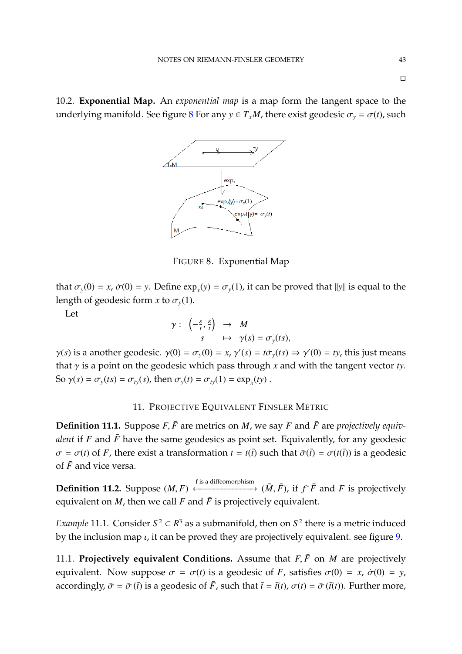10.2. **Exponential Map.** An *exponential map* is a map form the tangent space to the underlying manifold. See figure [8](#page-42-0) For any  $y \in T_xM$ , there exist geodesic  $\sigma_y = \sigma(t)$ , such



<span id="page-42-0"></span>FIGURE 8. Exponential Map

that  $\sigma_y(0) = x$ ,  $\dot{\sigma}(0) = y$ . Define  $\exp_x(y) = \sigma_y(1)$ , it can be proved that  $||y||$  is equal to the length of geodesic form *x* to  $\sigma$ <sub>y</sub>(1).

Let

$$
\gamma: \ \left(-\frac{\varepsilon}{t}, \frac{\varepsilon}{t}\right) \rightarrow M
$$
  

$$
s \mapsto \gamma(s) = \sigma_{y}(ts),
$$

 $\gamma(s)$  is a another geodesic.  $\gamma(0) = \sigma_y(0) = x$ ,  $\gamma'(s) = t\sigma_y(ts) \Rightarrow \gamma'(0) = ty$ , this just means that γ is a point on the geodesic which pass through *<sup>x</sup>* and with the tangent vector *ty*. So  $\gamma(s) = \sigma_y(ts) = \sigma_{ty}(s)$ , then  $\sigma_y(t) = \sigma_{ty}(1) = \exp_x(ty)$ .

## 11. PROJECTIVE EQUIVALENT FINSLER METRIC

**Definition 11.1.** Suppose  $F, \bar{F}$  are metrics on *M*, we say *F* and  $\bar{F}$  are *projectively equivalent* if *F* and  $\bar{F}$  have the same geodesics as point set. Equivalently, for any geodesic  $\sigma = \sigma(t)$  of *F*, there exist a transformation  $t = t(\bar{t})$  such that  $\bar{\sigma}(\bar{t}) = \sigma(t(\bar{t}))$  is a geodesic of  $\bar{F}$  and vice versa.

**Definition 11.2.** Suppose (*M*, *<sup>F</sup>*)  $\longleftrightarrow$  (*M*, *F*), if *f*<sup>\*</sup>*F* and *F* is projectively equivalent on  $M$ , then we call  $F$  and  $\overline{F}$  is projectively equivalent.

*Example* 11.1. Consider  $S^2 \subset \mathbb{R}^3$  as a submanifold, then on  $S^2$  there is a metric induced by the inclusion map  $\iota$ , it can be proved they are projectively equivalent. see figure [9.](#page-43-0)

11.1. **Projectively equivalent Conditions.** Assume that  $F, \bar{F}$  on *M* are projectively equivalent. Now suppose  $\sigma = \sigma(t)$  is a geodesic of *F*, satisfies  $\sigma(0) = x$ ,  $\dot{\sigma}(0) = y$ , accordingly,  $\bar{\sigma} = \bar{\sigma}(\bar{t})$  is a geodesic of  $\bar{F}$ , such that  $\bar{t} = \bar{t}(t)$ ,  $\sigma(t) = \bar{\sigma}(\bar{t}(t))$ . Further more,

 $\Box$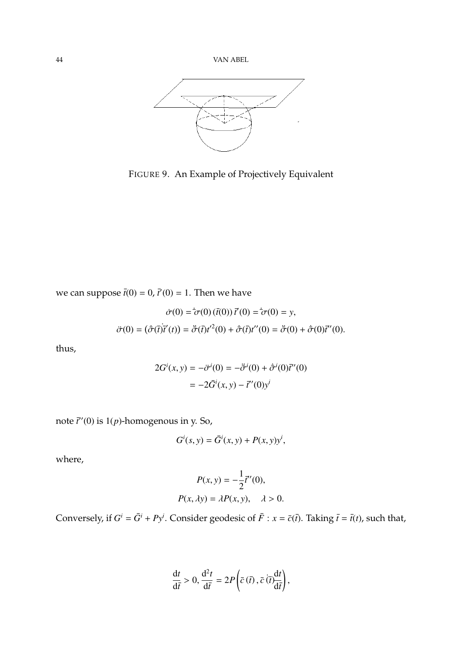

<span id="page-43-0"></span>FIGURE 9. An Example of Projectively Equivalent

we can suppose  $\bar{t}(0) = 0$ ,  $\bar{t}'(0) = 1$ . Then we have

$$
\dot{\sigma}(0) = \dot{\sigma}(0) (\bar{t}(0)) \, \bar{t}'(0) = \dot{\sigma}(0) = y,
$$
  

$$
\ddot{\sigma}(0) = (\dot{\bar{\sigma}}(\bar{t}) \bar{t}'(t)) = \ddot{\bar{\sigma}}(\bar{t}) t'^2(0) + \dot{\bar{\sigma}}(\bar{t}) t''(0) = \ddot{\bar{\sigma}}(0) + \dot{\bar{\sigma}}(0) \bar{t}''(0).
$$

thus,

$$
2G^{i}(x, y) = -\ddot{\sigma}^{i}(0) = -\ddot{\sigma}^{i}(0) + \dot{\sigma}^{i}(0)\ddot{\tau}'(0)
$$

$$
= -2\bar{G}^{i}(x, y) - \bar{t}'(0)y^{i}
$$

note  $\bar{t}^{\prime\prime}(0)$  is  $1(p)$ -homogenous in y. So,

$$
G^i(s, y) = \bar{G}^i(x, y) + P(x, y)y^i,
$$

where,

$$
P(x, y) = -\frac{1}{2}\bar{t}^{\prime\prime}(0),
$$
  

$$
P(x, \lambda y) = \lambda P(x, y), \quad \lambda > 0.
$$

Conversely, if  $G^i = \overline{G}^i + Py^i$ . Consider geodesic of  $\overline{F}$  :  $x = \overline{c}(\overline{t})$ . Taking  $\overline{t} = \overline{t}(t)$ , such that,

$$
\frac{\mathrm{d}t}{\mathrm{d}\bar{t}} > 0, \frac{\mathrm{d}^2t}{\mathrm{d}\bar{t}} = 2P\left(\bar{c}\left(\bar{t}\right), \bar{c}\left(\bar{t}\right)\frac{\mathrm{d}t}{\mathrm{d}\bar{t}}\right),\,
$$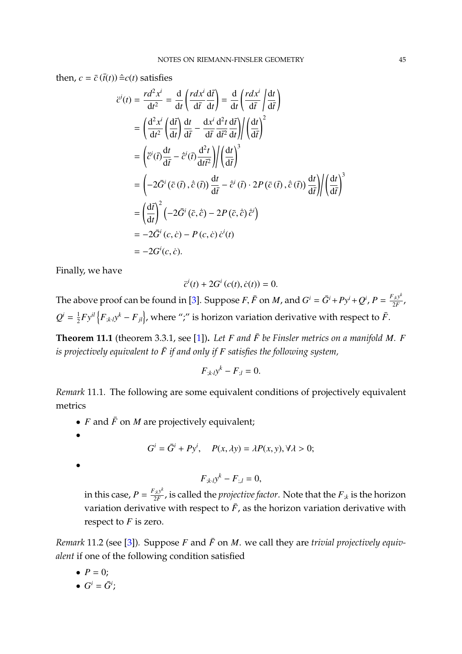then,  $c = \bar{c}(\bar{t}(t)) \hat{=} c(t)$  satisfies

$$
\ddot{c}^{i}(t) = \frac{r d^{2} x^{i}}{dt^{2}} = \frac{d}{dt} \left( \frac{r dx^{i}}{dt} \frac{d\bar{t}}{dt} \right) = \frac{d}{dt} \left( \frac{r dx^{i}}{dt} \frac{d\bar{t}}{dt} \right)
$$
\n
$$
= \left( \frac{d^{2} x^{i}}{dt^{2}} \left( \frac{d\bar{t}}{dt} \right) \frac{dt}{dt^{2}} - \frac{dx^{i}}{dt^{2}} \frac{d^{2} t}{dt^{2}} \frac{d\bar{t}}{dt} \right) / \left( \frac{dt}{dt^{2}} \right)^{2}
$$
\n
$$
= \left( \ddot{\bar{c}}^{i}(\bar{t}) \frac{dt}{d\bar{t}} - \dot{\bar{c}}^{i}(\bar{t}) \frac{d^{2} t}{dt \bar{t}^{2}} \right) / \left( \frac{dt}{d\bar{t}} \right)^{3}
$$
\n
$$
= \left( -2 \bar{G}^{i} (\bar{c} (\bar{t}), \dot{\bar{c}} (\bar{t})) \frac{dt}{d\bar{t}} - \dot{\bar{c}}^{i} (\bar{t}) \cdot 2P (\bar{c} (\bar{t}), \dot{\bar{c}} (\bar{t})) \frac{dt}{d\bar{t}} \right) / \left( \frac{dt}{d\bar{t}} \right)^{3}
$$
\n
$$
= \left( \frac{d\bar{t}}{dt} \right)^{2} \left( -2 \bar{G}^{i} (\bar{c}, \dot{\bar{c}}) - 2 P (\bar{c}, \dot{\bar{c}}) \dot{\bar{c}}^{i} \right)
$$
\n
$$
= -2 \bar{G}^{i} (c, \dot{c}) - P (c, \dot{c}) \dot{c}^{i} (t)
$$
\n
$$
= -2 G^{i} (c, \dot{c}).
$$

Finally, we have

$$
\ddot{c}^{i}(t) + 2G^{i}(c(t), \dot{c}(t)) = 0.
$$

The above proof can be found in [\[3\]](#page-79-2). Suppose *F*,  $\bar{F}$  on *M*, and  $G^i = \bar{G}^i + Py^i + Q^i$ ,  $P = \frac{F_{\mu} y^k}{2F}$  $\frac{f(k)}{2F}$ ,  $Q^i = \frac{1}{2}$  $\frac{1}{2}F y^{il}\left\{F_{;k\cdot l}y^k-F_{jl}\right\}$ , where ";" is horizon variation derivative with respect to  $\bar{F}.$ 

**Theorem 11.1** (theorem 3.3.1, see [\[1\]](#page-79-0)). Let *F* and  $\bar{F}$  be Finsler metrics on a manifold *M*. *F is projectively equivalent to*  $\bar{F}$  *if and only if*  $F$  *satisfies the following system,* 

$$
F_{;k\cdot l}y^k - F_{;l} = 0.
$$

*Remark* 11.1*.* The following are some equivalent conditions of projectively equivalent metrics

- $F$  and  $\bar{F}$  on  $M$  are projectively equivalent;
- •

$$
G^i = \overline{G}^i + Py^i, \quad P(x, \lambda y) = \lambda P(x, y), \forall \lambda > 0;
$$

•

$$
F_{;k\cdot l}y^k - F_{;l} = 0,
$$

in this case,  $P = \frac{F_{;k} y^k}{2F}$  $\frac{2}{2F}$ , is called the *projective factor*. Note that the  $F_{;k}$  is the horizon variation derivative with respect to  $\bar{F}$ , as the horizon variation derivative with respect to *F* is zero.

*Remark* 11.2 (see [\[3\]](#page-79-2)). Suppose *F* and  $\bar{F}$  on *M*. we call they are *trivial projectively equivalent* if one of the following condition satisfied

- $P = 0$ ;
- $G^i = \overline{G}^i$ ;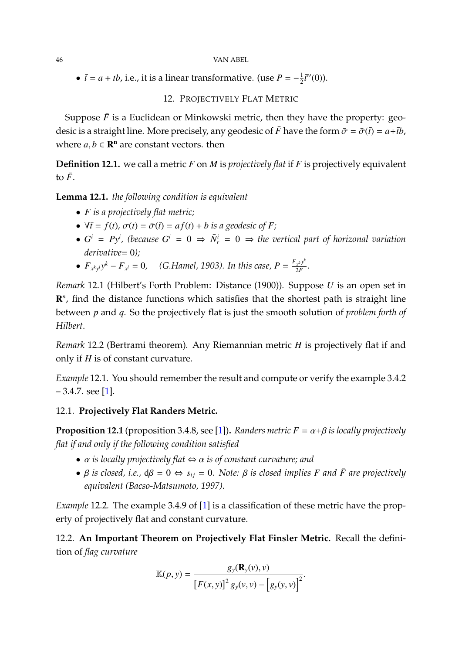#### 46 VAN ABEL

•  $\bar{t} = a + tb$ , i.e., it is a linear transformative. (use  $P = -\frac{1}{2}$  $\frac{1}{2}\bar{t}''(0)$ ).

## 12. PROJECTIVELY FLAT METRIC

Suppose  $\bar{F}$  is a Euclidean or Minkowski metric, then they have the property: geodesic is a straight line. More precisely, any geodesic of  $\bar{F}$  have the form  $\bar{\sigma} = \bar{\sigma}(\bar{t}) = a + \bar{t}b$ , where  $a, b \in \mathbb{R}^n$  are constant vectors. then

**Definition 12.1.** we call a metric *F* on *M* is *projectively flat* if *F* is projectively equivalent to  $\bar{F}$ .

**Lemma 12.1.** *the following condition is equivalent*

- *F is a projectively flat metric;*
- $\forall \overline{t} = f(t), \sigma(t) = \overline{\sigma}(\overline{t}) = af(t) + b$  *is a geodesic of F*;
- $G^i = Py^i$ , (because  $G^i = 0 \Rightarrow \bar{N}_r^i = 0 \Rightarrow$  the vertical part of horizonal variation *derivative*= 0*);*
- $F_{x^k y^l} y^k F_{x^l} = 0$ , (G.Hamel, 1903). In this case,  $P = \frac{F_{x^k} y^k}{2F}$  $rac{x^{k}y}{2F}$ .

*Remark* 12.1 (Hilbert's Forth Problem: Distance (1900))*.* Suppose *U* is an open set in R<sup>n</sup>, find the distance functions which satisfies that the shortest path is straight line between *p* and *q*. So the projectively flat is just the smooth solution of *problem forth of Hilbert*.

*Remark* 12.2 (Bertrami theorem)*.* Any Riemannian metric *H* is projectively flat if and only if *H* is of constant curvature.

*Example* 12.1*.* You should remember the result and compute or verify the example 3.4.2  $-3.4.7.$  see [\[1\]](#page-79-0).

## 12.1. **Projectively Flat Randers Metric.**

**Proposition 12.1** (proposition 3.4.8, see [\[1\]](#page-79-0)). *Randers metric*  $F = \alpha + \beta$  *is locally projectively flat if and only if the following condition satisfied*

- α *is locally projectively flat* <sup>⇔</sup> α *is of constant curvature; and*
- $\beta$  *is closed, i.e.,*  $d\beta = 0 \Leftrightarrow s_{ij} = 0$ . Note:  $\beta$  *is closed implies F* and *F* are projectively *equivalent (Bacso-Matsumoto, 1997).*

*Example* 12.2. The example 3.4.9 of [\[1\]](#page-79-0) is a classification of these metric have the property of projectively flat and constant curvature.

12.2. **An Important Theorem on Projectively Flat Finsler Metric.** Recall the definition of *flag curvature*

$$
\mathbb{K}(p, y) = \frac{g_y(\mathbf{R}_y(v), v)}{\left[F(x, y)\right]^2 g_y(v, v) - \left[g_y(y, v)\right]^2}.
$$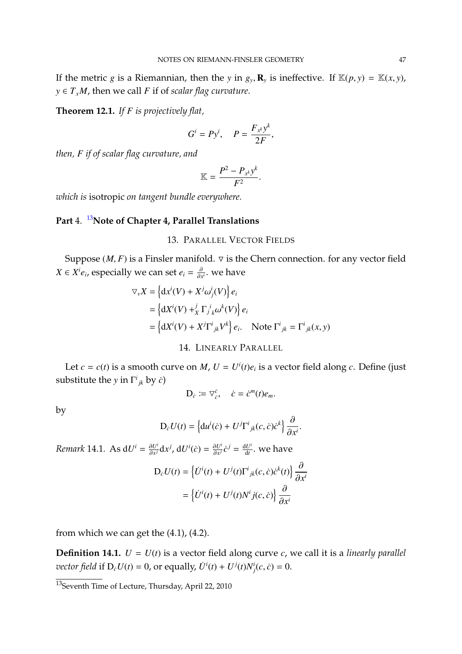If the metric *g* is a Riemannian, then the *y* in  $g_y$ ,  $\mathbf{R}_y$  is ineffective. If  $\mathbb{K}(p, y) = \mathbb{K}(x, y)$ ,  $y \in T_xM$ , then we call *F* if of *scalar flag curvature*.

**Theorem 12.1.** *If F is projectively flat,*

$$
G^i = Py^i, \quad P = \frac{F_{x^k}y^k}{2F},
$$

*then, F if of scalar flag curvature, and*

$$
\mathbb{K}=\frac{P^2-P_{x^k}y^k}{F^2}.
$$

*which is* isotropic *on tangent bundle everywhere.*

# **Part** 4. [13](#page-46-0)**Note of Chapter 4, Parallel Translations**

#### 13. PARALLEL VECTOR FIELDS

Suppose  $(M, F)$  is a Finsler manifold.  $\nabla$  is the Chern connection. for any vector field *X* ∈ *X<sup>i</sup>e*<sub>*i*</sub>, especially we can set *e*<sub>*i*</sub> =  $\frac{\partial}{\partial x^i}$ . we have

$$
\nabla_{v} X = \left\{ \mathrm{d}x^{i}(V) + X^{j} \omega_{j}^{i}(V) \right\} e_{i}
$$
  
= 
$$
\left\{ \mathrm{d}X^{i}(V) + \mathrm{d}X^{j} \Gamma_{j}^{i} \omega^{k}(V) \right\} e_{i}
$$
  
= 
$$
\left\{ \mathrm{d}X^{i}(V) + X^{j} \Gamma^{i}{}_{jk} V^{k} \right\} e_{i}.
$$
 Note  $\Gamma^{i}{}_{jk} = \Gamma^{i}{}_{jk}(x, y)$ 

## 14. LINEARLY PARALLEL

Let  $c = c(t)$  is a smooth curve on *M*,  $U = U^{i}(t)e_{i}$  is a vector field along *c*. Define (just substitute the *y* in  $\Gamma^i_{jk}$  by *ċ*)

$$
\mathbf{D}_{\dot{c}}\coloneqq \nabla_{\dot{c}}^{\dot{c}},\quad \dot{c}=\dot{c}^m(t)e_m.
$$

by

$$
D_{\dot{c}}U(t) = \left\{du^{i}(\dot{c}) + U^{j}\Gamma^{i}{}_{jk}(c,\dot{c})\dot{c}^{k}\right\}\frac{\partial}{\partial x^{i}}.
$$

*Remark* 14.1*.* As  $dU^i = \frac{\partial U^i}{\partial x^j}$  $\frac{\partial U^i}{\partial x^j}dx^j$ ,  $dU^i(\dot{c}) = \frac{\partial U^i}{\partial x^j}$  $\frac{\partial U^i}{\partial x^j} \dot{C}^j = \frac{\mathrm{d} U^i}{\mathrm{d} t}$  $\frac{dU^i}{dt}$ . we have

$$
D_{\hat{c}}U(t) = \left\{\dot{U}^i(t) + U^j(t)\Gamma^i{}_{jk}(c,\dot{c})\dot{c}^k(t)\right\}\frac{\partial}{\partial x^i}
$$

$$
= \left\{\dot{U}^i(t) + U^j(t)N^i{}_{j}(c,\dot{c})\right\}\frac{\partial}{\partial x^i}
$$

from which we can get the (4.1), (4.2).

**Definition 14.1.**  $U = U(t)$  is a vector field along curve *c*, we call it is a *linearly parallel vector field* if  $D_c U(t) = 0$ , or equally,  $\dot{U}^i(t) + U^j(t)N^i_j(c, \dot{c}) = 0$ .

<span id="page-46-0"></span><sup>13</sup>Seventh Time of Lecture, Thursday, April 22, 2010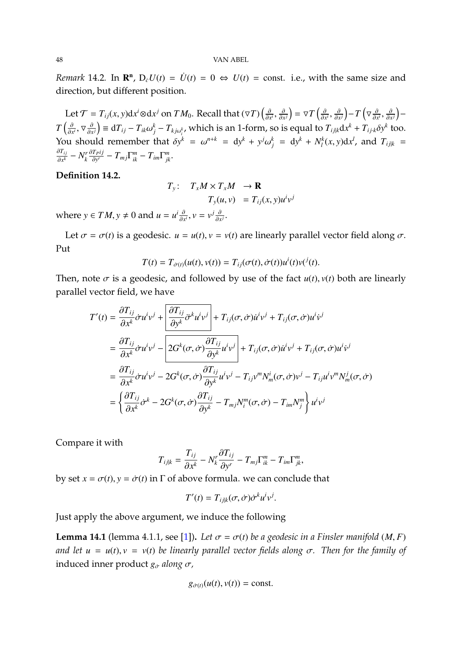*Remark* 14.2. In  $\mathbb{R}^n$ ,  $D_c U(t) = \dot{U}(t) = 0 \Leftrightarrow U(t) = \text{const.}$  i.e., with the same size and direction, but different position.

Let  $\mathcal{T} = T_{ij}(x, y)dx^i \otimes dx^j$  on  $TM_0$ . Recall that  $(\nabla T)\left(\frac{\partial}{\partial x^i}, \frac{\partial}{\partial x^j}\right) = \nabla T\left(\frac{\partial}{\partial x^i}, \frac{\partial}{\partial x^j}\right) - T\left(\nabla \frac{\partial}{\partial x^i}, \frac{\partial}{\partial x^j}\right) \frac{\partial x^i}{\partial x^j}$ ,  $\frac{\partial x^j}{\partial x^j}$ ,  $\frac{\partial x^j}{\partial x^j}$ ,  $\frac{\partial x^j}{\partial x^k}$ ,  $\frac{\partial x^j}{\partial x^k}$ ,  $\frac{\partial x^j}{\partial x^k}$  $T\left(\frac{\partial}{\partial x^i}\right)$ ∂*x* ∂*x*  $(\nabla \frac{\partial}{\partial x^j}) \equiv dT_{ij} - T_{ik}\omega_j^k - T_{kj}\omega_i^k$ , which is an 1-form, so is equal to  $T_{ijk}dx^k + T_{ijk}\delta y^k$  too. You should remember that  $\delta y^k = \omega^{n+k} = dy^k + y^j$  $j^{k}$  = dy<sup>k</sup> + N<sup>k</sup><sub>l</sub>  $\int_l^k (x, y) \mathrm{d}x^l$ , and  $T_{ij|k}$  = ∂*Ti j*  $\frac{\partial I_{ij}}{\partial x^k} - N_k^r$ *k* ∂*TPi j*  $\frac{Tpi}{\partial y^r} - T_{mj}\Gamma^m_{ik} - T_{im}\Gamma^m_{jk}$ .

## **Definition 14.2.**

$$
T_y: T_x M \times T_x M \to \mathbf{R}
$$
  

$$
T_y(u, v) = T_{ij}(x, y)u^iv^j
$$

where *y*  $\in TM$ , *y*  $\neq 0$  and *u* = *u*<sup>*i*</sup> $\frac{\partial}{\partial x}$  $\frac{\partial}{\partial x^i}$ ,  $v = v^j \frac{\partial}{\partial x^j}$  $\frac{\partial}{\partial x^j}$ .

Let  $\sigma = \sigma(t)$  is a geodesic.  $u = u(t)$ ,  $v = v(t)$  are linearly parallel vector field along  $\sigma$ . Put

$$
T(t) = T_{\dot{\sigma}(t)}(u(t), v(t)) = T_{ij}(\sigma(t), \dot{\sigma}(t))u^{i}(t)v^{i}(t).
$$

Then, note  $\sigma$  is a geodesic, and followed by use of the fact  $u(t)$ ,  $v(t)$  both are linearly parallel vector field, we have

$$
T'(t) = \frac{\partial T_{ij}}{\partial x^k} \dot{\sigma} u^i v^j + \frac{\partial T_{ij}}{\partial y^k} \ddot{\sigma}^k u^i v^j + T_{ij}(\sigma, \dot{\sigma}) \dot{u}^i v^j + T_{ij}(\sigma, \dot{\sigma}) u^i \dot{v}^j
$$
  
\n
$$
= \frac{\partial T_{ij}}{\partial x^k} \dot{\sigma} u^i v^j - 2G^k(\sigma, \dot{\sigma}) \frac{\partial T_{ij}}{\partial y^k} u^i v^j + T_{ij}(\sigma, \dot{\sigma}) \dot{u}^i v^j + T_{ij}(\sigma, \dot{\sigma}) u^i \dot{v}^j
$$
  
\n
$$
= \frac{\partial T_{ij}}{\partial x^k} \dot{\sigma} u^i v^j - 2G^k(\sigma, \dot{\sigma}) \frac{\partial T_{ij}}{\partial y^k} u^i v^j - T_{ij} v^m N_m^i(\sigma, \dot{\sigma}) v^j - T_{ij} u^i v^m N_m^j(\sigma, \dot{\sigma})
$$
  
\n
$$
= \left\{ \frac{\partial T_{ij}}{\partial x^k} \dot{\sigma}^k - 2G^k(\sigma, \dot{\sigma}) \frac{\partial T_{ij}}{\partial y^k} - T_{mj} N_i^m(\sigma, \dot{\sigma}) - T_{im} N_j^m \right\} u^i v^j
$$

Compare it with

$$
T_{ijk} = \frac{T_{ij}}{\partial x^k} - N_k^r \frac{\partial T_{ij}}{\partial y^r} - T_{mj} \Gamma_{ik}^m - T_{im} \Gamma_{jk}^m,
$$
  
For above formula, we can conclude

by set  $x = \sigma(t)$ ,  $y = \dot{\sigma}(t)$  in  $\Gamma$  of above formula. we can conclude that

$$
T'(t) = T_{ij|k}(\sigma, \dot{\sigma}) \dot{\sigma}^k u^i v^j.
$$

Just apply the above argument, we induce the following

**Lemma 14.1** (lemma 4.1.1, see [\[1\]](#page-79-0)). Let  $\sigma = \sigma(t)$  be a geodesic in a Finsler manifold (*M*, *F*) *and let*  $u = u(t)$ ,  $v = v(t)$  *be linearly parallel vector fields along*  $\sigma$ *. Then for the family of* induced inner product  $g_{\sigma}$  *along*  $\sigma$ ,

$$
g_{\dot{\sigma}(t)}(u(t),v(t)) = \text{const.}
$$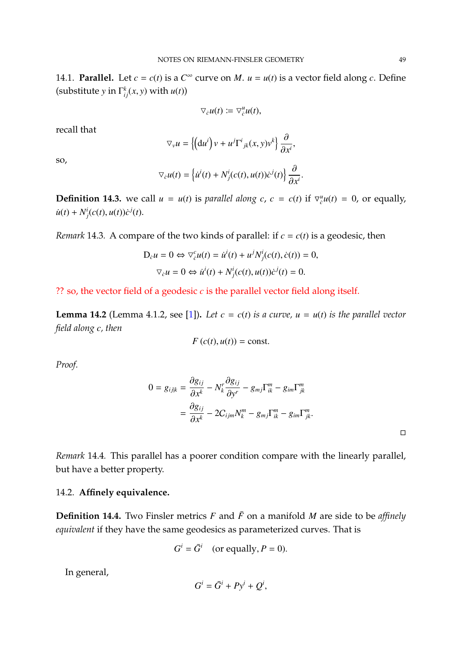14.1. **Parallel.** Let  $c = c(t)$  is a  $C^{\infty}$  curve on *M*.  $u = u(t)$  is a vector field along *c*. Define (substitute *y* in  $\Gamma^k_{ij}(x, y)$  with  $u(t)$ )

$$
\nabla_{\dot{c}}u(t)\coloneqq \nabla_{\dot{c}}^u u(t),
$$

recall that

$$
\nabla_{\nu} u = \left\{ \left( \mathrm{d} u^i \right) v + u^j \Gamma^i{}_{jk}(x, y) v^k \right\} \frac{\partial}{\partial x^i},
$$

so,

$$
\nabla_{\dot{c}} u(t) = \left\{ \dot{u}^i(t) + N^i_j(c(t), u(t)) \dot{c}^j(t) \right\} \frac{\partial}{\partial x^i}.
$$

**Definition 14.3.** we call  $u = u(t)$  is *parallel along*  $c$ ,  $c = c(t)$  if  $\nabla_c^u u(t) = 0$ , or equally,  $\dot{u}(t) + N^i_j(c(t), u(t))\dot{c}^j(t).$ 

*Remark* 14.3*.* A compare of the two kinds of parallel: if  $c = c(t)$  is a geodesic, then

$$
D_{\dot{c}}u = 0 \Leftrightarrow \nabla_{\dot{c}}^c u(t) = \dot{u}^i(t) + u^j N^i_j(c(t), \dot{c}(t)) = 0,
$$
  

$$
\nabla_{\dot{c}}u = 0 \Leftrightarrow \dot{u}^i(t) + N^i_j(c(t), u(t))\dot{c}^j(t) = 0.
$$

?? so, the vector field of a geodesic *c* is the parallel vector field along itself.

**Lemma 14.2** (Lemma 4.1.2, see [\[1\]](#page-79-0)). Let  $c = c(t)$  is a curve,  $u = u(t)$  is the parallel vector *field along c, then*

$$
F(c(t), u(t)) = \text{const.}
$$

*Proof.*

$$
0 = g_{ijk} = \frac{\partial g_{ij}}{\partial x^k} - N_k^r \frac{\partial g_{ij}}{\partial y^r} - g_{mj} \Gamma_{ik}^m - g_{im} \Gamma_{jk}^m
$$
  
= 
$$
\frac{\partial g_{ij}}{\partial x^k} - 2C_{ijm} N_k^m - g_{mj} \Gamma_{ik}^m - g_{im} \Gamma_{jk}^m.
$$

*Remark* 14.4*.* This parallel has a poorer condition compare with the linearly parallel, but have a better property.

## 14.2. **Affinely equivalence.**

**Definition 14.4.** Two Finsler metrics *F* and  $\bar{F}$  on a manifold *M* are side to be *affinely equivalent* if they have the same geodesics as parameterized curves. That is

$$
G^i = \bar{G}^i \quad \text{(or equally, } P = 0\text{).}
$$

In general,

$$
G^i = \bar{G}^i + Py^i + Q^i,
$$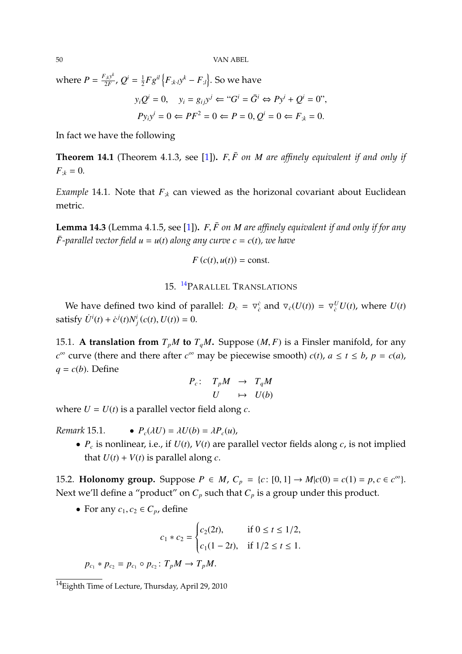50 VAN ABEL

where  $P = \frac{F_{;k} y^k}{2F}$  $\frac{q_{ik}y^{k}}{2F}$ ,  $Q^{i} = \frac{1}{2}$  $\frac{1}{2}Fg^{il}\left\{F_{;k\cdot l}y^{k}-F_{;l}\right\}$ . So we have

$$
y_iQ^i = 0
$$
,  $y_i = g_{ij}y^j \Leftarrow "G^i = \bar{G}^i \Leftrightarrow Py^i + Q^i = 0"$ ,  
\n $Py_iy^i = 0 \Leftarrow PF^2 = 0 \Leftarrow P = 0, Q^i = 0 \Leftarrow F_{ik} = 0.$ 

In fact we have the following

**Theorem 14.1** (Theorem 4.1.3, see [\[1\]](#page-79-0)).  $F, \bar{F}$  *on*  $M$  *are affinely equivalent if and only if*  $F_{:k} = 0.$ 

*Example* 14.1. Note that  $F_{ik}$  can viewed as the horizonal covariant about Euclidean metric.

**Lemma 14.3** (Lemma 4.1.5, see [\[1\]](#page-79-0))**.** *<sup>F</sup>*, *<sup>F</sup>*¯ *on <sup>M</sup> are affinely equivalent if and only if for any*  $\bar{F}$ -parallel vector field  $u = u(t)$  along any curve  $c = c(t)$ , we have

$$
F(c(t), u(t)) = \text{const.}
$$

## 15. [14](#page-49-0)PARALLEL TRANSLATIONS

We have defined two kind of parallel:  $D_c = \nabla_c^c$  and  $\nabla_c(U(t)) = \nabla_c^U U(t)$ , where  $U(t)$ satisfy  $\dot{U}^i(t) + \dot{c}^j(t)N^i_j(c(t), U(t)) = 0.$ 

15.1. A translation from  $T_pM$  to  $T_qM$ . Suppose  $(M, F)$  is a Finsler manifold, for any *c*<sup>∞</sup> curve (there and there after *c*<sup>∞</sup> may be piecewise smooth) *c*(*t*), *a* ≤ *t* ≤ *b*, *p* = *c*(*a*),  $q = c(b)$ . Define

$$
\begin{array}{rcl} P_c: & T_pM & \to & T_qM \\ & U & \mapsto & U(b) \end{array}
$$

where  $U = U(t)$  is a parallel vector field along  $c$ .

*Remark* 15.1. •  $P_c(\lambda U) = \lambda U(b) = \lambda P_c(u)$ ,

• *P<sup>c</sup>* is nonlinear, i.e., if *U*(*t*), *V*(*t*) are parallel vector fields along *c*, is not implied that  $U(t) + V(t)$  is parallel along *c*.

15.2. **Holonomy group.** Suppose *P* ∈ *M*,  $C_p$  = {*c* : [0, 1] → *M*|*c*(0) = *c*(1) = *p*, *c* ∈ *c*<sup>∞</sup>}. Next we'll define a "product" on  $C_p$  such that  $C_p$  is a group under this product.

• For any  $c_1, c_2 \in C_p$ , define

$$
c_1 * c_2 = \begin{cases} c_2(2t), & \text{if } 0 \le t \le 1/2, \\ c_1(1-2t), & \text{if } 1/2 \le t \le 1. \end{cases}
$$

 $p_{c_1} * p_{c_2} = p_{c_1} \circ p_{c_2} : T_p M \to T_p M.$ 

<span id="page-49-0"></span> $14$ Eighth Time of Lecture, Thursday, April 29, 2010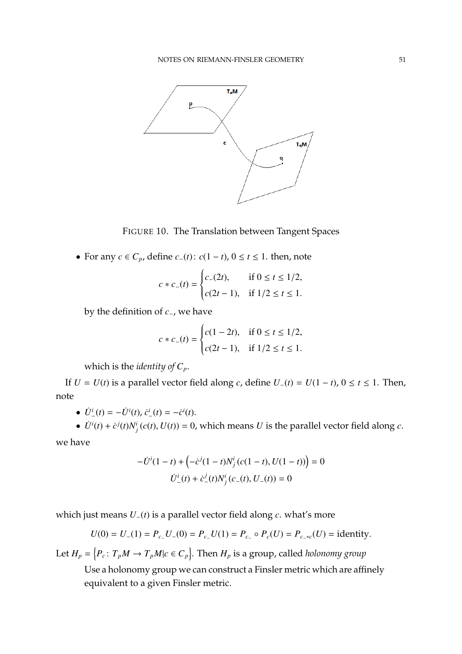

FIGURE 10. The Translation between Tangent Spaces

• For any  $c \in C_p$ , define  $c_-(t)$ :  $c(1-t)$ ,  $0 \le t \le 1$ . then, note

$$
c * c_{-}(t) = \begin{cases} c_{-}(2t), & \text{if } 0 \le t \le 1/2, \\ c(2t - 1), & \text{if } 1/2 \le t \le 1. \end{cases}
$$

by the definition of *c*−, we have

$$
c * c_{-}(t) = \begin{cases} c(1 - 2t), & \text{if } 0 \le t \le 1/2, \\ c(2t - 1), & \text{if } 1/2 \le t \le 1. \end{cases}
$$

which is the *identity of*  $C_p$ .

If *U* = *U*(*t*) is a parallel vector field along *c*, define *U*−(*t*) = *U*(1 − *t*), 0 ≤ *t* ≤ 1. Then, note

- $\dot{U}^{i}_{-}(t) = -\dot{U}^{i}(t), \dot{c}^{i}_{-}(t) = -\dot{c}^{i}(t).$
- $\dot{U}^i(t) + \dot{c}^j(t)N^i_j(c(t), U(t)) = 0$ , which means *U* is the parallel vector field along *c*.

we have

$$
-\dot{U}^{i}(1-t) + \left(-\dot{c}^{j}(1-t)N_{j}^{i}(c(1-t), U(1-t))\right) = 0
$$

$$
\dot{U}_{-}^{i}(t) + \dot{c}_{-}^{j}(t)N_{j}^{i}(c_{-}(t), U_{-}(t)) = 0
$$

which just means *U*−(*t*) is a parallel vector field along *c*. what's more

$$
U(0) = U_{-}(1) = P_{c_{-}}U_{-}(0) = P_{c_{-}}U(1) = P_{c_{-}} \circ P_{c}(U) = P_{c_{-}*c}(U) = \text{identity}.
$$

Let  $H_p = \{P_c: T_pM \to T_pM | c \in C_p\}$ . Then  $H_p$  is a group, called *holonomy group* Use a holonomy group we can construct a Finsler metric which are affinely equivalent to a given Finsler metric.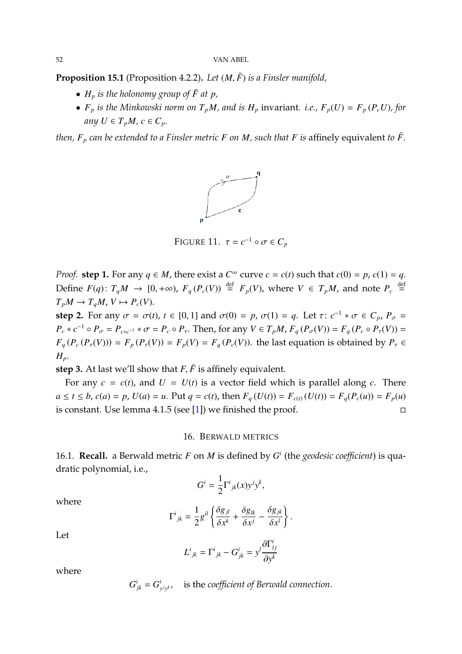52 VAN ABEL

**Proposition 15.1** (Proposition 4.2.2). *Let*  $(M, \bar{F})$  *is a Finsler manifold,* 

- $H_p$  *is the holonomy group of*  $\bar{F}$  *at*  $p$ *,*
- *F<sub>p</sub>* is the Minkowski norm on  $T_pM$ , and is  $H_p$  invariant. *i.e.*,  $F_p(U) = F_p(P_cU)$ , for *any*  $U \in T_pM$ ,  $c \in C_p$ .

*then,*  $F_p$  *can be extended to a Finsler metric*  $F$  *on*  $M$ *, such that*  $F$  *is* affinely equivalent *to*  $\bar{F}$ *.* 



FIGURE 11.  $\tau = c^{-1} \circ \sigma \in C_p$ 

*Proof.* **step 1.** For any  $q \in M$ , there exist a  $C^{\infty}$  curve  $c = c(t)$  such that  $c(0) = p$ ,  $c(1) = q$ . Define *F*(*q*): *T*<sub>*q</sub></sub><i>M* → [0, +∞), *F*<sub>*q*</sub>(*P<sub><i>c*</sub>(*V*)) <sup>def</sup> *F*<sub>*p*</sub>(*V*), where *V* ∈ *T*<sub>*p</sub>M*, and note *P<sub><i>c*</sub> <sup>def</sup> =  $T_{\text{max}}$  *M*  $\leq$  *T*<sub>*M*</sub>  $\leq$  *M*  $\leq$  *M*  $\leq$  *M*  $\leq$  *M*  $\leq$  *M*  $\leq$  *</sub>*</sub>  $T_pM \to T_qM$ ,  $V \mapsto P_c(V)$ .

**step 2.** For any  $\sigma = \sigma(t)$ ,  $t \in [0, 1]$  and  $\sigma(0) = p$ ,  $\sigma(1) = q$ . Let  $\tau: c^{-1} * \sigma \in C_p$ ,  $P_{\sigma} =$ <br>**P**<sub>1</sub> = *n*<sub>1</sub> = *n*<sub>1</sub> = *n*<sub>1</sub> = *n*<sub>1</sub> = *n*<sub>1</sub> = *n*<sub>1</sub> = *n*<sub>1</sub> = *n*<sub>1</sub> = *n*<sub>1</sub> = *n*<sub>1</sub> = *n*<sub>1</sub> = *n*<sub>1</sub> = *n*<sub>1</sub>  $P_c * c^{-1} \circ P_{\sigma} = P_{c*c^{-1}} * \sigma = P_c \circ P_{\tau}$ . Then, for any  $V \in T_pM$ ,  $F_q(P_{\sigma}(V)) = F_q(P_c \circ P_{\tau}(V)) =$ <br> $F_q(P_{\sigma}(P_{\sigma}(V))) = F_q(P_{\sigma}(V)) = F_q(P_{\sigma}(V))$ . It is also be smaller in a history line of the  $P_{\sigma}$  $F_q(P_c(P_\tau(V))) = F_p(P_\tau(V)) = F_p(V) = F_q(P_c(V))$ . the last equation is obtained by  $P_\tau \in$  $H_p$ .

**step 3.** At last we'll show that  $F, \bar{F}$  is affinely equivalent.

For any  $c = c(t)$ , and  $U = U(t)$  is a vector field which is parallel along *c*. There  $a \le t \le b$ ,  $c(a) = p$ ,  $U(a) = u$ . Put  $q = c(t)$ , then  $F_q(U(t)) = F_{c(t)}(U(t)) = F_q(P_c(u)) = F_p(u)$ is constant. Use lemma 4.1.5 (see [\[1\]](#page-79-0)) we finished the proof.  $\square$ 

## 16. BERWALD METRICS

16.1. **Recall.** a Berwald metric *F* on *M* is defined by *G i* (the *geodesic coefficient*) is quadratic polynomial, i.e.,

$$
G^i = \frac{1}{2} \Gamma^i_{\ jk}(x) y^j y^k,
$$

where

$$
\Gamma^{i}{}_{jk} = \frac{1}{2}g^{il}\left\{\frac{\delta g_{jl}}{\delta x^{k}} + \frac{\delta g_{lk}}{\delta x^{j}} - \frac{\delta g_{jk}}{\delta x^{l}}\right\}.
$$

Let

$$
L^i{}_{jk} = \Gamma^i{}_{jk} - G^i{}_{jk} = y^l \frac{\partial \Gamma^i{}_{lj}}{\partial y^k}
$$

where

$$
G_{jk}^i = G_{y^j y^k}^i
$$
, is the coefficient of *Berwald* connection.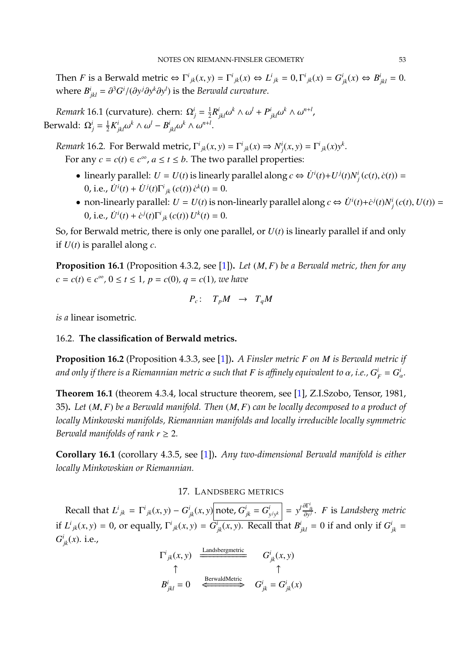Then *F* is a Berwald metric  $\Leftrightarrow \Gamma^i_{jk}(x, y) = \Gamma^i_{jk}(x) \Leftrightarrow L^i_{jk} = 0, \Gamma^i_{jk}(x) = G^i_{jk}(x) \Leftrightarrow B^i_{jkl} = 0.$ where  $B^i_{jkl} = \frac{\partial^3 G^i}{\partial y^j \partial y^k \partial y^l}$  is the *Berwald curvature*.

*Remark* 16.1 (curvature). chern:  $\Omega_j^i = \frac{1}{2}$  $\frac{1}{2}R^i$  $\int_{jkl}^{i} \omega^k \wedge \omega^l + P^i$  $\omega^{i}_{jkl}\omega^{k} \wedge \omega^{n+l}$ , Berwald:  $\Omega_j^i = \frac{1}{2}$  $\frac{1}{2}K^i_j$  $\int_{jkl}^{i} \omega^k \wedge \omega^l - B^i_{j}$  $\omega_{jkl}^i \omega^k \wedge \omega^{n+l}.$ 

*Remark* 16.2*.* For Berwald metric,  $\Gamma^i_{jk}(x, y) = \Gamma^i_{jk}(x) \Rightarrow N^i_j(x, y) = \Gamma^i_{jk}(x)y^k$ . For any  $c = c(t) \in c^{\infty}$ ,  $a \le t \le b$ . The two parallel properties:

- linearly parallel:  $U = U(t)$  is linearly parallel along  $c \Leftrightarrow U^{i}(t) + U^{j}(t)N^{i}(c(t), \dot{c}(t)) =$ 0, i.e.,  $\dot{U}^i(t) + \dot{U}^j(t)\Gamma^i{}_{jk}(c(t))\,\dot{c}^k(t) = 0.$
- non-linearly parallel:  $U = U(t)$  is non-linearly parallel along  $c \Leftrightarrow \dot{U}^i(t) + \dot{c}^j(t)N^i_j(c(t), U(t)) =$ 0, i.e.,  $\dot{U}^i(t) + \dot{c}^j(t)\Gamma^i_{jk}(c(t)) U^k(t) = 0.$

So, for Berwald metric, there is only one parallel, or *U*(*t*) is linearly parallel if and only if *U*(*t*) is parallel along *c*.

**Proposition 16.1** (Proposition 4.3.2, see [\[1\]](#page-79-0))**.** *Let* (*M*, *<sup>F</sup>*) *be a Berwald metric, then for any c* = *c*(*t*) ∈ *c*<sup>∞</sup>, 0 ≤ *t* ≤ 1, *p* = *c*(0), *q* = *c*(1), we have

$$
P_c: T_pM \rightarrow T_qM
$$

*is a* linear isometric*.*

## 16.2. **The classification of Berwald metrics.**

**Proposition 16.2** (Proposition 4.3.3, see [\[1\]](#page-79-0))**.** *A Finsler metric F on M is Berwald metric if and only if there is a Riemannian metric*  $\alpha$  *such that*  $F$  *<i>is affinely equivalent to*  $\alpha$ *, i.e.,*  $G_F^i = G_G^i$ *ι*<br>α<sup>.</sup>

**Theorem 16.1** (theorem 4.3.4, local structure theorem, see [\[1\]](#page-79-0), Z.I.Szobo, Tensor, 1981, 35)**.** *Let* (*M*, *<sup>F</sup>*) *be a Berwald manifold. Then* (*M*, *<sup>F</sup>*) *can be locally decomposed to a product of locally Minkowski manifolds, Riemannian manifolds and locally irreducible locally symmetric Berwald manifolds of rank*  $r \geq 2$ *.* 

**Corollary 16.1** (corollary 4.3.5, see [\[1\]](#page-79-0))**.** *Any two-dimensional Berwald manifold is either locally Minkowskian or Riemannian.*

#### 17. LANDSBERG METRICS

Recall that  $L^{i}{}_{jk} = \Gamma^{i}{}_{jk}(x, y) - G^{i}{}_{jk}(x, y)$  note,  $G^{i}{}_{jk} = G^{i}{}_{jk}$  $\left[\frac{i}{y^j y^k}\right] = y^l \frac{\partial \Gamma_{lk}^i}{\partial y^j}$ . *F* is *Landsberg metric* if  $L^i{}_{jk}(x,y) = 0$ , or equally,  $\Gamma^i{}_{jk}(x,y) = \overline{G^i}_{jk}(x,y)$ . Recall that  $B^i{}_{jkl} = 0$  if and only if  $G^i{}_{jk} = G^i{}_j(x,y)$ .  $G_{jk}^i(x)$ . i.e.,

$$
\Gamma^{i}_{jk}(x, y) = \frac{\text{Landsbergmetric}}{\uparrow} \qquad G^{i}_{jk}(x, y)
$$
\n
$$
B^{i}_{jkl} = 0 \qquad \xleftarrow{\text{BerwaldMetric}} \qquad G^{i}_{jk} = G^{i}_{jk}(x)
$$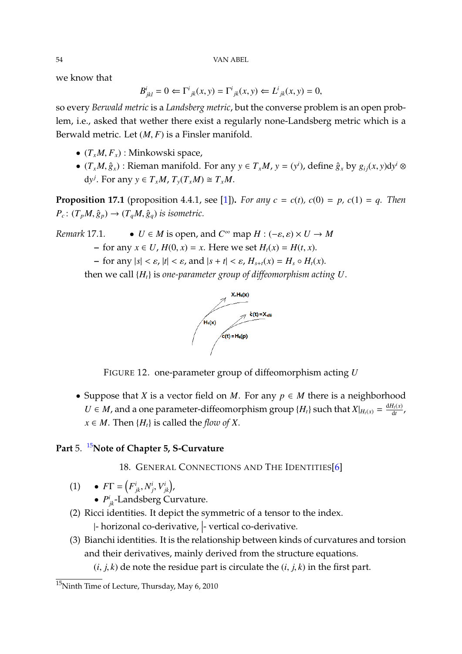we know that

$$
B^i_{jkl} = 0 \Leftarrow \Gamma^i_{jk}(x, y) = \Gamma^i_{jk}(x, y) \Leftarrow L^i_{jk}(x, y) = 0,
$$

so every *Berwald metric* is a *Landsberg metric*, but the converse problem is an open problem, i.e., asked that wether there exist a regularly none-Landsberg metric which is a Berwald metric. Let (*M*, *<sup>F</sup>*) is a Finsler manifold.

- $(T_xM, F_x)$ : Minkowski space,
- $(T_xM, \hat{g}_x)$ : Rieman manifold. For any  $y \in T_xM$ ,  $y = (y^i)$ , define  $\hat{g}_x$  by  $g_{ij}(x, y)dy^i \otimes$  $dy^{j}$ . For any  $y \in T_xM$ ,  $T_y(T_xM) \cong T_xM$ .

**Proposition 17.1** (proposition 4.4.1, see [\[1\]](#page-79-0)). *For any*  $c = c(t)$ ,  $c(0) = p$ ,  $c(1) = q$ . *Then*  $P_c: (T_pM, \hat{g}_p) \rightarrow (T_qM, \hat{g}_q)$  *is isometric.* 

*Remark* 17.1*.* • *U* ∈ *M* is open, and *C*<sup>∞</sup> map *H* :  $(-\varepsilon, \varepsilon) \times U \rightarrow M$ **–** for any *<sup>x</sup>* <sup>∈</sup> *<sup>U</sup>*, *<sup>H</sup>*(0, *<sup>x</sup>*) <sup>=</sup> *<sup>x</sup>*. Here we set *<sup>H</sup>t*(*x*) <sup>=</sup> *<sup>H</sup>*(*t*, *<sup>x</sup>*). **–** for any  $|s| < \varepsilon$ ,  $|t| < \varepsilon$ , and  $|s + t| < \varepsilon$ ,  $H_{s+t}(x) = H_s \circ H_t(x)$ .

then we call {*Ht*} is *one-parameter group of diffeomorphism acting U*.



FIGURE 12. one-parameter group of diffeomorphism acting *U*

• Suppose that *X* is a vector field on *M*. For any  $p \in M$  there is a neighborhood *U* ∈ *M*, and a one parameter-diffeomorphism group {*H<sub>t</sub>*} such that *X*|*H<sub>t</sub>*(*x*) =  $\frac{dH_t(x)}{dt}$  $\frac{I_t(x)}{dt}$  $x \in M$ . Then  $\{H_t\}$  is called the *flow of X*.

## **Part** 5. [15](#page-53-0)**Note of Chapter 5, S-Curvature**

18. GENERAL CONNECTIONS AND THE IDENTITIES[\[6\]](#page-79-3)

- (1)  $F\Gamma = (F^i_{jk}, N^i_j, V^i_{jk}),$ 
	- $P^i_{jk}$ -Landsberg Curvature.
- (2) Ricci identities. It depict the symmetric of a tensor to the index.

|- horizonal co-derivative, |- vertical co-derivative.

(3) Bianchi identities. It is the relationship between kinds of curvatures and torsion and their derivatives, mainly derived from the structure equations.

 $(i, j, k)$  de note the residue part is circulate the  $(i, j, k)$  in the first part.

<span id="page-53-0"></span><sup>15</sup>Ninth Time of Lecture, Thursday, May 6, 2010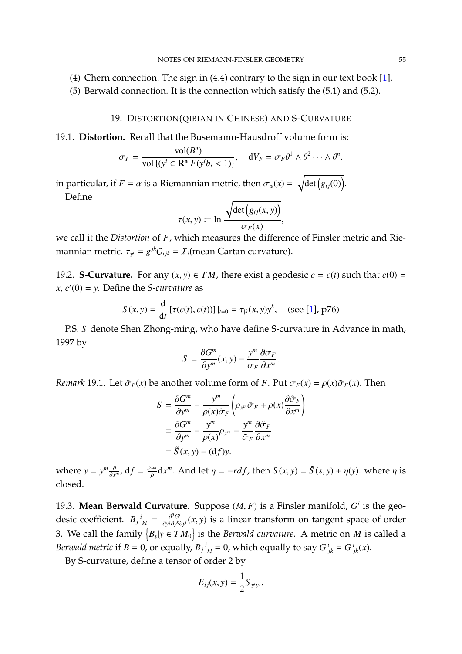- (4) Chern connection. The sign in (4.4) contrary to the sign in our text book [\[1\]](#page-79-0).
- (5) Berwald connection. It is the connection which satisfy the (5.1) and (5.2).

#### 19. DISTORTION(QIBIAN IN CHINESE) AND S-CURVATURE

19.1. **Distortion.** Recall that the Busemamn-Hausdroff volume form is:

$$
\sigma_F = \frac{\mathrm{vol}(B^n)}{\mathrm{vol}\{(y^i \in \mathbf{R}^n | F(y^i b_i < 1)\}}, \quad dV_F = \sigma_F \theta^1 \wedge \theta^2 \cdots \wedge \theta^n.
$$

in particular, if *F* = *α* is a Riemannian metric, then  $\sigma_{\alpha}(x) = \sqrt{\det(g_{ij}(0))}$ . Define

$$
\tau(x, y) \coloneqq \ln \frac{\sqrt{\det (g_{ij}(x, y))}}{\sigma_F(x)},
$$

 $\sigma_F(x)$ <br>we call it the *Distortion* of *F*, which measures the difference of Finsler metric and Riemannian metric.  $\tau_{y^i} = g^{jk}C_{ijk} = \mathcal{I}_i$ (mean Cartan curvature).

19.2. **S-Curvature.** For any  $(x, y) \in TM$ , there exist a geodesic  $c = c(t)$  such that  $c(0) = c$  $f(x, c'(0)) = y$ . Define the *S-curvature* as

$$
S(x, y) = \frac{d}{dt} [\tau(c(t), \dot{c}(t))]|_{t=0} = \tau_{\vert k}(x, y) y^{k}, \quad \text{(see [1], p76)}
$$

P.S. *S* denote Shen Zhong-ming, who have define S-curvature in Advance in math, 1997 by

$$
S = \frac{\partial G^m}{\partial y^m}(x, y) - \frac{y^m}{\sigma_F} \frac{\partial \sigma_F}{\partial x^m}
$$

*Remark* 19.1*.* Let  $\tilde{\sigma}_F(x)$  be another volume form of *F*. Put  $\sigma_F(x) = \rho(x)\tilde{\sigma}_F(x)$ . Then

$$
S = \frac{\partial G^m}{\partial y^m} - \frac{y^m}{\rho(x)\tilde{\sigma}_F} \left( \rho_{x^m} \tilde{\sigma}_F + \rho(x) \frac{\partial \tilde{\sigma}_F}{\partial x^m} \right)
$$
  
=  $\frac{\partial G^m}{\partial y^m} - \frac{y^m}{\rho(x)} \rho_{x^m} - \frac{y^m}{\tilde{\sigma}_F} \frac{\partial \tilde{\sigma}_F}{\partial x^m}$   
=  $\tilde{S}(x, y) - (df)y$ .

where  $y = y^m \frac{\partial}{\partial x}$  $\frac{\partial}{\partial x^n}$ , d $f = \frac{\rho_{x^m}}{\rho} dx^m$ . And let  $\eta = -r df$ , then  $S(x, y) = \tilde{S}(s, y) + \eta(y)$ . where  $\eta$  is ρ closed.

19.3. **Mean Berwald Curvature.** Suppose  $(M, F)$  is a Finsler manifold,  $G^i$  is the geodesic coefficient.  $B_j{}^i{}_{kl} = \frac{\partial^3 G^i}{\partial y^j \partial y^k}$ *∂y<sup>i</sup>*∂*y*<sup>*k*</sup>∂*y*</sub><sup>*i*</sup>(*x*, *y*) is a linear transform on tangent space of order 3. We call the family  ${B_y|y \in TM_0}$  is the *Berwald curvature*. A metric on *M* is called a *Berwald metric* if  $B = 0$ , or equally,  $B_j{}^i{}_{kl} = 0$ , which equally to say  $G^i{}_{jk} = G^i{}_{jk}(x)$ .

By S-curvature, define a tensor of order 2 by

$$
E_{ij}(x,y)=\frac{1}{2}S_{y^iy^j},
$$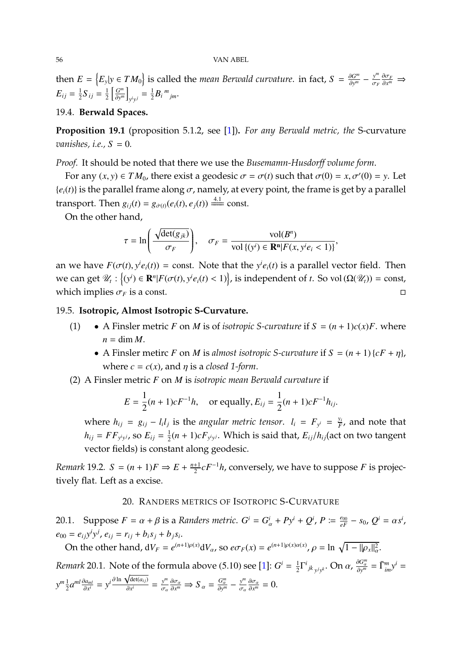#### 56 VAN ABEL

then  $E = \{E_y | y \in TM_0\}$  is called the *mean Berwald curvature*. in fact,  $S = \frac{\partial G^m}{\partial y^m}$  $\frac{\partial G^m}{\partial y^m} - \frac{y^m}{\sigma_h}$ σ*F*  $\frac{\partial \sigma_F}{\partial x^m}$  ⇒  $E_{ij} = \frac{1}{2}$  $\frac{1}{2}S_{ij} = \frac{1}{2}$  $\frac{1}{2} \left[ \frac{G^m}{\partial y^n} \right]$  $\left[\frac{G^m}{\partial y^m}\right]$  $y^{i}y^{j} = \frac{1}{2}$  $\frac{1}{2}B_i{}^m{}_{jm}$ .

## 19.4. **Berwald Spaces.**

**Proposition 19.1** (proposition 5.1.2, see [\[1\]](#page-79-0))**.** *For any Berwald metric, the* S-curvature *vanishes, i.e.,*  $S = 0$ .

*Proof.* It should be noted that there we use the *Busemamn-Husdorff volume form*.

For any  $(x, y) \in TM_0$ , there exist a geodesic  $\sigma = \sigma(t)$  such that  $\sigma(0) = x, \sigma'(0) = y$ . Let  ${e_i(t)}$  is the parallel frame along  $\sigma$ , namely, at every point, the frame is get by a parallel transport. Then  $g_{ij}(t) = g_{\dot{\sigma}(t)}(e_i(t), e_j(t)) \stackrel{4.1}{\Longrightarrow} \text{const.}$ 

On the other hand,

$$
\tau = \ln\left(\frac{\sqrt{\det(g_{jk})}}{\sigma_F}\right), \quad \sigma_F = \frac{\mathrm{vol}(B^n)}{\mathrm{vol}\{(y^i) \in \mathbf{R}^n | F(x, y^i e_i < 1)\}},
$$

an we have  $F(\sigma(t), y^i e_i(t)) = \text{const.}$  Note that the  $y^i e_i(t)$  is a parallel vector field. Then we can get  $\mathcal{U}_t$  : {(*y<sup>i</sup>*) ∈ **R**<sup>*n*</sup>|*F*(*σ*(*t*), *y<sup>i</sup>e<sub>i</sub>*(*t*) < 1)}, is independent of *t*. So vol (Ω( $\mathcal{U}_t$ )) = const, which implies  $\sigma_F$  is a const.

## 19.5. **Isotropic, Almost Isotropic S-Curvature.**

- (1) A Finsler metric *F* on *M* is of *isotropic S-curvature* if  $S = (n + 1)c(x)F$ . where  $n = \dim M$ .
	- A Finsler metirc *F* on *M* is almost isotropic *S*-curvature if  $S = (n + 1) \{cF + \eta\}$ , where  $c = c(x)$ , and  $\eta$  is a *closed* 1-form.
- (2) A Finsler metric *F* on *M* is *isotropic mean Berwald curvature* if

$$
E = \frac{1}{2}(n+1)cF^{-1}h, \text{ or equally, } E_{ij} = \frac{1}{2}(n+1)cF^{-1}h_{ij}.
$$

where  $h_{ij} = g_{ij} - l_i l_j$  is the angular metric tensor.  $l_i = F_{y^i} = \frac{y_i}{F}$  $\frac{y_i}{F}$ , and note that  $h_{ij} = FF_{y^i y^j}$ , so  $E_{ij} = \frac{1}{2}$  $\frac{1}{2}(n+1)cF_{y^iy^j}$ . Which is said that,  $E_{ij}/h_{ij}$  (act on two tangent vector fields) is constant along geodesic.

*Remark* 19.2*. S* =  $(n + 1)F \Rightarrow E + \frac{n+1}{2}$ 2 *cF*<sup>−</sup><sup>1</sup>*h*, conversely, we have to suppose *F* is projectively flat. Left as a excise.

### 20. RANDERS METRICS OF ISOTROPIC S-CURVATURE

20.1. Suppose  $F = \alpha + \beta$  is a Randers metric.  $G^i = G^i_{\alpha} + Py^i + Q^i$ ,  $P := \frac{e_{00}}{eF} - s_0$ ,  $Q^i = \alpha s^i$ ,  $e_{00} = e_{ij}y^iy^j, e_{ij} = r_{ij} + b_is_j + b_js_i.$ 

On the other hand,  $dV_F = e^{(n+1)\rho(x)} dV_\alpha$ , so  $e\sigma_F(x) = e^{(n+1)\rho(x)\alpha(x)}$ ,  $\rho = \ln \sqrt{1 - ||\rho_x||_\alpha^2}$ .

*Remark* 20.1. Note of the formula above (5.10) see [\[1\]](#page-79-0):  $G^i = \frac{1}{2}$  $\frac{1}{2}\Gamma^{i}{}_{jk}{}_{y}{}_{y}{}_{y}$ . On  $\alpha$ ,  $\frac{\partial G^{m}_{\alpha}}{\partial y^{m}}$ α ∂*y*  $\bar{r}^m_{\overline{m}} = \bar{\Gamma}^m_{im} y^i =$  $y^m \frac{1}{2}$  $\frac{1}{2}$ *a<sup>ml</sup>*  $\frac{\partial a_{ml}}{\partial x^i}$  $\frac{\partial a_{ml}}{\partial x^i} = y^i \frac{\partial \ln \sqrt{\det(a_{ij})}}{\partial x^i}$  $\frac{\sqrt{\det(a_{ij})}}{\partial x^i} = \frac{y^m}{\sigma_\alpha} \frac{\partial \sigma_\alpha}{\partial x^m} \Rightarrow S_\alpha = \frac{G_\alpha^m}{\partial y^m}$ σα  $rac{G_{\alpha}^{m}}{\partial y^{m}} - \frac{y^{m}}{\sigma_{\alpha}} \frac{\partial \sigma_{\alpha}}{\partial x^{m}} = 0.$ σα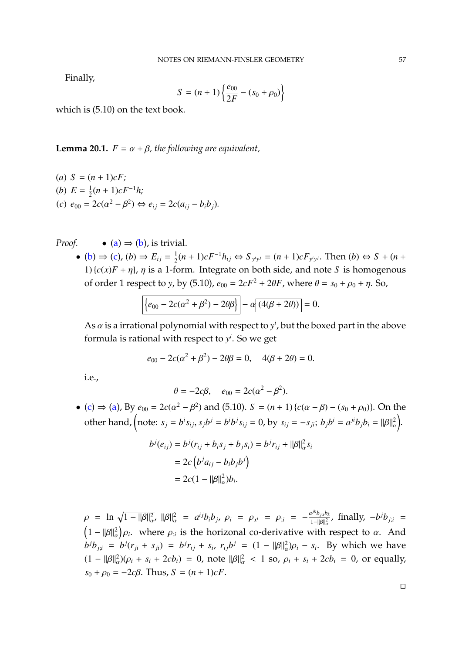Finally,

$$
S = (n+1)\left\{\frac{e_{00}}{2F} - (s_0 + \rho_0)\right\}
$$

which is (5.10) on the text book.

**Lemma 20.1.**  $F = \alpha + \beta$ , the following are equivalent,

<span id="page-56-2"></span><span id="page-56-1"></span><span id="page-56-0"></span>(a) 
$$
S = (n + 1)cF
$$
;  
\n(b)  $E = \frac{1}{2}(n + 1)cF^{-1}h$ ;  
\n(c)  $e_{00} = 2c(\alpha^2 - \beta^2) \Leftrightarrow e_{ij} = 2c(a_{ij} - b_ib_j)$ .

*Proof.* 
$$
\bullet
$$
 (a)  $\Rightarrow$  (b), is trivial.

• [\(b\)](#page-56-1)  $\Rightarrow$  [\(c\)](#page-56-2), (b)  $\Rightarrow$   $E_{ij} = \frac{1}{2}$  $\frac{1}{2}(n+1)cF^{-1}h_{ij}$  ⇔  $S_{y^iy^j} = (n+1)cF_{y^iy^j}$ . Then  $(b)$  ⇔  $S + (n+1)cF^{-1}h_{ij}$ 1)  ${c(x)F + \eta}$ ,  $\eta$  is a 1-form. Integrate on both side, and note *S* is homogenous of order 1 respect to *y*, by (5.10),  $e_{00} = 2cF^2 + 2\theta F$ , where  $\theta = s_0 + \rho_0 + \eta$ . So,

$$
\left\{e_{00} - 2c(\alpha^2 + \beta^2) - 2\theta\beta\right\} - \alpha \left[\frac{(4(\beta + 2\theta))}{\beta}\right] = 0.
$$

As  $\alpha$  is a irrational polynomial with respect to  $y^i$ , but the boxed part in the above formula is rational with respect to *y i* . So we get

$$
e_{00} - 2c(\alpha^2 + \beta^2) - 2\theta\beta = 0
$$
,  $4(\beta + 2\theta) = 0$ .

i.e.,

$$
\theta = -2c\beta, \quad e_{00} = 2c(\alpha^2 - \beta^2).
$$

• [\(c\)](#page-56-2) ⇒ [\(a\)](#page-56-0), By  $e_{00} = 2c(\alpha^2 - \beta^2)$  and (5.10). *S* = (*n* + 1) {*c*(α − β) − (*s*<sub>0</sub> + *ρ*<sub>0</sub>)}. On the other hand, (note:  $s_j = b^i s_{ij}$ ,  $s_j b^j = b^i b^j s_{ij} = 0$ , by  $s_{ij} = -s_{ji}$ ;  $b_j b^i = a^{ji} b_j b_i = ||\beta||_a^2$ .

$$
b^{j}(e_{ij}) = b^{j}(r_{ij} + b_{i}s_{j} + b_{j}s_{i}) = b^{j}r_{ij} + ||\beta||_{\alpha}^{2}s_{i}
$$
  
=  $2c(b^{j}a_{ij} - b_{i}b_{j}b^{j})$   
=  $2c(1 - ||\beta||_{\alpha}^{2})b_{i}$ .

 $\rho = \ln \sqrt{1 - ||\beta||_{\alpha}^2}$ ,  $||\beta||_{\alpha}^2 = a^{ij}b_ib_j$ ,  $\rho_i = \rho_{x^i} = \rho_{i^i} = -\frac{a^{ik}b_{ji}b_{ki}}{1 - ||\beta||_{\alpha}^2}$  $(1 - ||\beta||^2_{\alpha})\rho_i$ , where  $\rho_{i}$  is the horizonal co-derivative with respect to  $\alpha$ . And  $\int_{1-||\beta||^2_\alpha}^{1+|b_{j;i}|\beta_k}$ , finally,  $-b^{j}b_{j;i}$  = α ρ*i*  $b^j b_{j;i} = b^j (r_{ji} + s_{ji}) = b^j r_{ij} + s_i$ ,  $r_{ij} b^j = (1 - ||\beta||^2_{\alpha}) \rho_i - s_i$ . By which we have  $(1 - ||\beta||^2_{\alpha})(\rho_i + s_i + 2cb_i) = 0$ , note  $||\beta||^2_{\alpha} < 1$  so,  $\rho_i + s_i + 2cb_i = 0$ , or equally,  $s_0 + \rho_0 = -2c\beta$ . Thus,  $S = (n + 1)cF$ .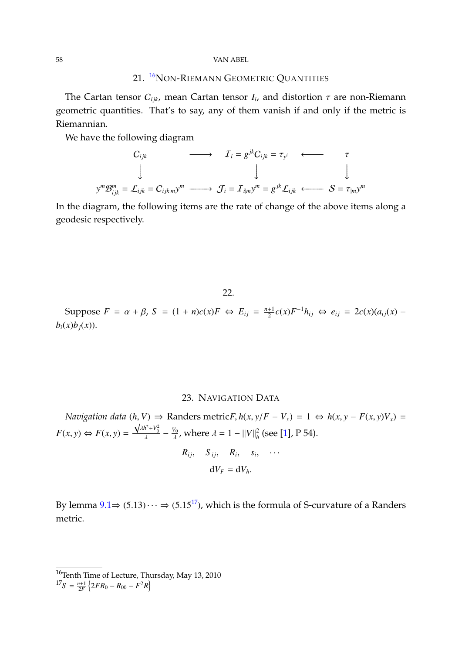#### 58 VAN ABEL

## 21. <sup>[16](#page-57-0)</sup>NON-RIEMANN GEOMETRIC QUANTITIES

The Cartan tensor  $C_{ijk}$ , mean Cartan tensor  $I_i$ , and distortion  $\tau$  are non-Riemann geometric quantities. That's to say, any of them vanish if and only if the metric is Riemannian.

We have the following diagram

$$
C_{ijk} \longrightarrow I_i = g^{jk} C_{ijk} = \tau_{y^i} \longleftarrow \tau
$$
  
\n
$$
\downarrow \qquad \qquad \downarrow \qquad \qquad \downarrow
$$
  
\n
$$
y^m \mathcal{B}_{ijk}^m = \mathcal{L}_{ijk} = C_{ijk|m} y^m \longrightarrow \mathcal{J}_i = \mathcal{I}_{i|m} y^m = g^{jk} \mathcal{L}_{ijk} \longleftarrow S = \tau_{|m} y^m
$$

In the diagram, the following items are the rate of change of the above items along a geodesic respectively.

22.

Suppose  $F = \alpha + \beta$ ,  $S = (1 + n)c(x)F \Leftrightarrow E_{ij} = \frac{n+1}{2}$  $\frac{1}{2}$ *c*(*x*)*F*<sup>-1</sup>*h*<sub>*ij*</sub> ⇔ *e*<sub>*ij*</sub> = 2*c*(*x*)(*a*<sub>*ij*</sub>(*x*) −  $b_i(x)b_j(x)$ .

#### 23. NAVIGATION DATA

*Navigation data*  $(h, V) \Rightarrow$  Randers metric*F*,  $h(x, y/F - V_x) = 1 \Leftrightarrow h(x, y - F(x, y)V_x) = \sqrt{\frac{h^2 + V^2}{h^2}}$  $F(x, y) \Leftrightarrow F(x, y) = \frac{\sqrt{\lambda h^2 + V_0^2}}{\lambda}$  $-\frac{V_0}{\lambda}$  $\frac{V_0}{\lambda}$ , where  $\lambda = 1 - ||V||_h^2$  (see [\[1\]](#page-79-0), P 54).  $R_{ij}, S_{ij}, R_i, S_i, \cdots$ 

$$
dV_F = dV_h.
$$

By lemma  $9.1 \Rightarrow (5.13) \cdots \Rightarrow (5.15^{17})$  $9.1 \Rightarrow (5.13) \cdots \Rightarrow (5.15^{17})$  $9.1 \Rightarrow (5.13) \cdots \Rightarrow (5.15^{17})$  $9.1 \Rightarrow (5.13) \cdots \Rightarrow (5.15^{17})$ , which is the formula of S-curvature of a Randers metric.

<span id="page-57-0"></span> $^{16}$ Tenth Time of Lecture, Thursday, May 13, 2010

<span id="page-57-1"></span> $^{17}S = \frac{n+1}{2F} \left\{ 2FR_0 - R_{00} - F^2 R \right\}$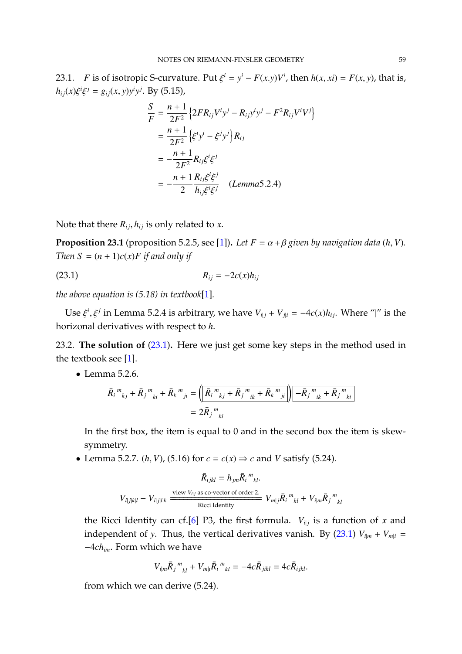23.1. *F* is of isotropic S-curvature. Put  $\xi^{i} = y^{i} - F(x,y)V^{i}$ , then  $h(x, xi) = F(x, y)$ , that is,  $h_{ij}(x)\xi^i$  $\xi^j = g_{ij}(x, y)y^i y^j$ . By (5.15),

$$
\frac{S}{F} = \frac{n+1}{2F^2} \left\{ 2FR_{ij}V^i y^j - R_{ij}y^i y^j - F^2 R_{ij}V^i V^j \right\}
$$

$$
= \frac{n+1}{2F^2} \left\{ \xi^i y^i - \xi^j y^j \right\} R_{ij}
$$

$$
= -\frac{n+1}{2F^2} R_{ij} \xi^i \xi^j
$$

$$
= -\frac{n+1}{2} \frac{R_{ij} \xi^i \xi^j}{h_{ij} \xi^i \xi^j} \quad (Lemma 5.2.4)
$$

Note that there  $R_{ij}$ ,  $h_{ij}$  is only related to *x*.

**Proposition 23.1** (proposition 5.2.5, see [\[1\]](#page-79-0)). Let  $F = \alpha + \beta$  given by navigation data (h, V). *Then*  $S = (n + 1)c(x)F$  *if and only if* 

<span id="page-58-0"></span>
$$
R_{ij} = -2c(x)h_{ij}
$$

*the above equation is (5.18) in textbook*[\[1\]](#page-79-0)*.*

Use  $\xi^{i}$ ,  $\xi^{j}$  in Lemma 5.2.4 is arbitrary, we have  $V_{i|j} + V_{j|i} = -4c(x)h_{ij}$ . Where "|" is the horizonal derivatives with respect to *h*.

23.2. **The solution of** [\(23.1\)](#page-58-0)**.** Here we just get some key steps in the method used in the textbook see [\[1\]](#page-79-0).

• Lemma 5.2.6.

$$
\bar{R}_{i}^{m}{}_{kj} + \bar{R}_{j}^{m}{}_{ki} + \bar{R}_{k}^{m}{}_{ji} = \left( \left[ \bar{R}_{i}^{m}{}_{kj} + \bar{R}_{j}^{m}{}_{ik} + \bar{R}_{k}^{m}{}_{ji} \right] \right) \left[ -\bar{R}_{j}^{m}{}_{ik} + \bar{R}_{j}^{m}{}_{ki} \right]
$$
\n
$$
= 2\bar{R}_{j}^{m}{}_{ki}
$$

In the first box, the item is equal to 0 and in the second box the item is skewsymmetry.

• Lemma 5.2.7. (*h*, *V*), (5.16) for  $c = c(x) \Rightarrow c$  and *V* satisfy (5.24).

$$
\bar{R}_{ijkl} = h_{jm}\bar{R}_i{}^m{}_{kl}.
$$
  

$$
V_{i|j|kl} - V_{i|j|lk} \xrightarrow{\text{view } V_{i|j}} \text{as co-vector of order 2.}
$$
  
Ricci Identity  

$$
V_{m|j}\bar{R}_i{}^m{}_{kl} + V_{i|m}\bar{R}_j{}^m{}_{kl}
$$

the Ricci Identity can cf.[\[6\]](#page-79-3) P3, the first formula.  $V_{i|j}$  is a function of x and independent of *y*. Thus, the vertical derivatives vanish. By [\(23.1\)](#page-58-0)  $V_{i|m} + V_{m|i} =$ −4*chim*. Form which we have

$$
V_{i|m}\bar{R}_{j}^{m}_{kl} + V_{m|i}\bar{R}_{i}^{m}_{kl} = -4c\bar{R}_{jikl} = 4c\bar{R}_{ijkl}.
$$

from which we can derive (5.24).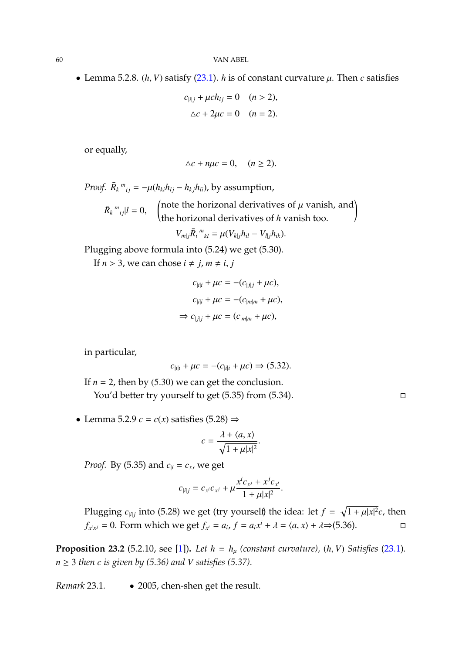• Lemma 5.2.8.  $(h, V)$  satisfy  $(23.1)$ . *h* is of constant curvature  $\mu$ . Then *c* satisfies

$$
c_{|i|j} + \mu ch_{ij} = 0 \quad (n > 2),
$$
  
 
$$
\Delta c + 2\mu c = 0 \quad (n = 2).
$$

or equally,

$$
\Delta c + n\mu c = 0, \quad (n \ge 2).
$$

*Proof.*  $\bar{R}_k{}^m{}_{ij} = -\mu(h_{ki}h_{lj} - h_{kj}h_{li})$ , by assumption,  $\bar{R}_k{}^m{}_{ij} |l = 0,$ (note the horizonal derivatives of  $\mu$  vanish, and)<br>the horizonal derivatives of *h* vanish too.

 $V_{m|j} \bar{R}_i^m_{kl} = \mu (V_{k|j} h_{il} - V_{l|j} h_{ik}).$ 

Plugging above formula into (5.24) we get (5.30).

If  $n > 3$ , we can chose  $i \neq j$ ,  $m \neq i$ ,  $j$ 

$$
c_{|i|i} + \mu c = -(c_{|j|j} + \mu c),
$$
  
\n
$$
c_{|i|i} + \mu c = -(c_{|m|m} + \mu c),
$$
  
\n
$$
\Rightarrow c_{|j|j} + \mu c = (c_{|m|m} + \mu c),
$$

in particular,

$$
c_{|i|i} + \mu c = -(c_{|i|i} + \mu c) \Rightarrow (5.32).
$$

If  $n = 2$ , then by (5.30) we can get the conclusion. You'd better try yourself to get  $(5.35)$  from  $(5.34)$ .

• Lemma 5.2.9  $c = c(x)$  satisfies (5.28)  $\Rightarrow$ 

$$
c = \frac{\lambda + \langle a, x \rangle}{\sqrt{1 + \mu |x|^2}}
$$

*Proof.* By (5.35) and  $c_{|i} = c_x$ , we get

$$
c_{|i|j} = c_{x^i}c_{x^j} + \mu \frac{x^i c_{x^j} + x^j c_{x^i}}{1 + \mu |x|^2}.
$$

Plugging *c*<sub>|*i*|*j*</sub> into (5.28) we get (try yourself) the idea: let  $f = \sqrt{1 + \mu |x|^2}c$ , then  $f_{x^i x^j} = 0$ . Form which we get  $f_{x^i} = a_i$ ,  $f = a_i x^i + \lambda = \langle a, x \rangle + \lambda \Rightarrow (5.36)$ .

**Proposition 23.2** (5.2.10, see [\[1\]](#page-79-0)). Let  $h = h_\mu$  (constant curvature), (h, V) Satisfies [\(23.1\)](#page-58-0).  $n \geq 3$  *then c is given by (5.36) and V satisfies (5.37).* 

*Remark* 23.1*.* • 2005, chen-shen get the result.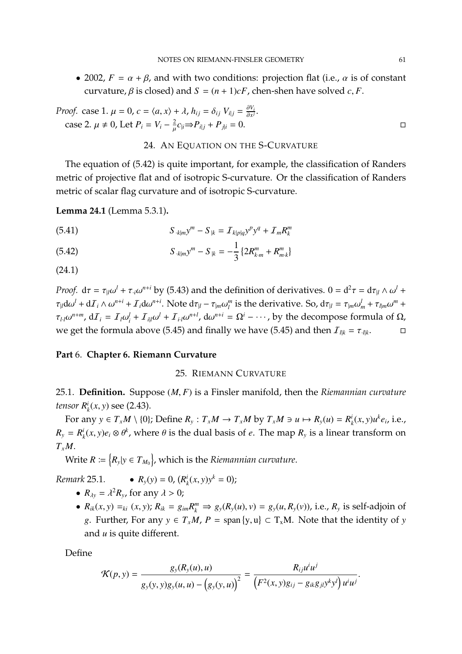• 2002,  $F = \alpha + \beta$ , and with two conditions: projection flat (i.e.,  $\alpha$  is of constant curvature,  $\beta$  is closed) and  $S = (n + 1)cF$ , chen-shen have solved *c*, *F*.

*Proof.* case 1. 
$$
\mu = 0
$$
,  $c = \langle a, x \rangle + \lambda$ ,  $h_{ij} = \delta_{ij} V_{i|j} = \frac{\partial V_i}{\partial x^j}$ .  
case 2.  $\mu \neq 0$ , Let  $P_i = V_i - \frac{2}{\mu} c_{ij} \Rightarrow P_{i|j} + P_{j|i} = 0$ .

 $\mathcal{L}$ 

#### 24. AN EQUATION ON THE S-CURVATURE

The equation of (5.42) is quite important, for example, the classification of Randers metric of projective flat and of isotropic S-curvature. Or the classification of Randers metric of scalar flag curvature and of isotropic S-curvature.

**Lemma 24.1** (Lemma 5.3.1)**.**

(5.41) 
$$
S_{k|m}y^{m} - S_{k} = I_{k|p|q}y^{p}y^{q} + I_{m}R_{k}^{m}
$$

(5.42) 
$$
S_{k|m}y^{m} - S_{k} = -\frac{1}{3} \left\{ 2R_{k,m}^{m} + R_{m,k}^{m} \right\}
$$

(24.1)

*Proof.*  $d\tau = \tau_{\parallel} \omega^l + \tau_{\parallel} \omega^{n+i}$  by (5.43) and the definition of derivatives.  $0 = d^2 \tau = d\tau_{\parallel} \wedge \omega^l +$  $\tau_{\parallel} d\omega^l + d\mathcal{I}_i \wedge \omega^{n+i} + \mathcal{I}_i d\omega^{n+i}$ . Note  $d\tau_{\parallel} - \tau_{\parallel m} \omega_{l}^{m}$ *l*<sup>*n*</sup></sup> is the derivative. So,  $d\tau_{|l} = \tau_{|m}\omega_m^l + \tau_{l|m}\omega^m +$  $\tau_{l,l}\omega^{n+m}$ ,  $d\mathcal{I}_i = \mathcal{I}_l\omega_i^l + \mathcal{I}_{i|l}\omega^l + \mathcal{I}_{i\cdot l}\omega^{n+l}$ ,  $d\omega^{n+i} = \Omega^i - \cdots$ , by the decompose formula of  $\Omega$ , we get the formula above (5.45) and finally we have (5.45) and then  $I_{l|k} = \tau_{l|k}$ .  $\Box$ 

#### **Part** 6. **Chapter 6. Riemann Curvature**

#### 25. RIEMANN CURVATURE

25.1. **Definition.** Suppose (*M*, *<sup>F</sup>*) is a Finsler manifold, then the *Riemannian curvature tensor R i*  $k_k^i(x, y)$  see (2.43).

For any  $y \in T_xM \setminus \{0\}$ ; Define  $R_y: T_xM \to T_xM$  by  $T_xM \ni u \mapsto R_y(u) = R_y^y$  $\int_{k}^{i} (x, y) u^{k} e_{i}$ , i.e.,  $R_y = R^i_\mu$  $h_k^i(x, y)e_i \otimes \theta^k$ , where  $\theta$  is the dual basis of *e*. The map  $R_y$  is a linear transform on  $T<sub>x</sub>M$ .

 $\text{Write } R \coloneqq \big\{ R_{\text{y}} | \text{y} \in T_{M_0} \big\}$ , which is the *Riemannian curvature*.

*Remark* 25.1*.* •  $R_y(y) = 0$ ,  $(R^i)$  $\int_{k}^{i} (x, y) y^{k} = 0$ ;

- $R_{\lambda y} = \lambda^2 R_y$ , for any  $\lambda > 0$ ;
- $R_{ik}(x, y) =_{ki} (x, y)$ ;  $R_{ik} = g_{im} R_k^m \Rightarrow g_y(R_y(u), v) = g_y(u, R_y(v))$ , i.e.,  $R_y$  is self-adjoin of *g*. Further, For any  $y \in T_xM$ ,  $P = \text{span}\{y, u\} \subset T_xM$ . Note that the identity of *y* and *u* is quite different.

Define

$$
\mathcal{K}(p, y) = \frac{g_y(R_y(u), u)}{g_y(y, y)g_y(u, u) - (g_y(y, u))^{2}} = \frac{R_{ij}u^{i}u^{j}}{(F^2(x, y)g_{ij} - g_{ik}g_{jl}y^{k}y^{l})u^{i}u^{j}}
$$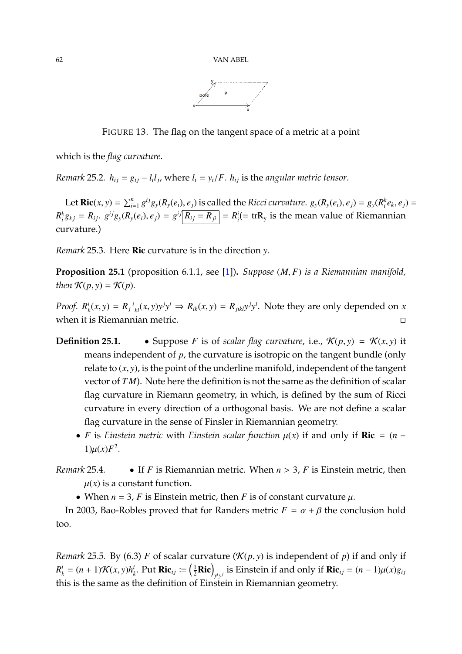

FIGURE 13. The flag on the tangent space of a metric at a point

which is the *flag curvature*.

*Remark* 25.2*.*  $h_{ij} = g_{ij} - l_i l_j$ , where  $l_i = y_i / F$ .  $h_{ij}$  is the *angular metric tensor.* 

Let **Ric**(*x*, *y*) =  $\sum_{i=1}^{n} g^{ij}g_{y}(R_{y}(e_{i}), e_{j})$  is called the *Ricci curvature*.  $g_{y}(R_{y}(e_{i}), e_{j}) = g_{y}(R_{i}^{k}e_{k}, e_{j})$  =  $R_i^k g_{kj} = R_{ij}$ .  $g^{ij} g_y(R_y(e_i), e_j) = g^{ij} R_{ij} = R_{ji} = R_i^i (= \text{tr} R_y \text{ is the mean value of Riemannian})$ curvature.)

*Remark* 25.3*.* Here Ric curvature is in the direction *y*.

**Proposition 25.1** (proposition 6.1.1, see [\[1\]](#page-79-0))**.** *Suppose* (*M*, *<sup>F</sup>*) *is a Riemannian manifold, then*  $K(p, y) = K(p)$ *.* 

*Proof. R i*  $R_{ik}(x, y) = R_j{}^{i}_{kl}(x, y)y^j y^l \Rightarrow R_{ik}(x, y) = R_{jikl}y^j y^l$ . Note they are only depended on x when it is Riemannian metric.

- **Definition 25.1.** Suppose *F* is of *scalar flag curvature*, i.e.,  $\mathcal{K}(p, y) = \mathcal{K}(x, y)$  it means independent of *p*, the curvature is isotropic on the tangent bundle (only relate to  $(x, y)$ , is the point of the underline manifold, independent of the tangent vector of *T M*). Note here the definition is not the same as the definition of scalar flag curvature in Riemann geometry, in which, is defined by the sum of Ricci curvature in every direction of a orthogonal basis. We are not define a scalar flag curvature in the sense of Finsler in Riemannian geometry.
	- *F* is *Einstein metric* with *Einstein scalar function*  $\mu(x)$  if and only if **Ric** =  $(n 1)\mu(x)F^2$ .
- *Remark* 25.4*.* If *<sup>F</sup>* is Riemannian metric. When *<sup>n</sup>* > <sup>3</sup>, *<sup>F</sup>* is Einstein metric, then  $u(x)$  is a constant function.
	- When  $n = 3$ , *F* is Einstein metric, then *F* is of constant curvature  $\mu$ .

In 2003, Bao-Robles proved that for Randers metric  $F = \alpha + \beta$  the conclusion hold too.

*Remark* 25.5*.* By (6.3) *F* of scalar curvature ( $\mathcal{K}(p, y)$  is independent of *p*) if and only if  $R_k^i = (n+1)\mathcal{K}(x, y)h_k^i$  $\mathbf{R}^i$ . Put  $\mathbf{Ric}_{ij} := \left(\frac{1}{2}\mathbf{Ric}\right)_{y^i y^j}$  is Einstein if and only if  $\mathbf{Ric}_{ij} = (n-1)\mu(x)g_{ij}$ this is the same as the definition of Einstein in Riemannian geometry.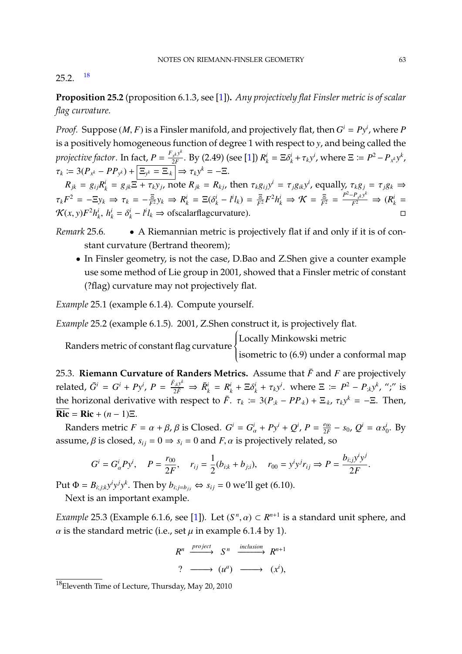#### $25.2.$  [18](#page-62-0)

**Proposition 25.2** (proposition 6.1.3, see [\[1\]](#page-79-0))**.** *Any projectively flat Finsler metric is of scalar flag curvature.*

*Proof.* Suppose  $(M, F)$  is a Finsler manifold, and projectively flat, then  $G^i = Py^i$ , where *P* is a projectively flat that  $G^i = Py^i$ , where *P* is a positively homogeneous function of degree 1 with respect to *y*, and being called the *projective factor.* In fact,  $P = \frac{F_{x^k} y^k}{2F}$  $\frac{Z_{x}^{k}y^{k}}{2F}$ . By (2.49) (see [\[1\]](#page-79-0))  $R_{k}^{i} = \Xi \delta_{k}^{i} + \tau_{k}y^{i}$ , where  $\Xi \coloneqq P^{2} - P_{x^{k}}y^{k}$ ,  $\tau_k \coloneqq 3(P_{x^k} - PP_{y^k}) + \boxed{\Xi_{y^k} = \Xi_k} \Rightarrow \tau_k y^k = -\Xi.$ 

 $R_{jk} = g_{ij}R_k^i = g_{jk}\Xi + \tau_k y_j$ , note  $R_{jk} = R_{kj}$ , then  $\tau_k g_{ij}y^i = \tau_j g_{ik}y^i$ , equally,  $\tau_k g_j = \tau_j g_k \Rightarrow$  $\tau_k F^2 = -\Xi y_k \Rightarrow \tau_k = -\frac{\Xi}{F^2} y_k \Rightarrow R^i_k = \Xi(\delta^i_k - l^i l_k) = \frac{\Xi}{F^2} F^2 h^i_k \Rightarrow \mathcal{K} = \frac{\Xi}{F^2} = \frac{P^2 - P_{x^k} y^k}{F^2} \Rightarrow (R^i_k = \mathcal{K}(\epsilon_k - \Sigma F^2) I^i_k l^i_k)$  $\mathcal{K}(x, y)F^2 h_i^i$  $h_k^i$ ,  $h_k^i = \delta_k^i - l^i l_k$  ⇒ ofscalarflagcurvature).  $□$ 

## *Remark* 25.6*.* • A Riemannian metric is projectively flat if and only if it is of constant curvature (Bertrand theorem);

• In Finsler geometry, is not the case, D.Bao and Z.Shen give a counter example use some method of Lie group in 2001, showed that a Finsler metric of constant (?flag) curvature may not projectively flat.

*Example* 25.1 (example 6.1.4)*.* Compute yourself.

*Example* 25.2 (example 6.1.5)*.* 2001, Z.Shen construct it, is projectively flat.

Randers metric of constant flag curvature  $\begin{cases} \frac{1}{2} & \text{if } 0 \leq x \leq 1 \\ \frac{1}{2} & \text{if } 0 \leq x \leq 1 \end{cases}$  $\overline{\mathcal{L}}$ Locally Minkowski metric isometric to (6.9) under a conformal map

25.3. **Riemann Curvature of Randers Metrics.** Assume that  $\bar{F}$  and  $F$  are projectively related,  $\bar{G}^i = G^i + Py^i$ ,  $P = \frac{\bar{F}_{ik}y^k}{2\bar{F}} \Rightarrow \bar{R}_k^i = R_k^i + \Xi \delta_k^i + \tau_k y^i$ . where  $\Xi := P^2 - P_{ik}y^k$ , ";" is the horizonal derivative with respect to  $\bar{F}$ .  $\tau_k := 3(P_{jk} - PP_{.k}) + \Xi_{.k}$ ,  $\tau_k y^k = -\Xi$ . Then,  $Ric = Ric + (n-1)\Xi$ .

Randers metric  $F = \alpha + \beta$ ,  $\beta$  is Closed.  $G^i = G^i_{\alpha} + Py^i + Q^i$ ,  $P = \frac{e_{00}}{2F}$  $\frac{e_{00}}{2F} - s_0$ ,  $Q^i = \alpha s_0^i$  $i_0^{\prime}$ . By assume,  $\beta$  is closed,  $s_{ij} = 0 \Rightarrow s_i = 0$  and  $F$ ,  $\alpha$  is projectively related, so

$$
G^i = G^i_{\alpha} P y^i, \quad P = \frac{r_{00}}{2F}, \quad r_{ij} = \frac{1}{2} (b_{i;k} + b_{j;i}), \quad r_{00} = y^i y^j r_{ij} \Rightarrow P = \frac{b_{i;j} y^i y^j}{2F}.
$$

Put  $\Phi = B_{i;j;k} y^i y^j y^k$ . Then by  $b_{i;j=b_{j;i}} \Leftrightarrow s_{ij} = 0$  we'll get (6.10).

Next is an important example.

*Example* 25.3 (Example 6.1.6, see [\[1\]](#page-79-0)). Let  $(S^n, \alpha) \subset R^{n+1}$  is a standard unit sphere, and  $\alpha$  is the standard metric (i.e., set  $\mu$  in example 6.1.4 by 1).

$$
R^n \xrightarrow{project} S^n \xrightarrow{inclusion} R^{n+1}
$$
\n
$$
? \longrightarrow (u^a) \longrightarrow (x^i),
$$

<span id="page-62-0"></span><sup>18</sup>Eleventh Time of Lecture, Thursday, May 20, 2010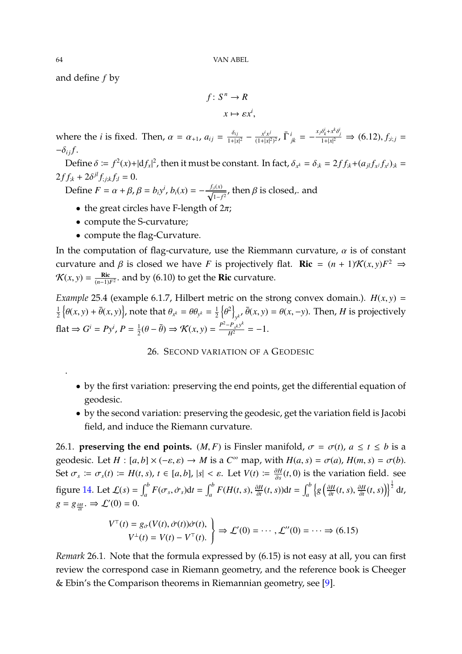and define *f* by

$$
f: S^n \to R
$$

$$
x \mapsto \varepsilon x^i
$$

where the *i* is fixed. Then,  $\alpha = \alpha_{+1}$ ,  $a_{ij} = \frac{\delta_{ij}}{1+|x|^2} - \frac{x^i x^j}{(1+|x|^2)}$  $\frac{x^i x^j}{(1+|x|^2)^2}$ ,  $\bar{\Gamma}^i_{jk} = -\frac{x_j \delta^i_k + x^k \delta^i_j}{1+|x|^2} \Rightarrow (6.12), f_{;i;j} =$  $-\delta_{ij} f$ .

 $\overline{\phantom{a}}$ 

Define  $\delta := f^2(x) + |df_x|^2$ , then it must be constant. In fact,  $\delta_{x^k} = \delta_{x^k} = 2ff_{x^k} + (a_{jl}f_{x^j}f_{x^l})_{x^k} =$ |  $2ff_{jk} + 2\delta^{jl}f_{;j;k}f_{;l} = 0.$ 

Define  $F = \alpha + \beta$ ,  $\beta = b_i y^i$ ,  $b_i(x) = -\frac{f_i(x)}{\sqrt{1-f_i}}$  $\frac{i^{i(1)}}{1-f^2}$ , then  $\beta$  is closed,. and

- the great circles have F-length of  $2\pi$ ;
- compute the S-curvature;
- compute the flag-Curvature.

In the computation of flag-curvature, use the Riemmann curvature,  $\alpha$  is of constant curvature and  $\beta$  is closed we have *F* is projectively flat. **Ric** =  $(n + 1)\mathcal{K}(x, y)F^2 \Rightarrow$  $\mathcal{K}(x, y) = \frac{\text{Ric}}{(n-1)}$ (*n*−1)*F*<sup>2</sup> . and by (6.10) to get the Ric curvature.

*Example* 25.4 (example 6.1.7, Hilbert metric on the strong convex domain.).  $H(x, y) =$ 1  $\frac{1}{2} \left\{ \theta(x, y) + \bar{\theta}(x, y) \right\}$ , note that  $\theta_{x^k} = \theta \theta_{y^k} = \frac{1}{2}$  $rac{1}{2}$   $\left\{\theta^2\right\}$ ."<br>እ  $y^k$ ,  $\bar{\theta}(x, y) = \theta(x, -y)$ . Then, *H* is projectively flat  $\Rightarrow G^i = Py^i, P = \frac{1}{2}$  $\frac{1}{2}(\theta - \bar{\theta}) \Rightarrow \mathcal{K}(x, y) = \frac{P^2 - P_x x y^k}{H^2} = -1.$ 

26. SECOND VARIATION OF A GEODESIC

- by the first variation: preserving the end points, get the differential equation of geodesic.
- by the second variation: preserving the geodesic, get the variation field is Jacobi field, and induce the Riemann curvature.

26.1. **preserving the end points.** (*M*, *F*) is Finsler manifold,  $\sigma = \sigma(t)$ ,  $a \le t \le b$  is a geodesic. Let  $H : [a, b] \times (-\varepsilon, \varepsilon) \to M$  is a  $C^{\infty}$  map, with  $H(a, s) = \sigma(a)$ ,  $H(m, s) = \sigma(b)$ .<br>Set  $\sigma(a) = H(a) \times (A \circ \sigma(b))$  is the second is a field see Set  $\sigma_s \coloneqq \sigma_s(t) \coloneqq H(t, s)$ ,  $t \in [a, b]$ ,  $|s| < \varepsilon$ . Let  $V(t) \coloneqq \frac{\partial H}{\partial s}(t, 0)$  is the variation field. see figure [14.](#page-64-0) Let  $\mathcal{L}(s) = \int_a^b F(\sigma_s, \dot{\sigma}_s) dt = \int_a^b F(H(t, s), \frac{\partial H}{\partial t})$  $\frac{\partial H}{\partial t}(t, s)$ **d** $t = \int_a^b \left\{ g \left( \frac{\partial H}{\partial t} \right) \right\}$  $\frac{\partial H}{\partial t}(t, s), \frac{\partial H}{\partial t}$  $\left\{\frac{\partial H}{\partial t}(t,s)\right\}^{\frac{1}{2}} dt$  $g = g_{\frac{\partial H}{\partial t}}$  $. \Rightarrow \mathcal{L}'(0) = 0.$ 

$$
V^{\top}(t) = g_{\dot{\sigma}}(V(t), \dot{\sigma}(t))\dot{\sigma}(t),
$$
  
\n
$$
V^{\perp}(t) = V(t) - V^{\top}(t).
$$
  $\Rightarrow$   $\mathcal{L}'(0) = \cdots$ ,  $\mathcal{L}''(0) = \cdots \Rightarrow$  (6.15)

*Remark* 26.1*.* Note that the formula expressed by (6.15) is not easy at all, you can first review the correspond case in Riemann geometry, and the reference book is Cheeger & Ebin's the Comparison theorems in Riemannian geometry, see [\[9\]](#page-79-4).

.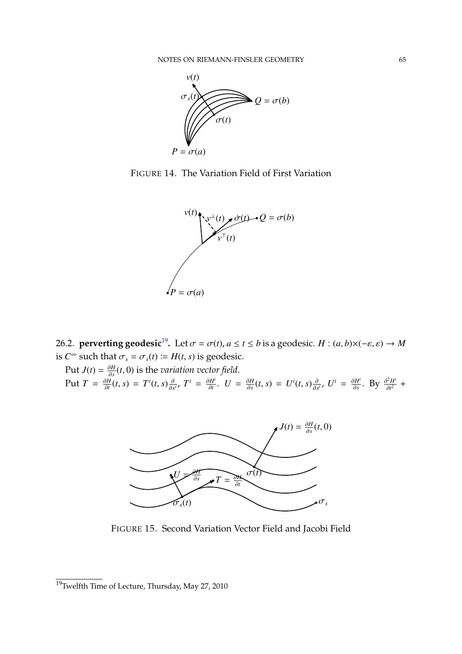

FIGURE 14. The Variation Field of First Variation

<span id="page-64-0"></span>

26.2. **perverting geodesic<sup>[19](#page-64-1)</sup>.** Let  $\sigma = \sigma(t)$ ,  $a \le t \le b$  is a geodesic.  $H : (a, b) \times (-\varepsilon, \varepsilon) \to M$ is  $C^{\infty}$  such that  $\sigma_s = \sigma_s(t) := H(t, s)$  is geodesic.

Put  $J(t) = \frac{\partial H}{\partial s}$  $\frac{\partial H}{\partial s}(t,0)$  is the *variation vector field*. Put  $T = \frac{\partial H}{\partial t}$  $\frac{\partial H}{\partial t}(t, s) = T^{i}(t, s) \frac{\partial}{\partial x^{i}}, T^{i} = \frac{\partial H^{i}}{\partial t}$  $\frac{\partial H^i}{\partial t}$ .  $U = \frac{\partial H}{\partial s}$  $\frac{\partial H}{\partial s}(t, s) = U^{i}(t, s) \frac{\partial}{\partial x^{i}}, U^{i} = \frac{\partial H^{i}}{\partial s}$  $\frac{\partial H^i}{\partial s}$ . By  $\frac{\partial^2 H^i}{\partial t^2}$  $\frac{\partial^2 H^i}{\partial t^2}$  +



FIGURE 15. Second Variation Vector Field and Jacobi Field

<span id="page-64-1"></span> $19$ Twelfth Time of Lecture, Thursday, May 27, 2010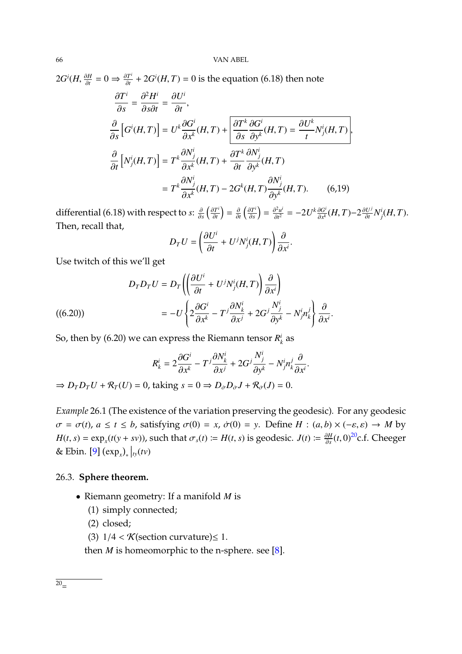$2G^{i}(H, \frac{\partial H}{\partial t})$ ∂*t*  $= 0 \Rightarrow \frac{\partial T^i}{\partial t}$  $\frac{\partial T'}{\partial t}$  + 2*G<sup>i</sup>*(*H*, *T*) = 0 is the equation (6.18) then note

$$
\frac{\partial T^i}{\partial s} = \frac{\partial^2 H^i}{\partial s \partial t} = \frac{\partial U^i}{\partial t},
$$
\n
$$
\frac{\partial}{\partial s} \left[ G^i(H, T) \right] = U^k \frac{\partial G^i}{\partial x^k} (H, T) + \frac{\partial T^k}{\partial s} \frac{\partial G^i}{\partial y^k} (H, T) = \frac{\partial U^k}{t} N^i_j(H, T),
$$
\n
$$
\frac{\partial}{\partial t} \left[ N^i_j(H, T) \right] = T^k \frac{\partial N^i_j}{\partial x^k} (H, T) + \frac{\partial T^k}{\partial t} \frac{\partial N^i_j}{\partial y^k} (H, T)
$$
\n
$$
= T^k \frac{\partial N^i_j}{\partial x^k} (H, T) - 2G^k(H, T) \frac{\partial N^i_j}{\partial y^k} (H, T). \tag{6.19}
$$

differential (6.18) with respect to *s*: ∂ ∂*s*  $\left(\frac{\partial T^i}{\partial t}\right)$ ∂*t*  $=\frac{\partial}{\partial t}$  $\left(\frac{\partial T^i}{\partial s}\right)$ ∂*s*  $= \frac{\partial^2 u^i}{\partial t^2}$  $\frac{\partial^2 u^i}{\partial t^2} = -2U^k \frac{\partial G^i}{\partial x^k}$ ∂*x <sup>k</sup>* (*H*, *<sup>T</sup>*)−<sup>2</sup> ∂*U j*  $\frac{\partial U^j}{\partial t} N^i_j(H, T)$ . Then, recall that,

$$
D_T U = \left(\frac{\partial U^i}{\partial t} + U^j N^i_j(H, T)\right) \frac{\partial}{\partial x^i}
$$

Use twitch of this we'll get

(6.20)) 
$$
D_T D_T U = D_T \left( \left( \frac{\partial U^i}{\partial t} + U^j N^i_j(H, T) \right) \frac{\partial}{\partial x^i} \right) = -U \left\{ 2 \frac{\partial G^i}{\partial x^k} - T^j \frac{\partial N^i_k}{\partial x^j} + 2G^j \frac{N^i_j}{\partial y^k} - N^i_j n^j_k \right\} \frac{\partial}{\partial x^i}.
$$

So, then by (6.20) we can express the Riemann tensor  $R_i^i$  $k^i$  as

$$
R_{k}^{i}=2\frac{\partial G^{i}}{\partial x^{k}}-T^{j}\frac{\partial N_{k}^{i}}{\partial x^{j}}+2G^{j}\frac{N_{j}^{i}}{\partial y^{k}}-N_{j}^{i}n_{k}^{j}\frac{\partial}{\partial x^{i}}.
$$

 $\Rightarrow$   $D_T D_T U + \mathcal{R}_T (U) = 0$ , taking  $s = 0 \Rightarrow D_{\dot{\sigma}} D_{\dot{\sigma}} J + \mathcal{R}_{\dot{\sigma}} (J) = 0$ .

*Example* 26.1 (The existence of the variation preserving the geodesic)*.* For any geodesic  $\sigma = \sigma(t)$ ,  $a \le t \le b$ , satisfying  $\sigma(0) = x$ ,  $\dot{\sigma}(0) = y$ . Define  $H : (a, b) \times (-\varepsilon, \varepsilon) \to M$  by  $H(t, s) = \exp_x(t(y + sv))$ , such that  $\sigma_s(t) := H(t, s)$  is geodesic.  $J(t) := \frac{\partial H}{\partial s}(t, 0)^{20}$  $J(t) := \frac{\partial H}{\partial s}(t, 0)^{20}$  $J(t) := \frac{\partial H}{\partial s}(t, 0)^{20}$ c.f. Cheeger & Ebin. [\[9\]](#page-79-4)  $(\exp_x)_*|_{ty}(tv)$ 

#### 26.3. **Sphere theorem.**

- Riemann geometry: If a manifold *M* is
	- (1) simply connected;
	- (2) closed;
	- (3)  $1/4 < \mathcal{K}$ (section curvature)  $\leq 1$ .

then  $M$  is homeomorphic to the n-sphere. see [\[8\]](#page-79-5).

<span id="page-65-0"></span> $\overline{20}$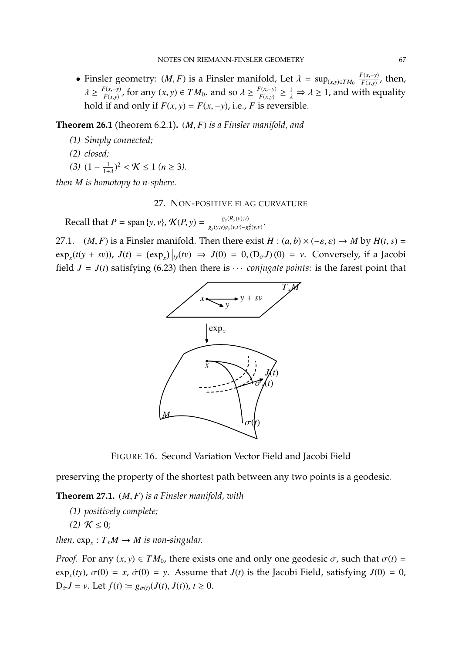• Finsler geometry:  $(M, F)$  is a Finsler manifold, Let  $\lambda = \sup_{(x,y)\in TM_0} \frac{F(x,-y)}{F(x,y)}$ , then,  $F(x,y)$  $\lambda \geq \frac{F(x,-y)}{F(x,y)}$ *F*(*x*,*y*)</sub>, for any (*x*, *y*) ∈ *TM*<sub>0</sub>. and so  $\lambda \ge \frac{F(x,-y)}{F(x,y)}$  $\frac{F(x,-y)}{F(x,y)} \geq \frac{1}{\lambda} \Rightarrow \lambda \geq 1$ , and with equality hold if and only if  $F(x, y) = F(x, -y)$ , i.e., *F* is reversible.

**Theorem 26.1** (theorem 6.2.1)**.** (*M*, *<sup>F</sup>*) *is a Finsler manifold, and*

- *(1) Simply connected;*
- *(2) closed;*
- $(3)$   $(1 \frac{1}{1+1})$  $\frac{1}{1+\lambda}$ )<sup>2</sup> < **K** ≤ 1 (*n* ≥ 3).

*then M is homotopy to n-sphere.*

#### 27. NON-POSITIVE FLAG CURVATURE

Recall that  $P = \text{span}\{y, v\}$ ,  $\mathcal{K}(P, y) = \frac{g_y(R_y(v), v)}{g_y(y, y)g_y(v, v) - g_y(y, y)}$  $\frac{g_y(x_y, v_y, v_y)}{g_y(y, y)g_y(v, v) - g_y^2(y, v)}$ .

27.1. (*M*, *F*) is a Finsler manifold. Then there exist *H* :  $(a, b) \times (-\varepsilon, \varepsilon) \rightarrow M$  by  $H(t, s) =$  $\exp_x(t(y + sv))$ ,  $J(t) = (\exp_x)|_{ty}(tv) \Rightarrow J(0) = 0, (D_\sigma J)(0) = v$ . Conversely, if a Jacobi field  $J = J(t)$  satisfying (6.23) then there is  $\cdots$  *conjugate points*: is the farest point that



FIGURE 16. Second Variation Vector Field and Jacobi Field

preserving the property of the shortest path between any two points is a geodesic.

**Theorem 27.1.** (*M*, *<sup>F</sup>*) *is a Finsler manifold, with*

- *(1) positively complete;*
- *(2)*  $K \leq 0$ ;

*then,*  $\exp_x: T_xM \to M$  *is non-singular.* 

*Proof.* For any  $(x, y) \in TM_0$ , there exists one and only one geodesic  $\sigma$ , such that  $\sigma(t) =$  $\exp_x(ty)$ ,  $\sigma(0) = x$ ,  $\dot{\sigma}(0) = y$ . Assume that *J*(*t*) is the Jacobi Field, satisfying *J*(0) = 0,  $D_{\sigma}J = v$ . Let  $f(t) := g_{\sigma(t)}(J(t), J(t)), t \geq 0$ .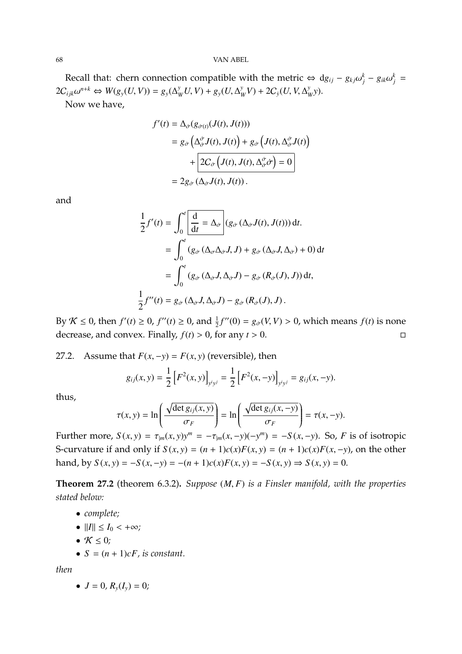Recall that: chern connection compatible with the metric  $\Leftrightarrow dg_{ij} - g_{kj}\omega_j^k - g_{ik}\omega_j^k =$ <br>  $g_{ik} = \frac{n+k}{k}$  $2C_{ijk}\omega^{n+k} \Leftrightarrow W(g_y(U, V)) = g_y(\Delta_W^y U, V) + g_y(U, \Delta_W^y)$  $\frac{y}{W}V$  + 2C<sub>*y*</sub></sub>(*U*, *V*,  $\Delta_y^y$ *W y*). Now we have,

$$
f'(t) = \Delta_{\dot{\sigma}}(g_{\dot{\sigma}(t)}(J(t), J(t)))
$$
  
=  $g_{\dot{\sigma}}\left(\Delta_{\dot{\sigma}}^{\dot{\sigma}}J(t), J(t)\right) + g_{\dot{\sigma}}\left(J(t), \Delta_{\dot{\sigma}}^{\dot{\sigma}}J(t)\right)$   
+ 
$$
\left[2C_{\dot{\sigma}}\left(J(t), J(t), \Delta_{\dot{\sigma}}^{\dot{\sigma}}\dot{\sigma}\right) = 0\right]
$$
  
=  $2g_{\dot{\sigma}}\left(\Delta_{\dot{\sigma}}J(t), J(t)\right).$ 

and

$$
\frac{1}{2}f'(t) = \int_0^t \left[ \frac{d}{dt} = \Delta_{\dot{\sigma}} \right] (g_{\dot{\sigma}}(\Delta_{\dot{\sigma}}J(t), J(t))) dt.
$$

$$
= \int_0^t (g_{\dot{\sigma}}(\Delta_{\sigma}\Delta_{\dot{\sigma}}J, J) + g_{\dot{\sigma}}(\Delta_{\dot{\sigma}}J, \Delta_{\dot{\sigma}}) + 0) dt
$$

$$
= \int_0^t (g_{\dot{\sigma}}(\Delta_{\dot{\sigma}}J, \Delta_{\dot{\sigma}}J) - g_{\dot{\sigma}}(R_{\dot{\sigma}}(J), J)) dt,
$$

$$
\frac{1}{2}f''(t) = g_{\dot{\sigma}}(\Delta_{\dot{\sigma}}J, \Delta_{\dot{\sigma}}J) - g_{\dot{\sigma}}(R_{\dot{\sigma}}(J), J).
$$

By *K* ≤ 0, then *f'*(*t*) ≥ 0, *f''*(*t*) ≥ 0, and  $\frac{1}{2}f''(0) = g_{\sigma}(V, V) > 0$ , which means *f*(*t*) is none decrease, and convex. Finally,  $f(t) > 0$ , for any  $t > 0$ .

27.2. Assume that  $F(x, -y) = F(x, y)$  (reversible), then

$$
g_{ij}(x,y) = \frac{1}{2} \left[ F^2(x,y) \right]_{y^i y^j} = \frac{1}{2} \left[ F^2(x,-y) \right]_{y^i y^j} = g_{ij}(x,-y).
$$

thus,

$$
\tau(x, y) = \ln\left(\frac{\sqrt{\det g_{ij}(x, y)}}{\sigma_F}\right) = \ln\left(\frac{\sqrt{\det g_{ij}(x, -y)}}{\sigma_F}\right) = \tau(x, -y).
$$

Further more,  $S(x, y) = \tau_{|m}(x, y)y^m = -\tau_{|m}(x, -y)(-y^m) = -S(x, -y)$ . So, *F* is of isotropic S-curvature if and only if  $S(x, y) = (n + 1)c(x)F(x, y) = (n + 1)c(x)F(x, -y)$ , on the other hand, by *S*(*x*, *y*) = −*S*(*x*, −*y*) = −(*n* + 1)*c*(*x*)*F*(*x*, *y*) = −*S*(*x*, *y*) ⇒ *S*(*x*, *y*) = 0.

**Theorem 27.2** (theorem 6.3.2)**.** *Suppose* (*M*, *<sup>F</sup>*) *is a Finsler manifold, with the properties stated below:*

- *complete;*
- $||I|| \le I_0 < +\infty$ ;
- $K \leq 0$ *;*
- $S = (n + 1)cF$ , is constant.

*then*

• 
$$
J = 0
$$
,  $R_y(I_y) = 0$ ;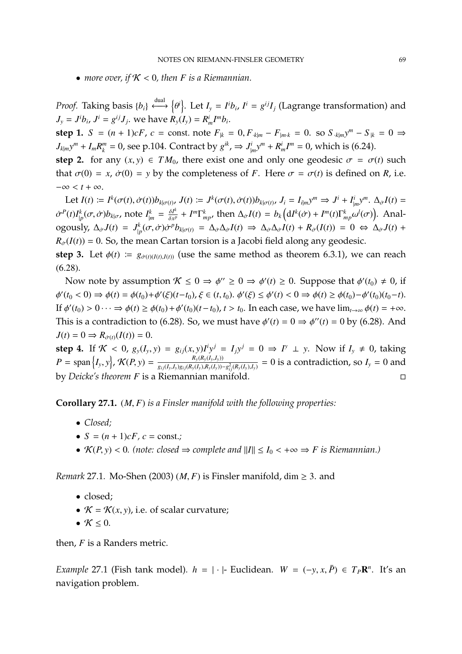• *more over, if*  $K < 0$ , then *F* is a Riemannian.

*Proof.* Taking basis  $\{b_i\} \stackrel{\text{dual}}{\longleftrightarrow} \{\theta^i\}$ . Let  $I_y = I^i b_i$ ,  $I^i = g^{ij} I_j$  (Lagrange transformation) and θ  $J_y = J^i b_i$ ,  $J^i = g^{ij} J_j$ , we have  $R_y(I_y) = R^i_m I^m b_i$ .

step 1.  $S = (n + 1)cF$ ,  $c = \text{const.}$  note  $F_{|k} = 0$ ,  $F_{k|m} - F_{|m,k} = 0$ . so  $S_{k|m}y^m - S_{|k} = 0 \Rightarrow$  $J_{k|m}y^m + I_m R_k^m = 0$ , see p.104. Contract by  $g^{ik}$ ,  $\Rightarrow J_{|m}^i y^m + R_m^i I^m = 0$ , which is (6.24).

**step 2.** for any  $(x, y) \in TM_0$ , there exist one and only one geodesic  $\sigma = \sigma(t)$  such that  $\sigma(0) = x$ ,  $\dot{\sigma}(0) = y$  by the completeness of *F*. Here  $\sigma = \sigma(t)$  is defined on *R*, i.e.  $-\infty < t + \infty$ .

Let  $I(t) := I^k(\sigma(t), \dot{\sigma}(t))b_{k|\sigma(t)}, J(t) := J^k(\sigma(t), \dot{\sigma}(t))b_{k|\sigma(t)}, J_i = I_{i|m}y^m \Rightarrow J^i + I^i_{|m}y^m$ .  $\Delta_{\dot{\sigma}}I(t) =$  $\sigma^P(t)I_{|p}^k(\sigma,\dot{\sigma})b_{k|\sigma}$ , note  $I_{|m}^k = \frac{\delta I^k}{\delta x^k}$  $\frac{\delta I^k}{\delta x^p} + I^m \Gamma^k_{mp}$ , then  $\Delta_{\sigma} I(t) = b_k \left( dI^k(\sigma) + I^m(t) \Gamma^k_{mp} \omega^l(\sigma) \right)$ . Analogously,  $\Delta_{\sigma}J(t) = J_{|p}^{k}(\sigma, \dot{\sigma})\dot{\sigma}^{p}b_{k|\sigma(t)} = \Delta_{\dot{\sigma}}\Delta_{\dot{\sigma}}I(t) \Rightarrow \Delta_{\dot{\sigma}}\Delta_{\dot{\sigma}}I(t) + R_{\dot{\sigma}}(I(t)) = 0 \Leftrightarrow \Delta_{\dot{\sigma}}J(t) + R_{\dot{\sigma}}(I(t)) = 0 \Leftrightarrow \Delta_{\dot{\sigma}}J(t) + R_{\dot{\sigma}}I(t)$  $R_{\sigma}(I(t)) = 0$ . So, the mean Cartan torsion is a Jacobi field along any geodesic.

**step 3.** Let  $\phi(t) := g_{\dot{\sigma}(t)(I(t),I(t))}$  (use the same method as theorem 6.3.1), we can reach (6.28).

Now note by assumption  $\mathcal{K} \le 0 \Rightarrow \phi'' \ge 0 \Rightarrow \phi'(t) \ge 0$ . Suppose that  $\phi'(t_0) \ne 0$ , if  $\frac{7}{16}$  $\phi'(t) < 0 \Rightarrow \phi(t) = \phi(t_0) + \phi'(\xi)(t - t_0), \xi \in (t, t_0). \; \phi'(\xi) \le \phi'(t) < 0 \Rightarrow \phi(t) \ge \phi(t_0) - \phi'(t_0)(t_0 - t).$ If  $\phi'(t_0) > 0 \dots \Rightarrow \phi(t) \ge \phi(t_0) + \phi'(t_0)(t - t_0), t > t_0$ . In each case, we have  $\lim_{t \to \infty} \phi(t) = +\infty$ . This is a contradiction to (6.28). So, we must have  $\phi'(t) = 0 \Rightarrow \phi''(t) = 0$  by (6.28). And  $J(t) = 0 \Rightarrow R_{\dot{\sigma}(t)}(I(t)) = 0.$ 

**step 4.** If  $K < 0$ ,  $g_y(I_y, y) = g_{ij}(x, y)I_y$  $i y^j = I_j y^j = 0 \Rightarrow I^y \perp y$ . Now if  $I_y \neq 0$ , taking  $P = \text{span}\{I_y, y\}$ ,  $\mathcal{K}(P, y) = \frac{R_y(R_y(I_y, I_y))}{g_{ij}(I_y, I_y)g_{ij}(R_y(I_y), R_y(I_y))}$  $\frac{N_y(N_y(N_y,N_y))}{g_{ij}(I_y,I_y)g_{ij}(R_y(I_y),R_y(I_y)) - g_{ij}^2(R_y(I_y),I_y)} = 0$  is a contradiction, so  $I_y = 0$  and by *Deicke's theorem F* is a Riemannian manifold.

**Corollary 27.1.** (*M*, *<sup>F</sup>*) *is a Finsler manifold with the following properties:*

- *Closed;*
- $S = (n + 1)cF, c = \text{const.}$ ;
- $\mathcal{K}(P, y) < 0$ . (note: closed  $\Rightarrow$  complete and  $||I|| \leq I_0 < +\infty \Rightarrow F$  is Riemannian.)

*Remark* 27.1*.* Mo-Shen (2003) (*M, F*) is Finsler manifold, dim  $\geq$  3. and

- closed;
- $K = K(x, y)$ , i.e. of scalar curvature;
- $K \leq 0$ .

then, *F* is a Randers metric.

*Example* 27.1 (Fish tank model)*.*  $h = | \cdot |$ - Euclidean.  $W = (-y, x, \overline{P}) \in T_P \mathbb{R}^n$ . It's an navigation problem.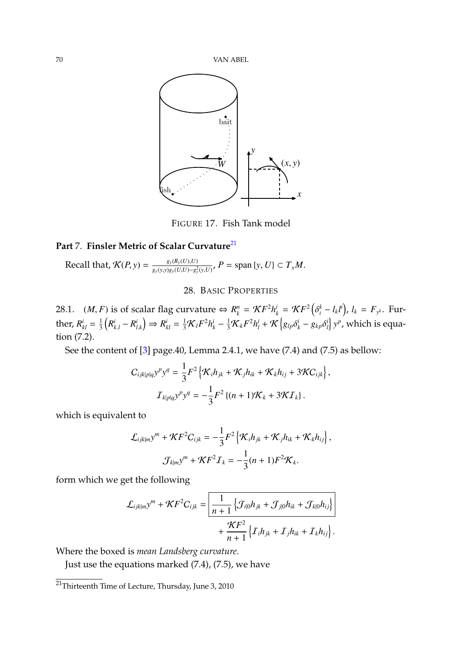

FIGURE 17. Fish Tank model

## Part 7. Finsler Metric of Scalar Curvature<sup>[21](#page-69-0)</sup>

Recall that, 
$$
\mathcal{K}(P, y) = \frac{g_y(R_y(U), U)}{g_y(y, y)g_y(U, U) - g_y^2(y, U)}, P = \text{span }\{y, U\} \subset T_xM.
$$

### 28. BASIC PROPERTIES

28.1. (*M*, *F*) is of scalar flag curvature  $\Leftrightarrow R_k^n = \mathcal{K}F^2h_k^i = \mathcal{K}F^2$  (<br>*k* =  $\frac{1}{n}h_k^i = \frac{1}{n}h_k^i = \frac{1}{n}h_k^i = \frac{1}{n}h_k^i = \frac{1}{n}h_k^i = \frac{1}{n}h_k^i = \frac{1}{n}h_k^i = \frac{1}{n}h_k^i = \frac{1}{n}h_k^i = \frac{1}{n}h_k^i = \frac{1}{n}h_k^i = \$  $\int_{i}^{k} - l_{k}l^{i}$ ,  $l_{k} = F_{y^{k}}$ . Further,  $R_{kl}^i = \frac{1}{3}$  $\frac{1}{3}\left(R_{k,l}^{i}-R_{l}^{i}\right)$ *l*.*k*  $\mathcal{L} = \frac{1}{3}\mathcal{K}_lF^2h_k^i - \frac{1}{3}\mathcal{K}_kF^2h_l^i + \mathcal{K}\left\{g_{lp}\delta_k^i - g_{kp}\delta_l^i\right\}$  $\left\{ \int_{l}^{i}\right\} y^{p}$ , which is equation (7.2).

See the content of [\[3\]](#page-79-2) page.40, Lemma 2.4.1, we have (7.4) and (7.5) as bellow:

$$
C_{ijklp|q}y^{p}y^{q} = \frac{1}{3}F^{2}\left\{\mathcal{K}_{i}h_{jk} + \mathcal{K}_{j}h_{ik} + \mathcal{K}_{k}h_{ij} + 3\mathcal{K}C_{ijk}\right\},
$$

$$
I_{klp|q}y^{p}y^{q} = -\frac{1}{3}F^{2}\left\{(n+1)\mathcal{K}_{k} + 3\mathcal{K}I_{k}\right\}.
$$

which is equivalent to

$$
\mathcal{L}_{ijklm}y^m + \mathcal{K}F^2C_{ijk} = -\frac{1}{3}F^2\left\{\mathcal{K}_ih_{jk} + \mathcal{K}_jh_{ik} + \mathcal{K}_kh_{ij}\right\},\
$$

$$
\mathcal{J}_{k|m}y^m + \mathcal{K}F^2\mathcal{I}_k = -\frac{1}{3}(n+1)F^2\mathcal{K}_k.
$$

form which we get the following

$$
\mathcal{L}_{ijklm}y^{m} + \mathcal{K}F^{2}C_{ijk} = \left| \frac{1}{n+1} \left\{ \mathcal{J}_{i|0}h_{jk} + \mathcal{J}_{j|0}h_{ik} + \mathcal{J}_{k|0}h_{ij} \right\} \right| + \frac{\mathcal{K}F^{2}}{n+1} \left\{ \mathcal{I}_{i}h_{jk} + \mathcal{I}_{j}h_{ik} + \mathcal{I}_{k}h_{ij} \right\}.
$$

Where the boxed is *mean Landsberg curvature*.

Just use the equations marked (7.4), (7.5), we have

<span id="page-69-0"></span><sup>&</sup>lt;sup>21</sup>Thirteenth Time of Lecture, Thursday, June 3, 2010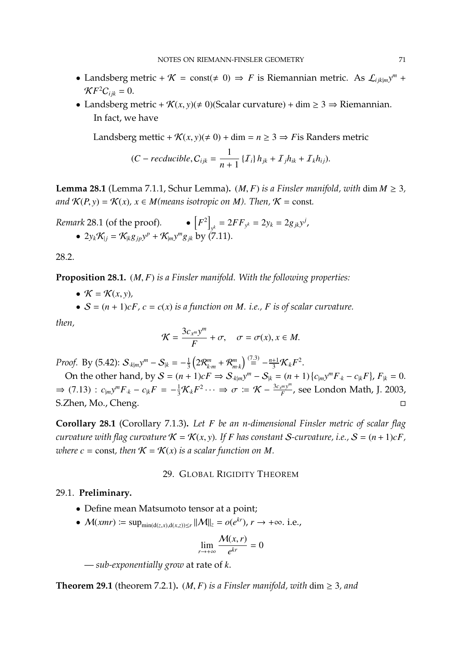- Landsberg metric +  $K = \text{const}(\neq 0) \Rightarrow F$  is Riemannian metric. As  $\mathcal{L}_{ijk|m}y^m$  +  $\mathcal{K}F^2C_{ijk}=0.$
- Landsberg metric +  $\mathcal{K}(x, y) \neq 0$  (Scalar curvature) + dim  $\geq 3 \Rightarrow$  Riemannian. In fact, we have

Landsberg mettic +  $\mathcal{K}(x, y)$ ( $\neq$  0) + dim =  $n \geq 3 \Rightarrow F$  is Randers metric

$$
(C-reducible, C_{ijk} = \frac{1}{n+1} \{T_i\} h_{jk} + T_j h_{ik} + T_k h_{ij}).
$$

**Lemma 28.1** (Lemma 7.1.1, Schur Lemma).  $(M, F)$  *is a Finsler manifold, with* dim  $M \geq 3$ , *and*  $K(P, y) = K(x)$ ,  $x \in M$  *(means isotropic on M). Then,*  $K = \text{const.}$ 

*Remark* 28.1 (of the proof). 
$$
\bullet
$$
  $[F^2]_{y^k} = 2FF_{y^k} = 2y_k = 2g_{jk}y^j$ ,  
\n $\bullet$   $2y_k\mathcal{K}_{|j} = \mathcal{K}_{|k}g_{jp}y^p + \mathcal{K}_{|m}y^mg_{jk}$  by (7.11).

28.2.

**Proposition 28.1.** (*M*, *<sup>F</sup>*) *is a Finsler manifold. With the following properties:*

•  $\mathcal{K} = \mathcal{K}(x, y)$ ,

•  $S = (n + 1)cF$ ,  $c = c(x)$  *is a function on M. i.e., F is of scalar curvature.* 

*then,*

$$
\mathcal{K} = \frac{3c_{x^m}y^m}{F} + \sigma, \quad \sigma = \sigma(x), x \in M.
$$

*Proof.* By (5.42):  $S_{k|m}y^m - S_{|k} = -\frac{1}{3}$  $\frac{1}{3} \left( 2 \mathcal{R}_{k \cdot m}^m + \mathcal{R}_{m \cdot k}^m \right) \stackrel{(7.3)}{=} -\frac{n+1}{3} \mathcal{K}_k F^2.$ 

On the other hand, by  $S = (n + 1)cF \Rightarrow S_{k|m}y^m - S_{|k} = (n + 1)\{c_{|m}y^mF_{k} - c_{|k}F\}$ ,  $F_{|k} = 0$ .  $\Rightarrow$  (7.13) :  $c_{|m}y^mF_{\cdot k} - c_{|k}F = -\frac{1}{3}\mathcal{K}_kF^2 \cdots \Rightarrow \sigma := \mathcal{K} - \frac{3c_x^m y^m}{F}$ *F* , see London Math, J. 2003, S.Zhen, Mo., Cheng.

**Corollary 28.1** (Corollary 7.1.3)**.** *Let F be an n-dimensional Finsler metric of scalar flag curvature with flag curvature*  $K = K(x, y)$ *. If F* has constant *S*-curvature, i.e.,  $S = (n + 1)cF$ , *where*  $c = \text{const}$ , then  $\mathcal{K} = \mathcal{K}(x)$  *is a scalar function on M.* 

#### 29. GLOBAL RIGIDITY THEOREM

## 29.1. **Preliminary.**

- Define mean Matsumoto tensor at a point;
- $M(xmr) := \sup_{\min(d(z,x),d(x,z)) \le r} ||M||_z = o(e^{kr}), r \to +\infty$ . i.e.,

$$
\lim_{r \to +\infty} \frac{\mathcal{M}(x, r)}{e^{kr}} = 0
$$

— *sub-exponentially grow* at rate of *k*.

**Theorem 29.1** (theorem 7.2.1).  $(M, F)$  *is a Finsler manifold, with* dim  $\geq 3$ *, and*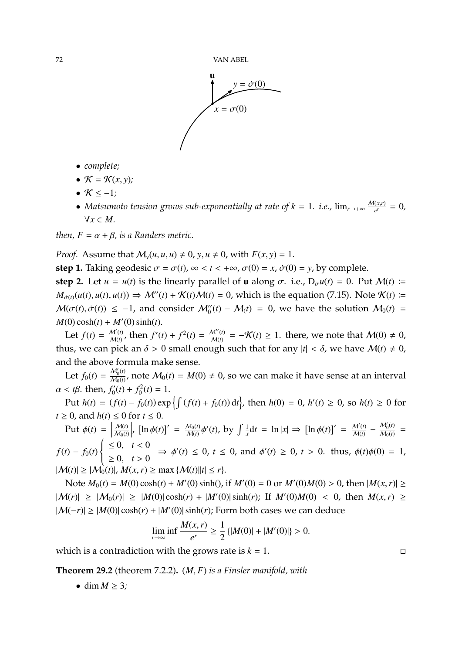

- *complete;*
- $\mathcal{K} = \mathcal{K}(x, y)$ ;
- $\bullet$  K  $\leq -1$ *;*
- *Matsumoto tension grows sub-exponentially at rate of*  $k = 1$ *. i.e.,*  $\lim_{r \to +\infty} \frac{M(x,r)}{e^r} = 0$ *,* ∀*x* ∈ *M.*

*then,*  $F = \alpha + \beta$ *, is a Randers metric.* 

*Proof.* Assume that  $M_v(u, u, u) \neq 0$ ,  $v, u \neq 0$ , with  $F(x, y) = 1$ .

**step 1.** Taking geodesic  $\sigma = \sigma(t)$ ,  $\infty < t < +\infty$ ,  $\sigma(0) = x$ ,  $\dot{\sigma}(0) = y$ , by complete.

**step 2.** Let  $u = u(t)$  is the linearly parallel of **u** along  $\sigma$ . i.e.,  $D_{\sigma}u(t) = 0$ . Put  $M(t) =$  $M_{\sigma(t)}(u(t), u(t), u(t)) \Rightarrow \mathcal{M}''(t) + \mathcal{K}(t)\mathcal{M}(t) = 0$ , which is the equation (7.15). Note  $\mathcal{K}(t) \coloneqq$  $M(\sigma(t), \dot{\sigma}(t)) \le -1$ , and consider  $M''_0(t) - M_1(t) = 0$ , we have the solution  $M_0(t) = M(0) - M_1(t)$  $M(0) \cosh(t) + M'(0) \sinh(t)$ .

Let  $f(t) = \frac{M'(t)}{M(t)}$  $\frac{M'(t)}{M(t)}$ , then  $f'(t) + f^2(t) = \frac{M''(t)}{M(t)}$  $\frac{M''(t)}{M(t)} = -\mathcal{K}(t) \geq 1$ . there, we note that  $\mathcal{M}(0) \neq 0$ , thus, we can pick an  $\delta > 0$  small enough such that for any  $|t| < \delta$ , we have  $M(t) \neq 0$ , and the above formula make sense.

Let  $f_0(t) = \frac{\mathcal{M}_0'(t)}{\mathcal{M}_0(t)}$  $\frac{\mathcal{M}_0(t)}{\mathcal{M}_0(t)}$ , note  $\mathcal{M}_0(t) = M(0) \neq 0$ , so we can make it have sense at an interval  $\alpha < t\beta$ . then,  $f'_0$  $f_0'(t) + f_0^2$  $t_0^2(t) = 1.$ 

Put *h*(*t*) = (*f*(*t*) − *f*<sub>0</sub>(*t*)) exp { $\int$  (*f*(*t*) + *f*<sub>0</sub>(*t*)) d*t*}, then *h*(0) = 0, *h'*(*t*) ≥ 0, so *h*(*t*) ≥ 0 for  $t \geq 0$ , and  $h(t) \leq 0$  for  $t \leq 0$ .

Put  $\phi(t) =$ M(*t*)  $M_0(t)$  $\begin{array}{c} \n \downarrow \\ \n \downarrow \\ \n \downarrow \\ \n \downarrow \\ \n \end{array}$ ,  $[\ln \phi(t)]' = \frac{M_0(t)}{M(t)}$  $M(t)$ <sup> $\varphi$ </sup>  $'(t)$ , by  $\int \frac{1}{x}$  $\frac{1}{x}dt = \ln|x| \Rightarrow [\ln \phi(t)]' = \frac{M'(t)}{M(t)}$  $\frac{M'(t)}{M(t)} - \frac{M'_0(t)}{M_0(t)}$  $\frac{W_0(t)}{M_0(t)} =$  $f(t) - f_0(t)$  $\left\{\right.$  $\int$  $≤ 0, t < 0$  $\geq 0, t > 0$  $\Rightarrow \phi'(t) \leq 0, t \leq 0, \text{ and } \phi'(t) \geq 0, t > 0. \text{ thus, } \phi(t)\phi(0) = 1,$  $|M(t)| \geq |M_0(t)|$ ,  $M(x, r) \geq \max\{M(t)||t| \leq r\}.$ 

Note  $M_0(t) = M(0) \cosh(t) + M'(0) \sinh(t)$ , if  $M'(0) = 0$  or  $M'(0)M(0) > 0$ , then  $|M(x, r)| \ge$  $|M(r)| \geq |M_0(r)| \geq |M(0)| \cosh(r) + |M'(0)| \sinh(r)$ ; If  $M'(0)M(0) < 0$ , then  $M(x, r) \geq$  $|M(-r)| \ge |M(0)| \cosh(r) + |M'(0)| \sinh(r)$ ; Form both cases we can deduce

$$
\lim_{r \to \infty} \inf \frac{M(x, r)}{e^r} \ge \frac{1}{2} \{|M(0)| + |M'(0)|\} > 0.
$$

which is a contradiction with the grows rate is  $k = 1$ .

**Theorem 29.2** (theorem 7.2.2)**.** (*M*, *<sup>F</sup>*) *is a Finsler manifold, with*

 $\bullet$  dim  $M \geq 3$ ;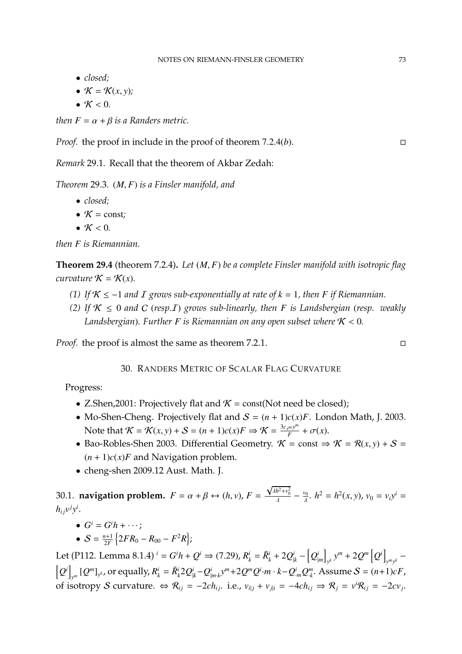- *closed;*
- $\mathcal{K} = \mathcal{K}(x, y)$ ;
- $K < 0$ .

*then*  $F = \alpha + \beta$  *is a Randers metric.* 

*Proof.* the proof in include in the proof of theorem <sup>7</sup>.2.4(*b*).

*Remark* 29.1*.* Recall that the theorem of Akbar Zedah:

*Theorem* 29.3*.* (*M*, *<sup>F</sup>*) *is a Finsler manifold, and*

- *closed;*
- $K = const$ ;
- $K < 0$ .

*then F is Riemannian.*

**Theorem 29.4** (theorem 7.2.4)**.** *Let* (*M*, *<sup>F</sup>*) *be a complete Finsler manifold with isotropic flag curvature*  $K = K(x)$ *.* 

- *(1)* If  $K$  ≤ −1 *and I* grows sub-exponentially at rate of  $k = 1$ , then *F* if Riemannian.
- *(2)* If  $K \leq 0$  and C (*resp.I*) grows sub-linearly, then *F* is Landsbergian (*resp.* weakly *Landsbergian*). Further *F* is Riemannian on any open subset where  $K < 0$ .

*Proof.* the proof is almost the same as theorem 7.2.1. □

30. RANDERS METRIC OF SCALAR FLAG CURVATURE

Progress:

- Z.Shen, 2001: Projectively flat and  $K = \text{const}(\text{Not need be closed});$
- Mo-Shen-Cheng. Projectively flat and  $S = (n + 1)c(x)F$ . London Math, J. 2003. Note that  $\mathcal{K} = \mathcal{K}(x, y) + \mathcal{S} = (n+1)c(x)F \Rightarrow \mathcal{K} = \frac{3c_x m y^m}{F}$  $\frac{f^{m}y^{m}}{F}+\sigma(x).$
- Bao-Robles-Shen 2003. Differential Geometry.  $\mathcal{K} = \text{const} \Rightarrow \mathcal{K} = \mathcal{R}(x, y) + \mathcal{S} =$  $(n + 1)c(x)$ *F* and Navigation problem.
- cheng-shen 2009.12 Aust. Math. J.

30.1. **navigation problem.**  $F = \alpha + \beta \leftrightarrow (h, v), F =$ √  $\frac{\partial^2 u}{\partial x^2} + \frac{\partial^2 u}{\partial y^2} - \frac{\partial^2 u}{\partial x^2} + \frac{\partial^2 u}{\partial y^2} = h^2(x, y), v_0 = v_i y^i = 0$  $h_{ij}v^jy^i$ .

- $G^i = G^i h + \cdots;$
- $S = \frac{n+1}{2F}$  $\frac{n+1}{2F}\left\{2FR_0 - R_{00} - F^2R\right\};$

Let (P112. Lemma 8.1.4)  $^{i} = G^{i}h + Q^{i} \Rightarrow (7.29)$ ,  $R^{i}_{k} = \bar{R}^{i}_{k} + 2Q^{i}_{|k} - [Q^{i}_{|m}]$  $y^k$   $y^m$  + 2 $Q^m$   $\left[Q^i\right]$  $y^m y^k$  −  $\left[Q^i\right]$  $\mathbb{E}_{\mathbf{y}^m}\left[Q^m\right]_{\mathbf{y}^k}$ , or equally,  $R_k^i=\bar{R}_k^i2Q_{|k}^i-Q_{|m\cdot k}^i\mathbf{y}^m+2Q^mQ^i\cdot m\cdot k-Q_{\cdot m}^iQ_{\cdot k}^m.$  Assume  $\mathcal{S}=(n+1)cF$  , of isotropy S curvature.  $\Leftrightarrow \mathcal{R}_{ij} = -2ch_{ij}$ . i.e.,  $v_{i|j} + v_{j|i} = -4ch_{ij} \Rightarrow \mathcal{R}_{j} = v^{i}\mathcal{R}_{ij} = -2cv_{j}$ .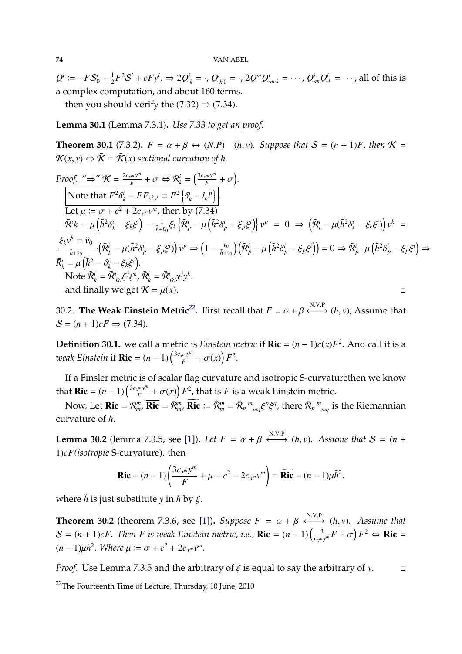$Q^i \coloneqq -F\mathcal{S}_0^i - \frac{1}{2}$  $\frac{1}{2}F^2S^i+cFy^i. \Rightarrow 2{\cal Q}_{{|}k}^i=\cdot$  ,  ${\cal Q}_{\cdot k|0}^i=\cdot$  ,  $2{\cal Q}^{m}{\cal Q}_{\cdot m\cdot k}^i=\cdot\cdot\cdot$  ,  ${\cal Q}_{\cdot m}^i{\cal Q}_{\cdot k}^i=\cdot\cdot\cdot$  , all of this is a complex computation, and about 160 terms.

then you should verify the  $(7.32) \Rightarrow (7.34)$ .

**Lemma 30.1** (Lemma 7.3.1)**.** *Use 7.33 to get an proof.*

**Theorem 30.1** (7.3.2),  $F = \alpha + \beta \leftrightarrow (N.P)$  (*h, v*)*. Suppose that*  $S = (n + 1)F$ *, then*  $K =$  $\mathcal{K}(x, y) \Leftrightarrow \bar{\mathcal{K}} = \bar{\mathcal{K}}(x)$  sectional curvature of h.

Proof. "
$$
\Rightarrow
$$
"  $\mathcal{K} = \frac{2c_x m y^m}{F} + \sigma \Leftrightarrow \mathcal{R}_k^i = \left(\frac{3c_x m y^m}{F} + \sigma\right).$   
\nNote that  $F^2 \delta_k^i - FF_{y^k y^i} = F^2 \left\{\delta_k^i - l_k l^i\right\}.$   
\nLet  $\mu := \sigma + c^2 + 2c_{x^m} v^m$ , then by (7.34)  
\n $\tilde{\mathcal{R}}^i k - \mu \left(\tilde{h}^2 \delta_k^i - \xi_k \xi^i\right) - \frac{1}{\tilde{h}^2 \tilde{h}^0} \xi_k \left\{\tilde{\mathcal{R}}_p^i - \mu \left(\tilde{h}^2 \delta_p^i - \xi_p \xi^i\right)\right\} v^p = 0 \Rightarrow \left(\tilde{\mathcal{R}}_k^i - \mu (\tilde{h}^2 \delta_k^i - \xi_k \xi^i)\right) v^k = \frac{\xi_k v^k}{\tilde{h}^2 v^k} \cdot \left(\tilde{\mathcal{R}}_p^i - \mu (\tilde{h}^2 \delta_p^i - \xi_p \xi^i)\right) v^p \Rightarrow \left(1 - \frac{\tilde{v}_0}{\tilde{h}^2 v^0}\right) \left(\tilde{\mathcal{R}}_p^i - \mu \left(\tilde{h}^2 \delta_p^i - \xi_p \xi^i\right)\right) = 0 \Rightarrow \tilde{\mathcal{R}}_p^i - \mu \left(\tilde{h}^2 \delta_p^i - \xi_p \xi^i\right) \Rightarrow$   
\n $\tilde{\mathcal{R}}_k^i = \mu \left(\tilde{h}^2 - \delta_k^i - \xi_k \xi^i\right).$   
\nNote  $\tilde{\mathcal{R}}_k^i = \tilde{\mathcal{R}}_{jkl}^i \xi^j \xi^k$ ,  $\tilde{\mathcal{R}}_k^i = \tilde{\mathcal{R}}_{jkl}^i y^j y^k$ .  
\nand finally we get  $\mathcal{K} = \mu(x)$ .

30.2. **The Weak Einstein Metric<sup>[22](#page-73-0)</sup>.** First recall that  $F = \alpha + \beta \xleftrightarrow{\text{N.V.P}} (h, v)$ ; Assume that  $S = (n + 1)cF \Rightarrow (7.34).$ 

**Definition 30.1.** we call a metric is *Einstein metric* if **Ric** =  $(n - 1)c(x)F^2$ . And call it is a *weak Einstein* if  $\mathbf{Ric} = (n-1) \left( \frac{3c_{x^m}y^m}{F} \right)$  $\int_{F}^{\infty}$  +  $\sigma(x)$ )  $F^2$ .

If a Finsler metric is of scalar flag curvature and isotropic S-curvaturethen we know that **Ric** =  $(n - 1) \left( \frac{3c_x m y^m}{F} \right)$  $\frac{f^{m}y^{m}}{F} + \sigma(x)$   $F^{2}$ , that is *F* is a weak Einstein metric.

Now, Let  $\text{Ric} = \mathcal{R}_m^m$ ,  $\overline{\text{Ric}} = \overline{\mathcal{R}}_m^m$ ,  $\overline{\text{Ric}} \coloneqq \overline{\mathcal{R}}_m^m = \overline{\mathcal{R}}_p^m$ *mq* ξ *p* ξ <sup>*q*</sup>, there  $\bar{\mathcal{R}}_p^{\,m}$ *mq* is the Riemannian curvature of *h*.

**Lemma 30.2** (lemma 7.3.5, see [\[1\]](#page-79-0)). *Let*  $F = \alpha + \beta \xleftrightarrow{\text{N.V.P}} (h, v)$ . Assume that  $S = (n + 1)F((m(n)) \cdot S)$ 1)*cF(isotropic* S-curvature). then

$$
\mathbf{Ric} - (n-1)\left(\frac{3c_{x^m}y^m}{F} + \mu - c^2 - 2c_{x^m}v^m\right) = \widetilde{\mathbf{Ric}} - (n-1)\mu\widetilde{h}^2.
$$

where  $\tilde{h}$  is just substitute *y* in *h* by  $\xi$ .

**Theorem 30.2** (theorem 7.3.6, see [\[1\]](#page-79-0)). *Suppose*  $F = \alpha + \beta \stackrel{\text{N.V.P}}{\longleftrightarrow} (h, v)$ . *Assume that*  $S = (n + 1)cF$ . Then F is weak Einstein metric, i.e., **Ric** =  $(n - 1)\left(\frac{3}{c_m}\right)$  $\frac{3}{c_{x^m}y^m}F + \sigma \left( F^2 \Leftrightarrow \overline{\textbf{Ric}} \right)$  $(n-1)\mu h^2$ . Where  $\mu := \sigma + c^2 + 2c_{x^m}v^m$ .

*Proof.* Use Lemma 7.3.5 and the arbitrary of  $\xi$  is equal to say the arbitrary of *y*.  $\square$ 

<span id="page-73-1"></span>

<span id="page-73-0"></span><sup>&</sup>lt;sup>22</sup>The Fourteenth Time of Lecture, Thursday, 10 June, 2010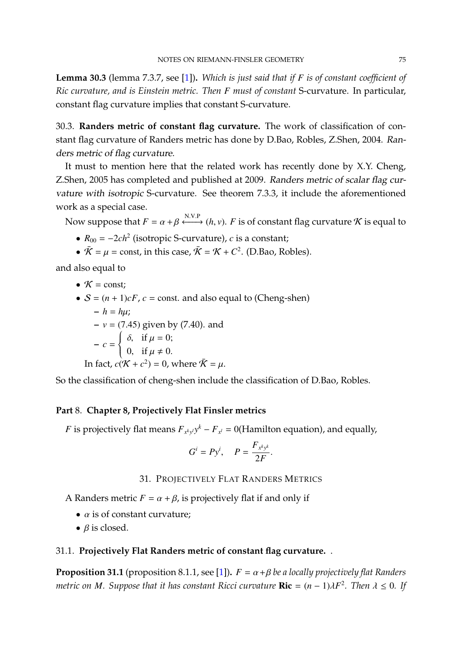**Lemma 30.3** (lemma 7.3.7, see [\[1\]](#page-79-0))**.** *Which is just said that if F is of constant coefficient of Ric curvature, and is Einstein metric. Then F must of constant* S-curvature. In particular, constant flag curvature implies that constant S-curvature.

30.3. **Randers metric of constant flag curvature.** The work of classification of constant flag curvature of Randers metric has done by D.Bao, Robles, Z.Shen, 2004. Randers metric of flag curvature.

It must to mention here that the related work has recently done by X.Y. Cheng, Z.Shen, 2005 has completed and published at 2009. Randers metric of scalar flag curvature with isotropic S-curvature. See theorem 7.3.3, it include the aforementioned work as a special case.

Now suppose that  $F = \alpha + \beta \xleftrightarrow{\text{N.V.P}} (h, v)$ . *F* is of constant flag curvature *K* is equal to

- $R_{00} = -2ch^2$  (isotropic S-curvature), *c* is a constant;
- $\bar{\mathcal{K}} = \mu = \text{const}$ , in this case,  $\bar{\mathcal{K}} = \mathcal{K} + C^2$ . (D.Bao, Robles).

and also equal to

• 
$$
K = \text{const};
$$

•  $S = (n + 1)cF$ ,  $c$  = const. and also equal to (Cheng-shen)  $-h = hu$ ; **–** *<sup>v</sup>* <sup>=</sup> (7.45) given by (7.40). and  $-c =$  $\left\{\right.$  $\overline{\mathcal{L}}$ δ, if  $\mu = 0$ ; 0, if  $\mu \neq 0$ . In fact,  $c(\mathcal{K} + c^2) = 0$ , where  $\bar{\mathcal{K}} = \mu$ .

So the classification of cheng-shen include the classification of D.Bao, Robles.

## **Part** 8. **Chapter 8, Projectively Flat Finsler metrics**

*F* is projectively flat means  $F_{x^k y^l} y^k - F_{x^l} = 0$  (Hamilton equation), and equally,

$$
G^i = Py^i, \quad P = \frac{F_{x^k y^k}}{2F}.
$$

# 31. PROJECTIVELY FLAT RANDERS METRICS

- A Randers metric  $F = \alpha + \beta$ , is projectively flat if and only if
	- $\alpha$  is of constant curvature:
	- $\beta$  is closed.

# 31.1. **Projectively Flat Randers metric of constant flag curvature.** .

**Proposition 31.1** (proposition 8.1.1, see [\[1\]](#page-79-0)).  $F = \alpha + \beta$  be a locally projectively flat Randers *metric on M. Suppose that it has constant Ricci curvature*  $\textbf{Ric} = (n-1)\lambda F^2$ *. Then*  $\lambda \leq 0$ *. If*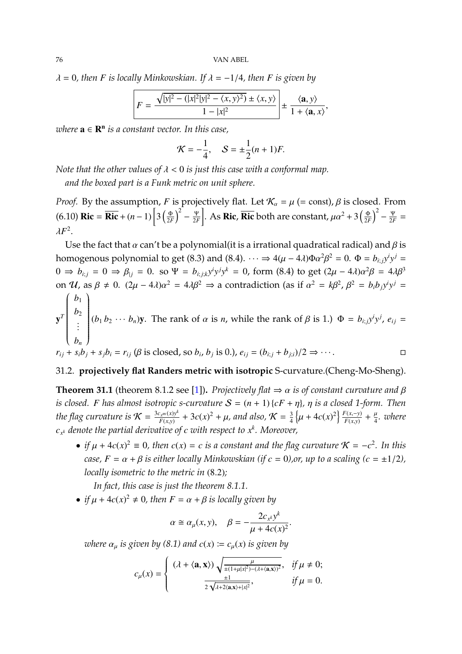$\lambda = 0$ , then *F* is locally Minkowskian. If  $\lambda = -1/4$ , then *F* is given by

$$
F = \frac{\sqrt{|y|^2 - (|x|^2|y|^2 - \langle x, y \rangle^2)} \pm \langle x, y \rangle}{1 - |x|^2} \pm \frac{\langle \mathbf{a}, y \rangle}{1 + \langle \mathbf{a}, x \rangle},
$$

*where* a ∈ R n *is a constant vector. In this case,*

$$
K = -\frac{1}{4}
$$
,  $S = \pm \frac{1}{2}(n+1)F$ .

*Note that the other values of*  $\lambda < 0$  *is just this case with a conformal map.* 

*and the boxed part is a Funk metric on unit sphere.*

*Proof.* By the assumption, *F* is projectively flat. Let  $\mathcal{K}_{\alpha} = \mu$  (= const),  $\beta$  is closed. From  $(6.10)$  **Ric** =  $\overline{\textbf{Ric}} + (n-1) \left[ 3 \left( \frac{\Phi}{2R} \right) \right]$  $\left(\frac{\Phi}{2F}\right)^2 - \frac{\Psi}{2F}$ 2*F* . As **Ric**, **Ric** both are constant,  $\mu \alpha^2 + 3 \left( \frac{\Phi}{2R} \right)$  $\left(\frac{\Phi}{2F}\right)^2 - \frac{\Psi}{2F}$  $rac{\Psi}{2F}$  =  $\lambda F^2$ .

Use the fact that  $\alpha$  can't be a polynomial(it is a irrational quadratical radical) and  $\beta$  is homogenous polynomial to get (8.3) and (8.4).  $\cdots \Rightarrow 4(\mu - 4\lambda)\Phi\alpha^2\beta^2 = 0$ .  $\Phi = b_{i,j}y^iy^j = 0$  $0 \Rightarrow b_{i,j} = 0 \Rightarrow \beta_{|j} = 0$ . so Ψ = *b<sub>i;jk</sub>y<sup>i</sup>y<sup>j</sup>y<sup>k</sup>* = 0, form (8.4) to get  $(2\mu - 4\lambda)\alpha^2\beta = 4\lambda\beta^3$ on U, as  $\beta \neq 0$ .  $(2\mu - 4\lambda)\alpha^2 = 4\lambda\beta^2 \Rightarrow$  a contradiction (as if  $\alpha^2 = k\beta^2$ ,  $\beta^2 = b_i b_j y^i y^j =$  $(b_1)$ 

$$
\mathbf{y}^T \begin{bmatrix} b_1 \\ b_2 \\ \vdots \\ b_n \end{bmatrix} (b_1 b_2 \cdots b_n) \mathbf{y}.
$$
 The rank of  $\alpha$  is *n*, while the rank of  $\beta$  is 1.)  $\Phi = b_{i,j} y^i y^j$ ,  $e_{ij} = r_{ij} + s_i b_j + s_j b_i = r_{ij}$  ( $\beta$  is closed, so  $b_i$ ,  $b_j$  is 0.),  $e_{ij} = (b_{i,j} + b_{j,i})/2 \Rightarrow \cdots$ .

#### 31.2. **projectively flat Randers metric with isotropic** S-curvature.(Cheng-Mo-Sheng).

**Theorem 31.1** (theorem 8.1.2 see [\[1\]](#page-79-0)). *Projectively flat*  $\Rightarrow \alpha$  *is of constant curvature and*  $\beta$ *is closed. F* has almost isotropic s-curvature  $S = (n + 1) \{cF + \eta\}$ ,  $\eta$  is a closed 1-form. Then *the flag curvature is*  $K = \frac{3c_x m(x)y^k}{F(x,y)}$  $\frac{f_{x^m}(x)y^k}{F(x,y)} + 3c(x)^2 + \mu$ , and also,  $\mathcal{K} = \frac{3}{4}$  $\frac{3}{4} \left\{ \mu + 4c(x)^2 \right\} \frac{F(x, -y)}{F(x, y)}$  $\frac{f'(x,-y)}{f(x,y)} + \frac{\mu}{4}$ *. where cx <sup>k</sup> denote the partial derivative of c with respect to x k . Moreover,*

• *if*  $\mu$  + 4*c*(*x*)<sup>2</sup>  $\equiv$  0*,* then *c*(*x*)  $=$  *c is a constant and the flag curvature*  $\mathcal{K} = -c^2$ . In this *case,*  $F = \alpha + \beta$  *is either locally Minkowskian (if*  $c = 0$ *), or, up to a scaling (c =*  $\pm 1/2$ *), locally isometric to the metric in* (8.2)*;*

*In fact, this case is just the theorem 8.1.1.*

• *if*  $\mu$  + 4*c*(*x*)<sup>2</sup>  $\neq$  0*, then*  $F = \alpha + \beta$  *is locally given by* 

$$
\alpha \cong \alpha_{\mu}(x, y), \quad \beta = -\frac{2c_{x}^{k}y^{k}}{\mu + 4c(x)^{2}}.
$$

*where*  $\alpha_u$  *is given by* (8.1) and  $c(x) := c_u(x)$  *is given by* 

$$
c_{\mu}(x) = \begin{cases} (\lambda + \langle \mathbf{a}, \mathbf{x} \rangle) \sqrt{\frac{\mu}{\pm (1 + \mu |x|^2) - (\lambda + \langle \mathbf{a}, \mathbf{x} \rangle)^2}}, & \text{if } \mu \neq 0; \\ \frac{\pm 1}{2 \sqrt{\lambda + 2 \langle \mathbf{a}, \mathbf{x} \rangle + |x|^2}}, & \text{if } \mu = 0. \end{cases}
$$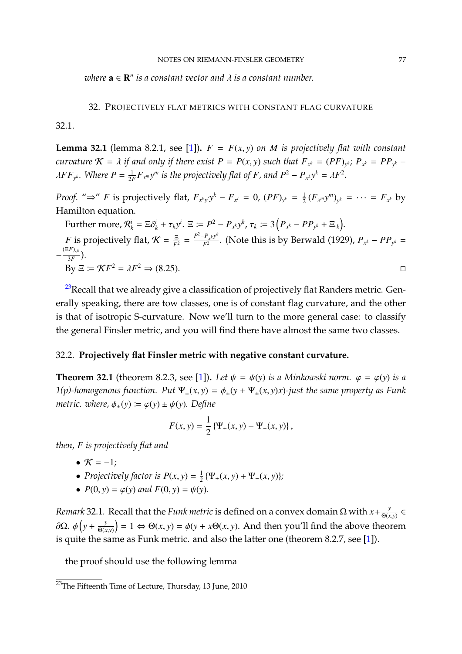<span id="page-76-1"></span> $where \mathbf{a} \in \mathbf{R}^n$  *is a constant vector and*  $\lambda$  *is a constant number.* 

#### 32. PROJECTIVELY FLAT METRICS WITH CONSTANT FLAG CURVATURE

32.1.

**Lemma 32.1** (lemma 8.2.1, see [\[1\]](#page-79-0)).  $F = F(x, y)$  *on M is projectively flat with constant* curvature  $\mathcal{K} = \lambda$  if and only if there exist  $P = P(x, y)$  such that  $F_{x^k} = (PF)_{y^k}$ ;  $P_{x^k} = PP_{y^k} - \lambda F E_{y^k}$  $\lambda FF_{y^k}$ . Where  $P = \frac{1}{2R}$  $\frac{1}{2F}F_{x^m}y^m$  is the projectively flat of *F*, and  $P^2 - P_{x^k}y^k = \lambda F^2$ .

*Proof.* "⇒" *F* is projectively flat,  $F_{x^k y^l} y^k - F_{x^l} = 0$ ,  $(PF)_{y^k} = \frac{1}{2}$  $\frac{1}{2} (F_{x^m} y^m)_{y^k} = \cdots = F_{x^k}$  by Hamilton equation.

Further more,  $\mathcal{R}_k^i = \Xi \delta_k^i + \tau_k y^i$ .  $\Xi := P^2 - P_{x^k} y^k$ ,  $\tau_k := 3 (P_{x^k} - PP_{y^k} + \Xi_{x^k})$ .

*F* is projectively flat,  $K = \frac{\Xi}{F^2} = \frac{P^2 - P_{x^k} y^k}{F^2}$  $F_{\frac{x}{2}}^{T_{\frac{x}{x}}(x)}$ . (Note this is by Berwald (1929),  $P_{x^k} - PP_{y^k} =$  $-\frac{(\Xi F)_{y^k}}{3F}$  $\frac{f(y^k)}{3F}$ ). By  $\Xi \coloneqq \mathcal{K}F^2 = \lambda F$  $2 \Rightarrow (8.25)$ . □

 $^{23}$  $^{23}$  $^{23}$ Recall that we already give a classification of projectively flat Randers metric. Generally speaking, there are tow classes, one is of constant flag curvature, and the other is that of isotropic S-curvature. Now we'll turn to the more general case: to classify the general Finsler metric, and you will find there have almost the same two classes.

#### 32.2. **Projectively flat Finsler metric with negative constant curvature.**

**Theorem 32.1** (theorem 8.2.3, see [\[1\]](#page-79-0)). Let  $\psi = \psi(y)$  *is a Minkowski norm.*  $\varphi = \varphi(y)$  *is a 1(p)-homogenous function.* Put  $\Psi_{\pm}(x, y) = \phi_{\pm}(y + \Psi_{\pm}(x, y)x)$ -just the same property as Funk *metric. where,*  $\phi_{+}(y) \coloneqq \varphi(y) \pm \psi(y)$ *. Define* 

$$
F(x, y) = \frac{1}{2} \left\{ \Psi_{+}(x, y) - \Psi_{-}(x, y) \right\},\,
$$

*then, F is projectively flat and*

- $K = -1$ *;*
- *Projectively factor is*  $P(x, y) = \frac{1}{2}$  $\frac{1}{2} \{ \Psi_+(x, y) + \Psi_-(x, y) \};$
- $P(0, y) = \varphi(y)$  and  $F(0, y) = \psi(y)$ .

*Remark* 32.1. Recall that the *Funk metric* is defined on a convex domain  $\Omega$  with  $x + \frac{y}{\Theta(x,y)} \in$ <sup>Θ</sup>(*x*,*y*)  $\frac{\partial \Omega}{\partial x}$ . *ψ*  $\left(y + \frac{y}{\Theta(x)}\right)$ <sup>Θ</sup>(*x*,*y*)  $= 1 \Leftrightarrow \Theta(x, y) = \phi(y + x\Theta(x, y)$ . And then you'll find the above theorem is quite the same as Funk metric. and also the latter one (theorem 8.2.7, see [\[1\]](#page-79-0)).

the proof should use the following lemma

<span id="page-76-0"></span><sup>&</sup>lt;sup>23</sup>The Fifteenth Time of Lecture, Thursday, 13 June, 2010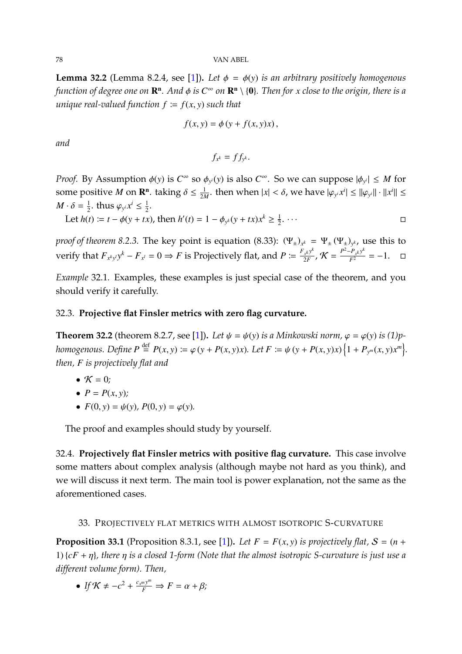78 VAN ABEL

**Lemma 32.2** (Lemma 8.2.4, see [\[1\]](#page-79-0)). Let  $\phi = \phi(y)$  *is an arbitrary positively homogenous function of degree one on*  $\mathbb{R}^n$ *. And*  $\phi$  *is*  $C^{\infty}$  *on*  $\mathbb{R}^n \setminus \{0\}$ *. Then for x* close to the origin, there is a<br>*minuma*l related function for  $C^{\infty}$  ) and that *unique real-valued function*  $f := f(x, y)$  *such that* 

$$
f(x, y) = \phi(y + f(x, y)x),
$$

*and*

$$
f_{x^k}=f f_{y^k}.
$$

*Proof.* By Assumption  $\phi(y)$  is  $C^{\infty}$  so  $\phi_{y}(y)$  is also  $C^{\infty}$ . So we can suppose  $|\phi_{y}(x)| \leq M$  for some positive *M* on **R<sup>n</sup>**. taking  $\delta \le \frac{1}{2M}$  $\frac{1}{2M}$ . then when  $|x| < \delta$ , we have  $|\varphi_{y^i} x^i| \le ||\varphi_{y^i}|| \cdot ||x^i|| \le$  $M \cdot \delta = \frac{1}{2}$  $\frac{1}{2}$ . thus  $\varphi_{y^i} x^i \leq \frac{1}{2}$  $\frac{1}{2}$ .

Let  $h(t) := t - \phi(y + tx)$ , then  $h'(t) = 1 - \phi_{y^k}(y + tx)x^k \ge \frac{1}{2}$  $\frac{1}{2}$ .  $\cdots$ 

*proof of theorem 8.2.3.* The key point is equation (8.33):  $(\Psi_{\pm})_{x^k} = \Psi_{\pm}(\Psi_{\pm})_{y^k}$ , use this to verify that  $F_{x^k y^l} y^k - F_{x^l} = 0 \Rightarrow F$  is Projectively flat, and  $P := \frac{F_{x^k} y^k}{2F}$  $\frac{r_{x}ky^{k}}{2F}$ ,  $K = \frac{P^{2}-P_{x}ky^{k}}{F^{2}} = -1.$  □

*Example* 32.1*.* Examples, these examples is just special case of the theorem, and you should verify it carefully.

## 32.3. **Projective flat Finsler metrics with zero flag curvature.**

**Theorem 32.2** (theorem 8.2.7, see [\[1\]](#page-79-0)). Let  $\psi = \psi(y)$  is a Minkowski norm,  $\varphi = \varphi(y)$  is (1)phomogenous. Define  $P \stackrel{\text{def}}{=} P(x, y) \coloneqq \varphi(y + P(x, y)x)$ . Let  $F \coloneqq \psi(y + P(x, y)x) \{1 + P_{y^m}(x, y)x^m\}$ . *then, F is projectively flat and*

$$
\bullet\ \mathcal{K}=0;
$$

$$
\bullet \ \ P = P(x, y);
$$

•  $F(0, y) = \psi(y), P(0, y) = \varphi(y).$ 

The proof and examples should study by yourself.

32.4. **Projectively flat Finsler metrics with positive flag curvature.** This case involve some matters about complex analysis (although maybe not hard as you think), and we will discuss it next term. The main tool is power explanation, not the same as the aforementioned cases.

## 33. PROJECTIVELY FLAT METRICS WITH ALMOST ISOTROPIC S-CURVATURE

**Proposition 33.1** (Proposition 8.3.1, see [\[1\]](#page-79-0)). Let  $F = F(x, y)$  is projectively flat,  $S = (n +$ 1) {*cF* <sup>+</sup> η}*, there* η *is a closed 1-form (Note that the almost isotropic S-curvature is just use a different volume form). Then,*

• If  $\mathcal{K} \neq -c^2 + \frac{c_x m y^m}{F} \Rightarrow F = \alpha + \beta;$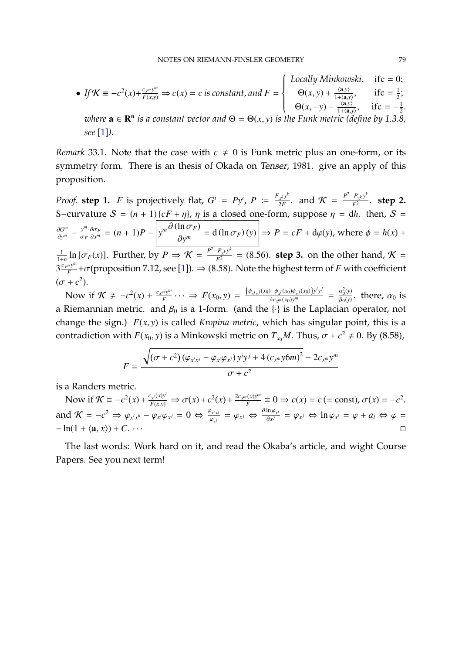<span id="page-78-0"></span>• If 
$$
K \equiv -c^2(x) + \frac{c_{x^m}y^m}{F(x,y)} \Rightarrow c(x) = c
$$
 is constant, and  $F = \begin{cases} Locally Minkowski, & \text{if } c = 0; \\ \Theta(x, y) + \frac{\langle a, y \rangle}{1 + \langle a, y \rangle}, & \text{if } c = \frac{1}{2}; \\ \Theta(x, -y) - \frac{\langle a, y \rangle}{1 + \langle a, y \rangle}, & \text{if } c = -\frac{1}{2}. \end{cases}$   
where  $\mathbf{a} \in \mathbb{R}^n$  is a constant vector and  $\Theta = \Theta(x, y)$  is the Funk metric (define by 1.3.8, see [1]).

*Remark* 33.1. Note that the case with  $c \neq 0$  is Funk metric plus an one-form, or its symmetry form. There is an thesis of Okada on Tenser, 1981. give an apply of this proposition.

*Proof.* **step 1.** *F* is projectively flat,  $G^i = Py^i$ ,  $P := \frac{F_{x}y^k}{2F}$  $\frac{r_{x}ky^{k}}{2F}$ . and  $\mathcal{K} = \frac{P^{2}-P_{x}ky^{k}}{F^{2}}$  $\frac{r_{x}k y}{F^2}$ . **step 2.** S-curvature  $S = (n + 1) {cF + \eta}$ ,  $\eta$  is a closed one-form, suppose  $\eta = dh$ . then,  $S =$ ∂*G m*  $rac{\partial G^m}{\partial y^m} - \frac{y^m}{\sigma_F}$ σ*F*  $\frac{\partial \sigma_F}{\partial x^m} = (n+1)P - \left| y^m \frac{\partial (\ln \sigma_F)}{\partial y^m} \right|$  $\frac{d^2y}{dx^m} = d(\ln \sigma_F)(y)$   $\Rightarrow P = cF + d\varphi(y)$ , where  $\phi = h(x) + \frac{P^2 - P(x)^k}{2}$ 1  $\frac{1}{1+n} \ln [\sigma_F(x)]$ . Further, by  $P \Rightarrow \mathcal{K} = \frac{P^2 - P_x k y^k}{F^2} = (8.56)$ . **step 3.** on the other hand,  $\mathcal{K} =$  $3\frac{c_x m y^m}{F}$  $\frac{f^{(m)}(F)}{F} + \sigma$ (proposition 7.12, see [\[1\]](#page-79-0)).  $\Rightarrow$  (8.58). Note the highest term of *F* with coefficient 2 ).

 $(\sigma + c)$ Now if  $\mathcal{K} \neq -c^2(x) + \frac{c_{x}m y^m}{F}$  $F_F^{m} \cdots \implies F(x_0, y) = \frac{\{\phi_{x^i x^j}(x_0) - \phi_{x^i}(x_0)\phi_{x^j}(x_0)\}y^i y^j}{4c_{x^m}(x_0)y^m}$  $\frac{\partial \phi_{x^i}(x_0) \phi_{x^j}(x_0)}{\partial x_{x^m}(x_0) y^m}$  =  $\frac{\alpha_0^2(y)}{\beta_0(y)}$  $\frac{\alpha_0(y)}{\beta_0(y)}$ . there,  $\alpha_0$  is a Riemannian metric. and  $\beta_0$  is a 1-form. (and the {·} is the Laplacian operator, not change the sign.) *<sup>F</sup>*(*x*, *<sup>y</sup>*) is called *Kropina metric*, which has singular point, this is a contradiction with *F*(*x*<sub>0</sub>, *y*) is a Minkowski metric on *T*<sub>*x*<sup>0</sup></sub>*M*. Thus,  $\sigma + c^2 \neq 0$ . By (8.58),

$$
F = \frac{\sqrt{(\sigma + c^2)(\varphi_{x^ix^j} - \varphi_{x^i}\varphi_{x^j})y^iy^j + 4(c_{x^m}y^j6m)^2} - 2c_{x^m}y^m}{\sigma + c^2}
$$

is a Randers metric.

Now if  $\mathcal{K} \equiv -c^2(x) + \frac{c_{x^i}(x)y^i}{F(x,y)} \Rightarrow \sigma(x) + c^2(x) + \frac{2c_{x^m}(x)y^m}{F(x,y)}$  $\frac{f(x)y^m}{F} \equiv 0 \Rightarrow c(x) = c$  (= const),  $\sigma(x) = -c^2$ . and  $\mathcal{K} = -c^2 \Rightarrow \varphi_{x^ix^h} - \varphi_{x^i}\varphi_{x^j} = 0 \Leftrightarrow \frac{\varphi_{x^ix^j}}{\varphi_{x^i}}$  $\frac{\partial_x i_x j}{\partial x_i} = \varphi_{x,i} \iff \frac{\partial \ln \varphi_{x,i}}{\partial x^j}$  $rac{\sin \varphi_{x^i}}{\partial x^j} = \varphi_{x^j} \Leftrightarrow \ln \varphi_{x^i} = \varphi + a_i \Leftrightarrow \varphi =$  $-\ln(1 + \langle \mathbf{a}, x \rangle) + C$ . · · ·

The last words: Work hard on it, and read the Okaba's article, and wight Course Papers. See you next term!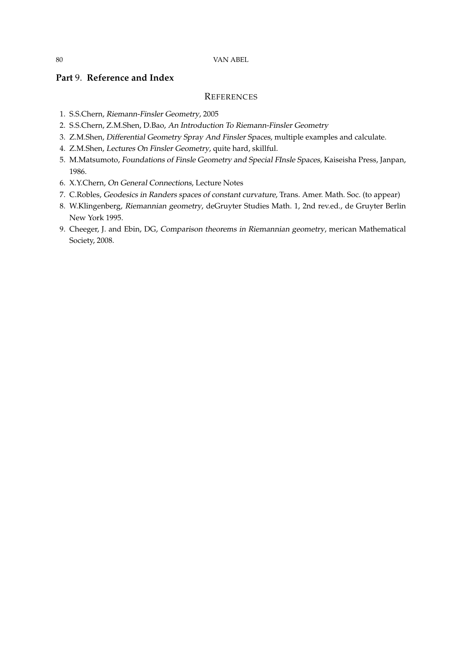# **Part** 9. **Reference and Index**

#### **REFERENCES**

- <span id="page-79-0"></span>1. S.S.Chern, Riemann-Finsler Geometry, 2005
- 2. S.S.Chern, Z.M.Shen, D.Bao, An Introduction To Riemann-Finsler Geometry
- 3. Z.M.Shen, Differential Geometry Spray And Finsler Spaces, multiple examples and calculate.
- 4. Z.M.Shen, Lectures On Finsler Geometry, quite hard, skillful.
- 5. M.Matsumoto, Foundations of Finsle Geometry and Special FInsle Spaces, Kaiseisha Press, Janpan, 1986.
- 6. X.Y.Chern, On General Connections, Lecture Notes
- 7. C.Robles, Geodesics in Randers spaces of constant curvature, Trans. Amer. Math. Soc. (to appear)
- 8. W.Klingenberg, Riemannian geometry, deGruyter Studies Math. 1, 2nd rev.ed., de Gruyter Berlin New York 1995.
- 9. Cheeger, J. and Ebin, DG, Comparison theorems in Riemannian geometry, merican Mathematical Society, 2008.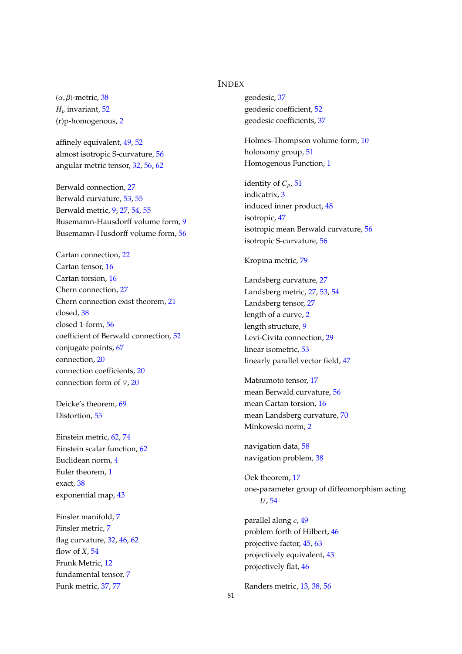## INDEX

(α, β)-metric, [38](#page-37-0)  $H_p$  invariant,  $52$ (r)p-homogenous, [2](#page-1-0)

affinely equivalent, [49,](#page-48-0) [52](#page-51-0) almost isotropic S-curvature, [56](#page-55-0) angular metric tensor, [32,](#page-31-0) [56,](#page-55-0) [62](#page-61-0)

Berwald connection, [27](#page-26-0) Berwald curvature, [53,](#page-52-0) [55](#page-54-0) Berwald metric, [9,](#page-8-0) [27,](#page-26-0) [54,](#page-53-0) [55](#page-54-0) Busemamn-Hausdorff volume form, [9](#page-8-0) Busemamn-Husdorff volume form, [56](#page-55-0)

Cartan connection, [22](#page-21-0) Cartan tensor, [16](#page-15-0) Cartan torsion, [16](#page-15-0) Chern connection, [27](#page-26-0) Chern connection exist theorem, [21](#page-20-0) closed, [38](#page-37-0) closed 1-form, [56](#page-55-0) coefficient of Berwald connection, [52](#page-51-0) conjugate points, [67](#page-66-0) connection, [20](#page-19-0) connection coefficients, [20](#page-19-0) connection form of  $\nabla$ , [20](#page-19-0)

Deicke's theorem, [69](#page-68-0) Distortion, [55](#page-54-0)

Einstein metric, [62,](#page-61-0) [74](#page-73-1) Einstein scalar function, [62](#page-61-0) Euclidean norm, [4](#page-3-0) Euler theorem, [1](#page-0-0) exact, [38](#page-37-0) exponential map, [43](#page-42-0)

Finsler manifold, [7](#page-6-0) Finsler metric, [7](#page-6-0) flag curvature, [32,](#page-31-0) [46,](#page-45-0) [62](#page-61-0) flow of *X*, [54](#page-53-0) Frunk Metric, [12](#page-11-0) fundamental tensor, [7](#page-6-0) Funk metric, [37,](#page-36-0) [77](#page-76-1)

geodesic, [37](#page-36-0) geodesic coefficient, [52](#page-51-0) geodesic coefficients, [37](#page-36-0)

Holmes-Thompson volume form, [10](#page-9-0) holonomy group, [51](#page-50-0) Homogenous Function, [1](#page-0-0)

identity of  $C_p$ , [51](#page-50-0) indicatrix, [3](#page-2-0) induced inner product, [48](#page-47-0) isotropic, [47](#page-46-0) isotropic mean Berwald curvature, [56](#page-55-0) isotropic S-curvature, [56](#page-55-0)

#### Kropina metric, [79](#page-78-0)

Landsberg curvature, [27](#page-26-0) Landsberg metric, [27,](#page-26-0) [53,](#page-52-0) [54](#page-53-0) Landsberg tensor, [27](#page-26-0) length of a curve, [2](#page-1-0) length structure, [9](#page-8-0) Levi-Civita connection, [29](#page-28-0) linear isometric, [53](#page-52-0) linearly parallel vector field, [47](#page-46-0)

Matsumoto tensor, [17](#page-16-0) mean Berwald curvature, [56](#page-55-0) mean Cartan torsion, [16](#page-15-0) mean Landsberg curvature, [70](#page-69-0) Minkowski norm, [2](#page-1-0)

navigation data, [58](#page-57-0) navigation problem, [38](#page-37-0)

Oek theorem, [17](#page-16-0) one-parameter group of diffeomorphism acting *U*, [54](#page-53-0)

parallel along *c*, [49](#page-48-0) problem forth of Hilbert, [46](#page-45-0) projective factor, [45,](#page-44-0) [63](#page-62-0) projectively equivalent, [43](#page-42-0) projectively flat, [46](#page-45-0)

Randers metric, [13,](#page-12-0) [38,](#page-37-0) [56](#page-55-0)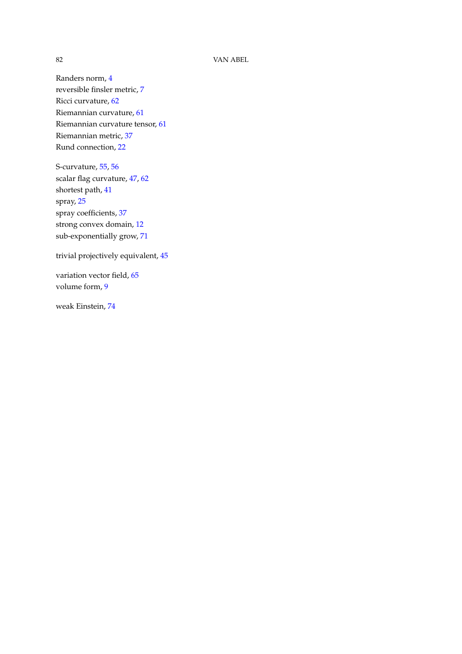#### 82 VAN ABEL

Randers norm, [4](#page-3-0) reversible finsler metric, [7](#page-6-0) Ricci curvature, [62](#page-61-0) Riemannian curvature, [61](#page-60-0) Riemannian curvature tensor, [61](#page-60-0) Riemannian metric, [37](#page-36-0) Rund connection, [22](#page-21-0)

S-curvature, [55,](#page-54-0) [56](#page-55-0) scalar flag curvature, [47,](#page-46-0) [62](#page-61-0) shortest path, [41](#page-40-0) spray, [25](#page-24-0) spray coefficients, [37](#page-36-0) strong convex domain, [12](#page-11-0) sub-exponentially grow, [71](#page-70-0)

trivial projectively equivalent, [45](#page-44-0)

variation vector field, [65](#page-64-0) volume form, [9](#page-8-0)

weak Einstein, [74](#page-73-1)